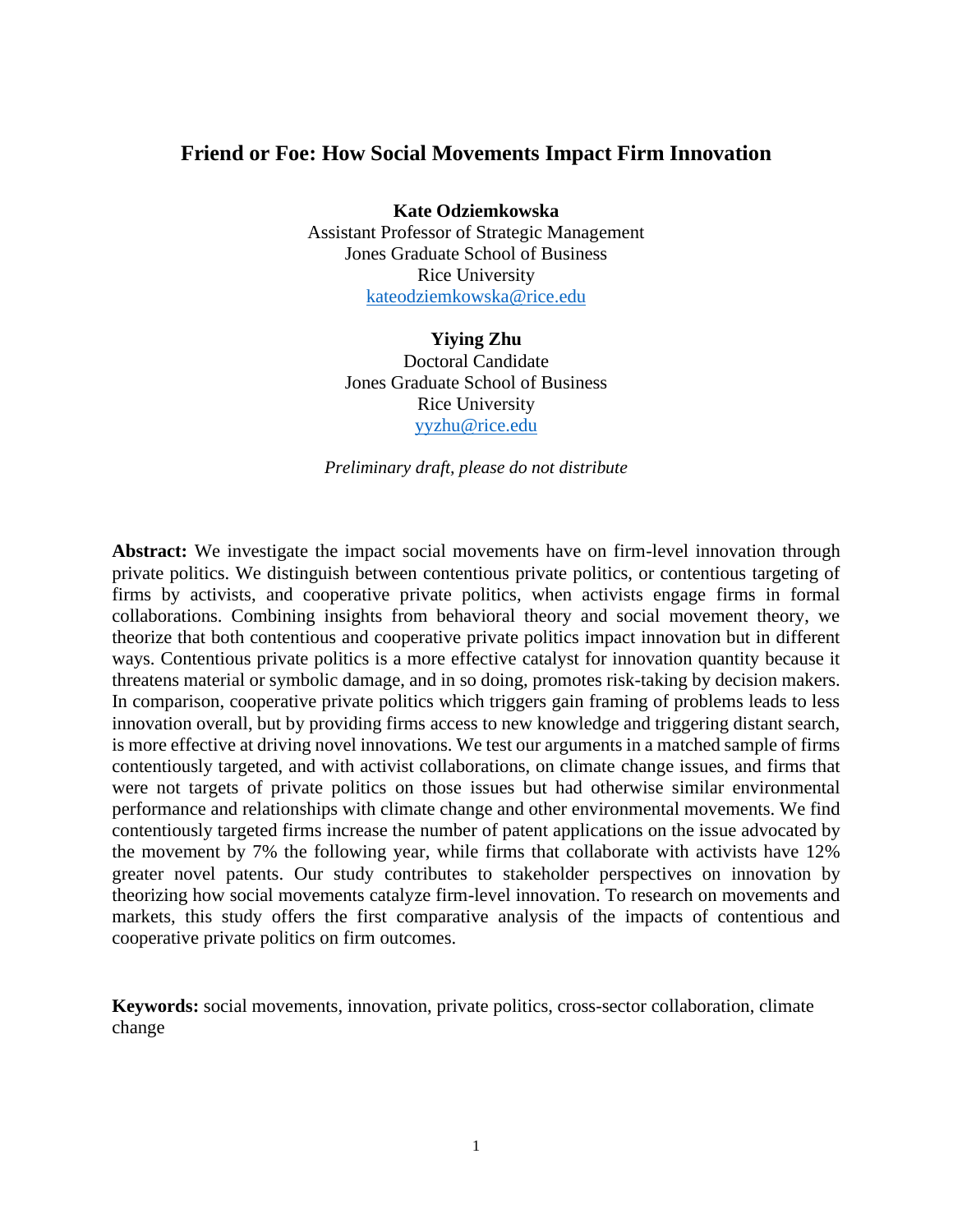# **Friend or Foe: How Social Movements Impact Firm Innovation**

**Kate Odziemkowska** Assistant Professor of Strategic Management Jones Graduate School of Business Rice University [kateodziemkowska@rice.edu](mailto:kateodziemkowska@rice.edu)

### **Yiying Zhu**

Doctoral Candidate Jones Graduate School of Business Rice University [yyzhu@rice.edu](mailto:yyzhu@rice.edu)

*Preliminary draft, please do not distribute*

**Abstract:** We investigate the impact social movements have on firm-level innovation through private politics. We distinguish between contentious private politics, or contentious targeting of firms by activists, and cooperative private politics, when activists engage firms in formal collaborations. Combining insights from behavioral theory and social movement theory, we theorize that both contentious and cooperative private politics impact innovation but in different ways. Contentious private politics is a more effective catalyst for innovation quantity because it threatens material or symbolic damage, and in so doing, promotes risk-taking by decision makers. In comparison, cooperative private politics which triggers gain framing of problems leads to less innovation overall, but by providing firms access to new knowledge and triggering distant search, is more effective at driving novel innovations. We test our arguments in a matched sample of firms contentiously targeted, and with activist collaborations, on climate change issues, and firms that were not targets of private politics on those issues but had otherwise similar environmental performance and relationships with climate change and other environmental movements. We find contentiously targeted firms increase the number of patent applications on the issue advocated by the movement by 7% the following year, while firms that collaborate with activists have 12% greater novel patents. Our study contributes to stakeholder perspectives on innovation by theorizing how social movements catalyze firm-level innovation. To research on movements and markets, this study offers the first comparative analysis of the impacts of contentious and cooperative private politics on firm outcomes.

**Keywords:** social movements, innovation, private politics, cross-sector collaboration, climate change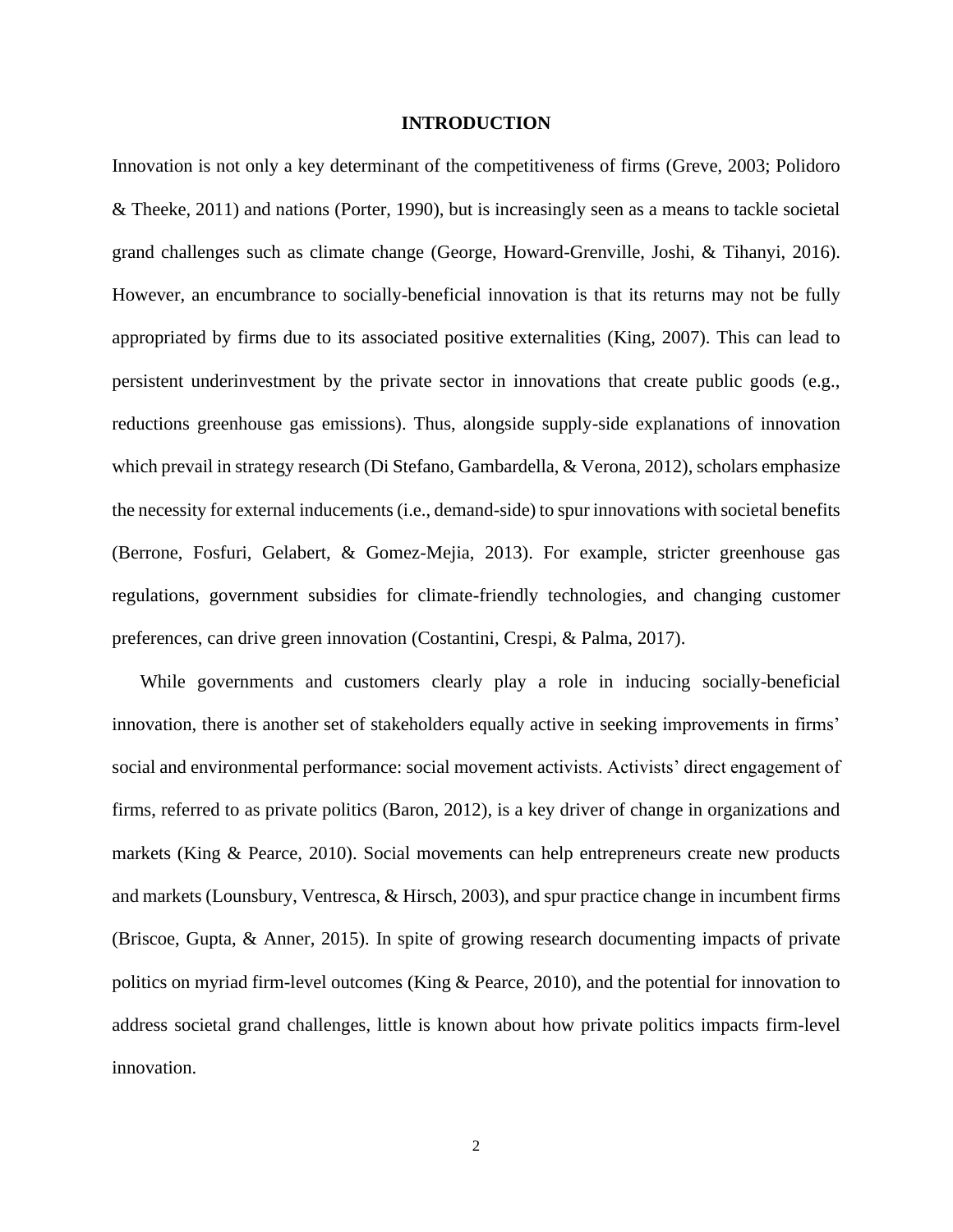### **INTRODUCTION**

Innovation is not only a key determinant of the competitiveness of firms (Greve, 2003; Polidoro & Theeke, 2011) and nations (Porter, 1990), but is increasingly seen as a means to tackle societal grand challenges such as climate change (George, Howard-Grenville, Joshi, & Tihanyi, 2016). However, an encumbrance to socially-beneficial innovation is that its returns may not be fully appropriated by firms due to its associated positive externalities (King, 2007). This can lead to persistent underinvestment by the private sector in innovations that create public goods (e.g., reductions greenhouse gas emissions). Thus, alongside supply-side explanations of innovation which prevail in strategy research (Di Stefano, Gambardella, & Verona, 2012), scholars emphasize the necessity for external inducements (i.e., demand-side) to spur innovations with societal benefits (Berrone, Fosfuri, Gelabert, & Gomez-Mejia, 2013). For example, stricter greenhouse gas regulations, government subsidies for climate-friendly technologies, and changing customer preferences, can drive green innovation (Costantini, Crespi, & Palma, 2017).

While governments and customers clearly play a role in inducing socially-beneficial innovation, there is another set of stakeholders equally active in seeking improvements in firms' social and environmental performance: social movement activists. Activists' direct engagement of firms, referred to as private politics (Baron, 2012), is a key driver of change in organizations and markets (King & Pearce, 2010). Social movements can help entrepreneurs create new products and markets (Lounsbury, Ventresca, & Hirsch, 2003), and spur practice change in incumbent firms (Briscoe, Gupta, & Anner, 2015). In spite of growing research documenting impacts of private politics on myriad firm-level outcomes (King & Pearce, 2010), and the potential for innovation to address societal grand challenges, little is known about how private politics impacts firm-level innovation.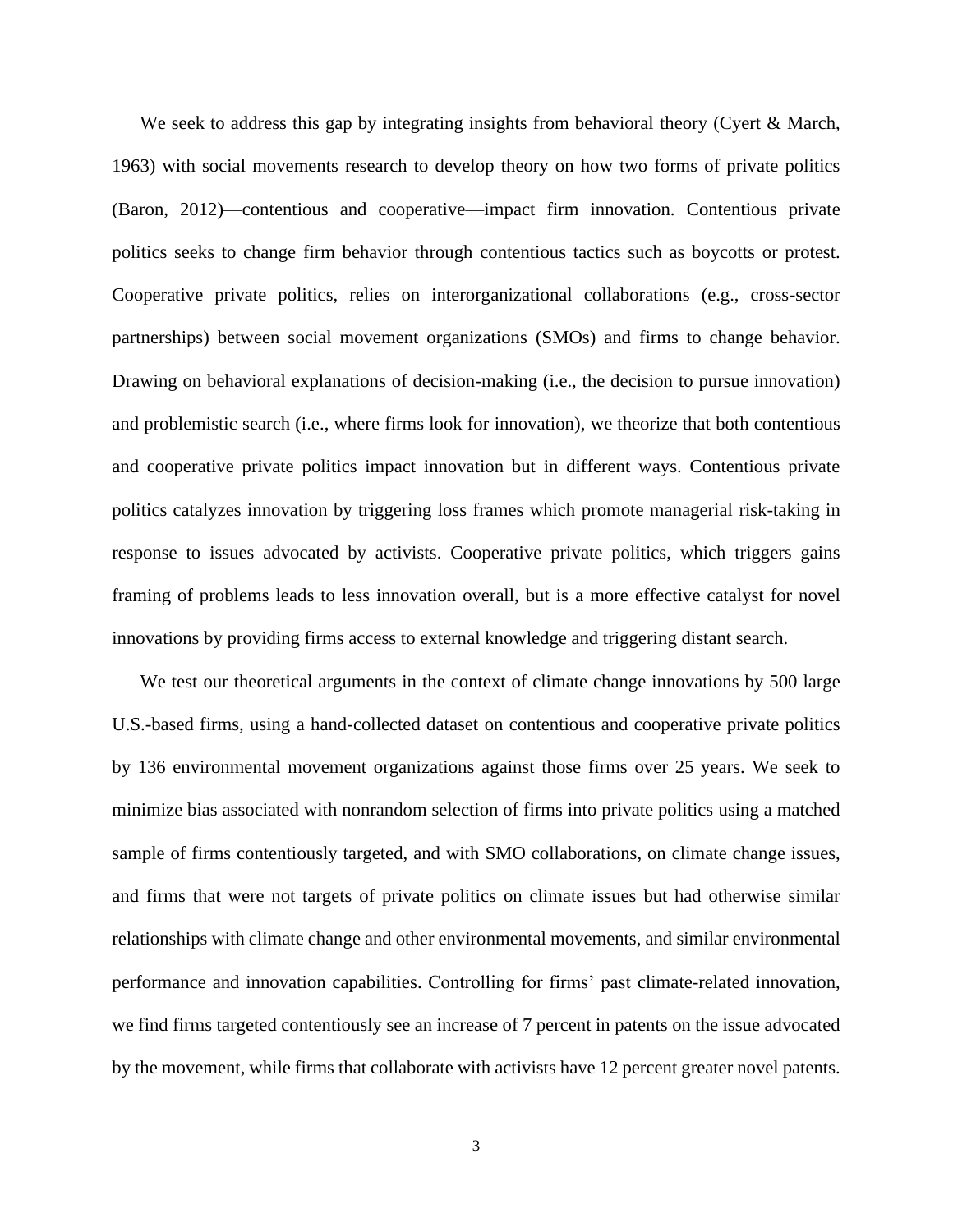We seek to address this gap by integrating insights from behavioral theory (Cyert & March, 1963) with social movements research to develop theory on how two forms of private politics (Baron, 2012)—contentious and cooperative—impact firm innovation. Contentious private politics seeks to change firm behavior through contentious tactics such as boycotts or protest. Cooperative private politics, relies on interorganizational collaborations (e.g., cross-sector partnerships) between social movement organizations (SMOs) and firms to change behavior. Drawing on behavioral explanations of decision-making (i.e., the decision to pursue innovation) and problemistic search (i.e., where firms look for innovation), we theorize that both contentious and cooperative private politics impact innovation but in different ways. Contentious private politics catalyzes innovation by triggering loss frames which promote managerial risk-taking in response to issues advocated by activists. Cooperative private politics, which triggers gains framing of problems leads to less innovation overall, but is a more effective catalyst for novel innovations by providing firms access to external knowledge and triggering distant search.

We test our theoretical arguments in the context of climate change innovations by 500 large U.S.-based firms, using a hand-collected dataset on contentious and cooperative private politics by 136 environmental movement organizations against those firms over 25 years. We seek to minimize bias associated with nonrandom selection of firms into private politics using a matched sample of firms contentiously targeted, and with SMO collaborations, on climate change issues, and firms that were not targets of private politics on climate issues but had otherwise similar relationships with climate change and other environmental movements, and similar environmental performance and innovation capabilities. Controlling for firms' past climate-related innovation, we find firms targeted contentiously see an increase of 7 percent in patents on the issue advocated by the movement, while firms that collaborate with activists have 12 percent greater novel patents.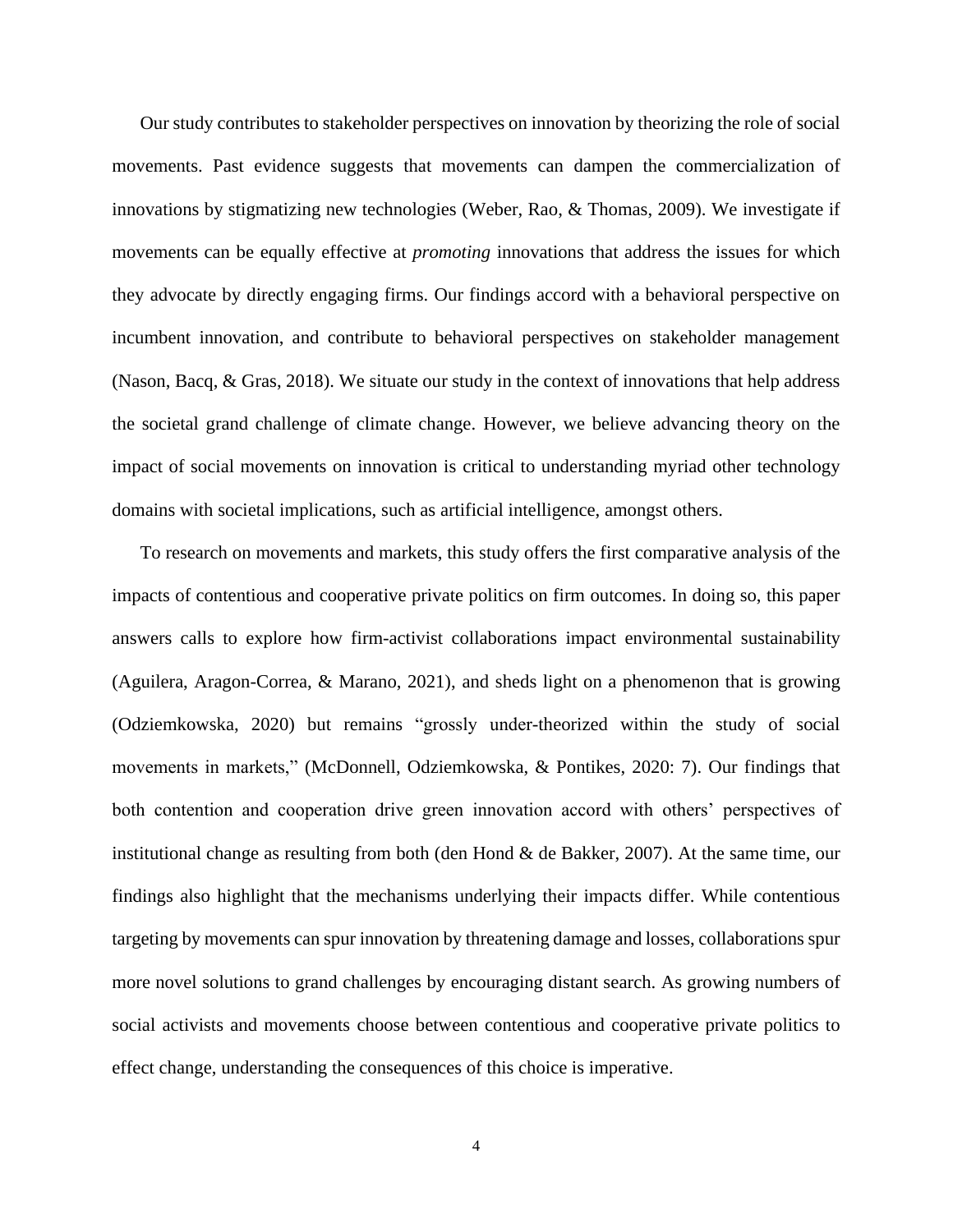Our study contributes to stakeholder perspectives on innovation by theorizing the role of social movements. Past evidence suggests that movements can dampen the commercialization of innovations by stigmatizing new technologies (Weber, Rao, & Thomas, 2009). We investigate if movements can be equally effective at *promoting* innovations that address the issues for which they advocate by directly engaging firms. Our findings accord with a behavioral perspective on incumbent innovation, and contribute to behavioral perspectives on stakeholder management (Nason, Bacq, & Gras, 2018). We situate our study in the context of innovations that help address the societal grand challenge of climate change. However, we believe advancing theory on the impact of social movements on innovation is critical to understanding myriad other technology domains with societal implications, such as artificial intelligence, amongst others.

To research on movements and markets, this study offers the first comparative analysis of the impacts of contentious and cooperative private politics on firm outcomes. In doing so, this paper answers calls to explore how firm-activist collaborations impact environmental sustainability (Aguilera, Aragon-Correa, & Marano, 2021), and sheds light on a phenomenon that is growing (Odziemkowska, 2020) but remains "grossly under-theorized within the study of social movements in markets," (McDonnell, Odziemkowska, & Pontikes, 2020: 7). Our findings that both contention and cooperation drive green innovation accord with others' perspectives of institutional change as resulting from both (den Hond & de Bakker, 2007). At the same time, our findings also highlight that the mechanisms underlying their impacts differ. While contentious targeting by movements can spur innovation by threatening damage and losses, collaborations spur more novel solutions to grand challenges by encouraging distant search. As growing numbers of social activists and movements choose between contentious and cooperative private politics to effect change, understanding the consequences of this choice is imperative.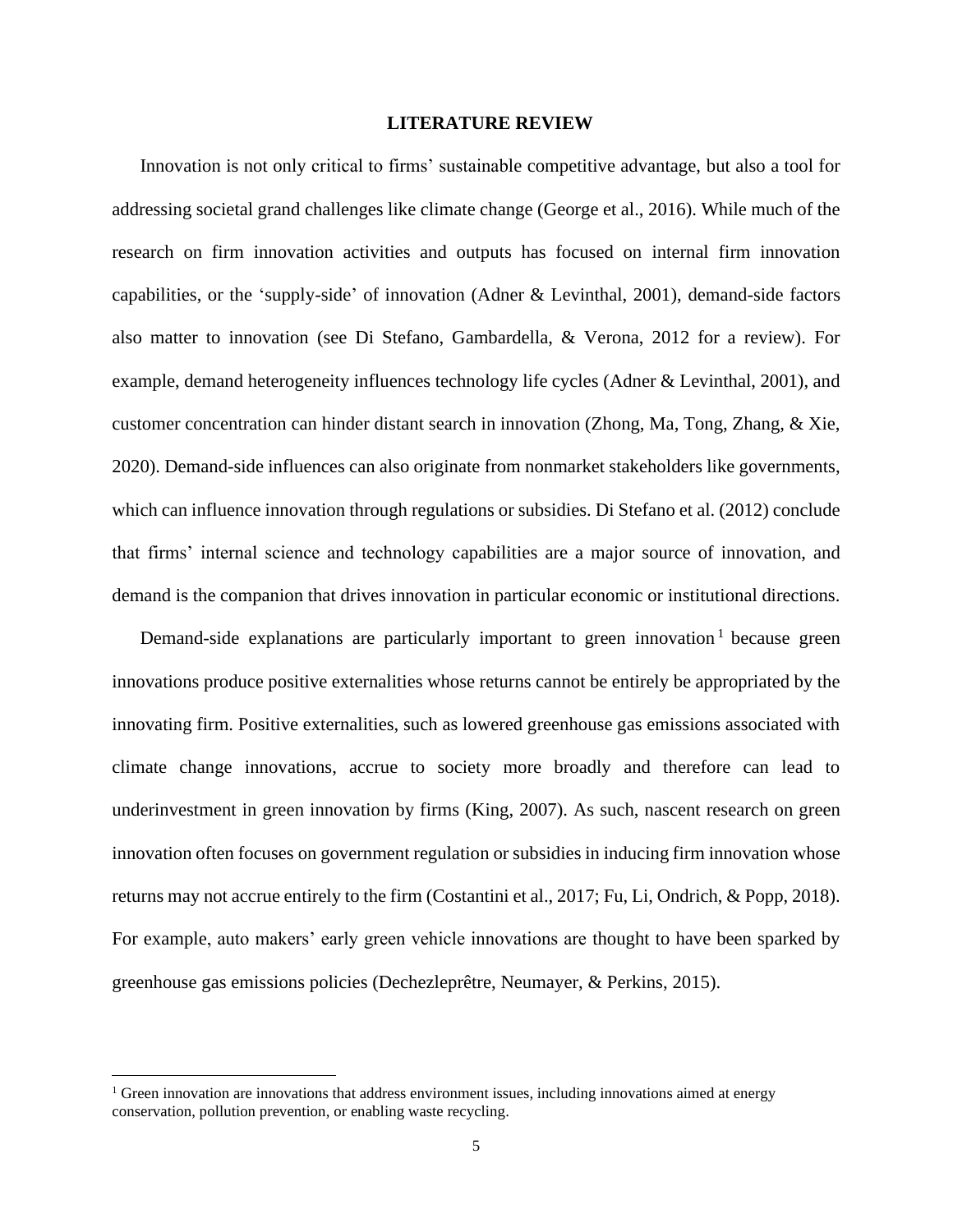### **LITERATURE REVIEW**

Innovation is not only critical to firms' sustainable competitive advantage, but also a tool for addressing societal grand challenges like climate change (George et al., 2016). While much of the research on firm innovation activities and outputs has focused on internal firm innovation capabilities, or the 'supply-side' of innovation (Adner & Levinthal, 2001), demand-side factors also matter to innovation (see Di Stefano, Gambardella, & Verona, 2012 for a review). For example, demand heterogeneity influences technology life cycles (Adner & Levinthal, 2001), and customer concentration can hinder distant search in innovation (Zhong, Ma, Tong, Zhang, & Xie, 2020). Demand-side influences can also originate from nonmarket stakeholders like governments, which can influence innovation through regulations or subsidies. Di Stefano et al. (2012) conclude that firms' internal science and technology capabilities are a major source of innovation, and demand is the companion that drives innovation in particular economic or institutional directions.

Demand-side explanations are particularly important to green innovation<sup>1</sup> because green innovations produce positive externalities whose returns cannot be entirely be appropriated by the innovating firm. Positive externalities, such as lowered greenhouse gas emissions associated with climate change innovations, accrue to society more broadly and therefore can lead to underinvestment in green innovation by firms (King, 2007). As such, nascent research on green innovation often focuses on government regulation or subsidies in inducing firm innovation whose returns may not accrue entirely to the firm (Costantini et al., 2017; Fu, Li, Ondrich, & Popp, 2018). For example, auto makers' early green vehicle innovations are thought to have been sparked by greenhouse gas emissions policies (Dechezleprêtre, Neumayer, & Perkins, 2015).

 $<sup>1</sup>$  Green innovation are innovations that address environment issues, including innovations aimed at energy</sup> conservation, pollution prevention, or enabling waste recycling.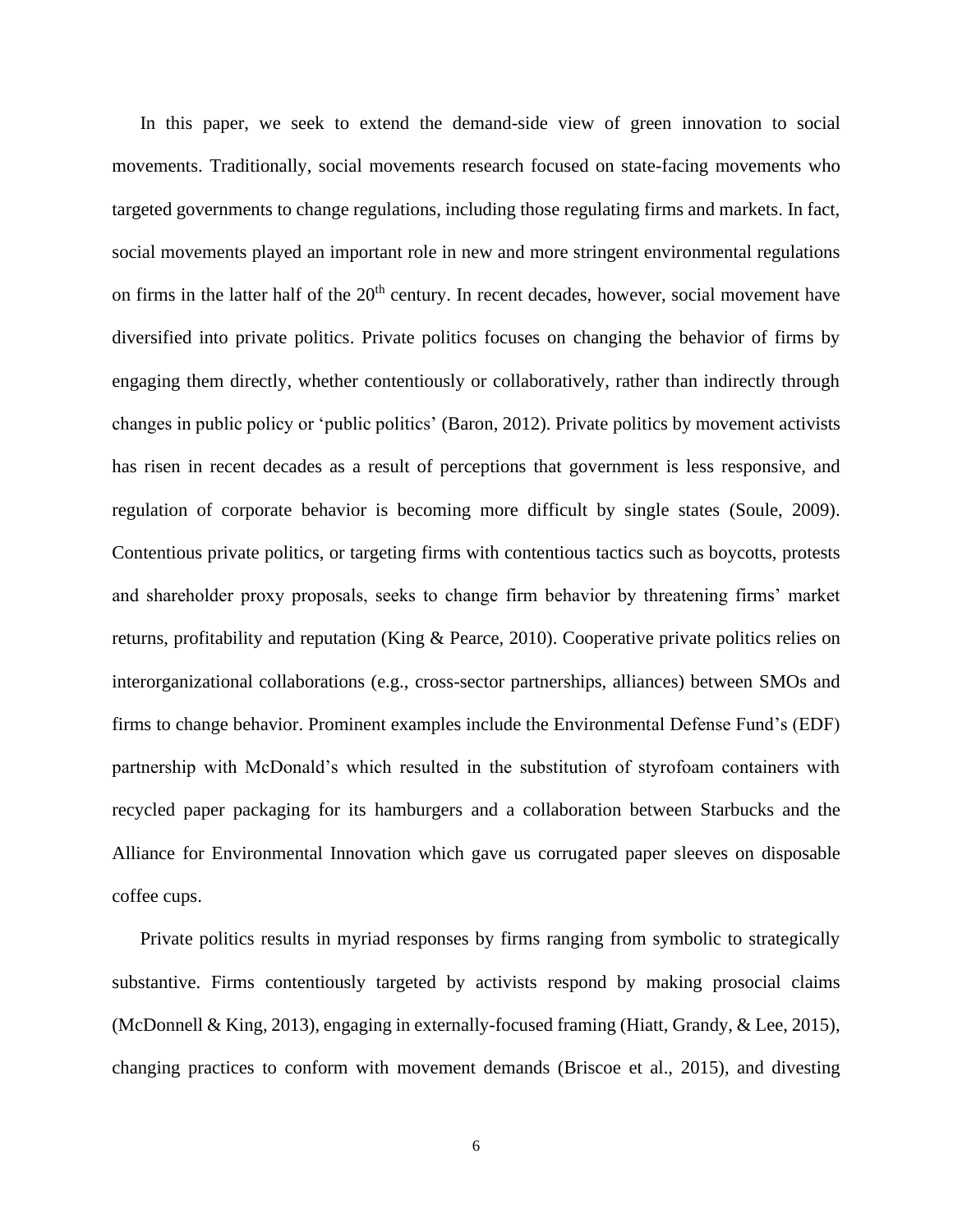In this paper, we seek to extend the demand-side view of green innovation to social movements. Traditionally, social movements research focused on state-facing movements who targeted governments to change regulations, including those regulating firms and markets. In fact, social movements played an important role in new and more stringent environmental regulations on firms in the latter half of the  $20<sup>th</sup>$  century. In recent decades, however, social movement have diversified into private politics. Private politics focuses on changing the behavior of firms by engaging them directly, whether contentiously or collaboratively, rather than indirectly through changes in public policy or 'public politics' (Baron, 2012). Private politics by movement activists has risen in recent decades as a result of perceptions that government is less responsive, and regulation of corporate behavior is becoming more difficult by single states (Soule, 2009). Contentious private politics, or targeting firms with contentious tactics such as boycotts, protests and shareholder proxy proposals, seeks to change firm behavior by threatening firms' market returns, profitability and reputation (King & Pearce, 2010). Cooperative private politics relies on interorganizational collaborations (e.g., cross-sector partnerships, alliances) between SMOs and firms to change behavior. Prominent examples include the Environmental Defense Fund's (EDF) partnership with McDonald's which resulted in the substitution of styrofoam containers with recycled paper packaging for its hamburgers and a collaboration between Starbucks and the Alliance for Environmental Innovation which gave us corrugated paper sleeves on disposable coffee cups.

Private politics results in myriad responses by firms ranging from symbolic to strategically substantive. Firms contentiously targeted by activists respond by making prosocial claims (McDonnell & King, 2013), engaging in externally-focused framing (Hiatt, Grandy, & Lee, 2015), changing practices to conform with movement demands (Briscoe et al., 2015), and divesting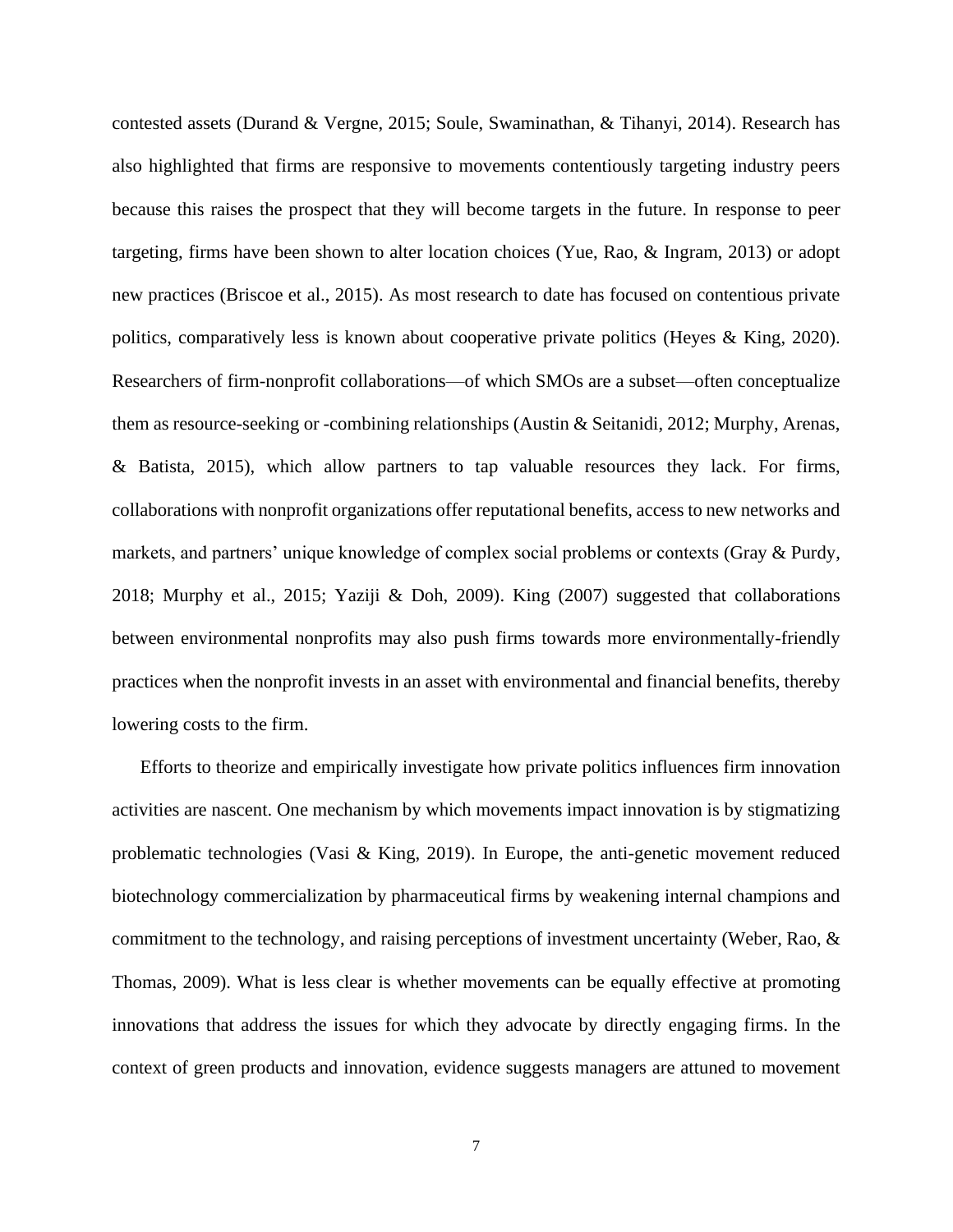contested assets (Durand & Vergne, 2015; Soule, Swaminathan, & Tihanyi, 2014). Research has also highlighted that firms are responsive to movements contentiously targeting industry peers because this raises the prospect that they will become targets in the future. In response to peer targeting, firms have been shown to alter location choices (Yue, Rao, & Ingram, 2013) or adopt new practices (Briscoe et al., 2015). As most research to date has focused on contentious private politics, comparatively less is known about cooperative private politics (Heyes & King, 2020). Researchers of firm-nonprofit collaborations—of which SMOs are a subset—often conceptualize them as resource-seeking or -combining relationships (Austin & Seitanidi, 2012; Murphy, Arenas, & Batista, 2015), which allow partners to tap valuable resources they lack. For firms, collaborations with nonprofit organizations offer reputational benefits, access to new networks and markets, and partners' unique knowledge of complex social problems or contexts (Gray & Purdy, 2018; Murphy et al., 2015; Yaziji & Doh, 2009). King (2007) suggested that collaborations between environmental nonprofits may also push firms towards more environmentally-friendly practices when the nonprofit invests in an asset with environmental and financial benefits, thereby lowering costs to the firm.

Efforts to theorize and empirically investigate how private politics influences firm innovation activities are nascent. One mechanism by which movements impact innovation is by stigmatizing problematic technologies (Vasi & King, 2019). In Europe, the anti-genetic movement reduced biotechnology commercialization by pharmaceutical firms by weakening internal champions and commitment to the technology, and raising perceptions of investment uncertainty (Weber, Rao, & Thomas, 2009). What is less clear is whether movements can be equally effective at promoting innovations that address the issues for which they advocate by directly engaging firms. In the context of green products and innovation, evidence suggests managers are attuned to movement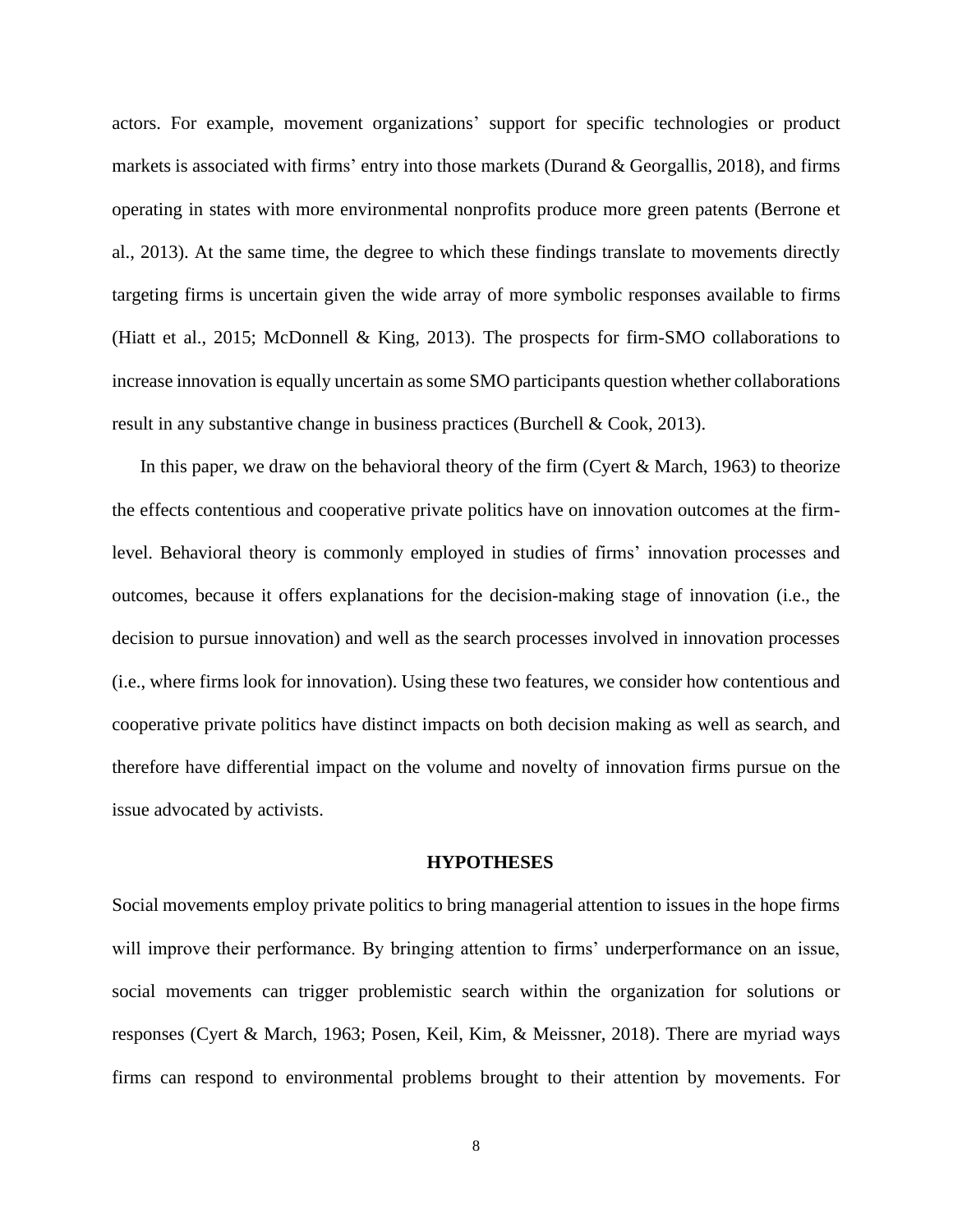actors. For example, movement organizations' support for specific technologies or product markets is associated with firms' entry into those markets (Durand & Georgallis, 2018), and firms operating in states with more environmental nonprofits produce more green patents (Berrone et al., 2013). At the same time, the degree to which these findings translate to movements directly targeting firms is uncertain given the wide array of more symbolic responses available to firms (Hiatt et al., 2015; McDonnell & King, 2013). The prospects for firm-SMO collaborations to increase innovation is equally uncertain as some SMO participants question whether collaborations result in any substantive change in business practices (Burchell & Cook, 2013).

In this paper, we draw on the behavioral theory of the firm (Cyert & March, 1963) to theorize the effects contentious and cooperative private politics have on innovation outcomes at the firmlevel. Behavioral theory is commonly employed in studies of firms' innovation processes and outcomes, because it offers explanations for the decision-making stage of innovation (i.e., the decision to pursue innovation) and well as the search processes involved in innovation processes (i.e., where firms look for innovation). Using these two features, we consider how contentious and cooperative private politics have distinct impacts on both decision making as well as search, and therefore have differential impact on the volume and novelty of innovation firms pursue on the issue advocated by activists.

### **HYPOTHESES**

Social movements employ private politics to bring managerial attention to issues in the hope firms will improve their performance. By bringing attention to firms' underperformance on an issue, social movements can trigger problemistic search within the organization for solutions or responses (Cyert & March, 1963; Posen, Keil, Kim, & Meissner, 2018). There are myriad ways firms can respond to environmental problems brought to their attention by movements. For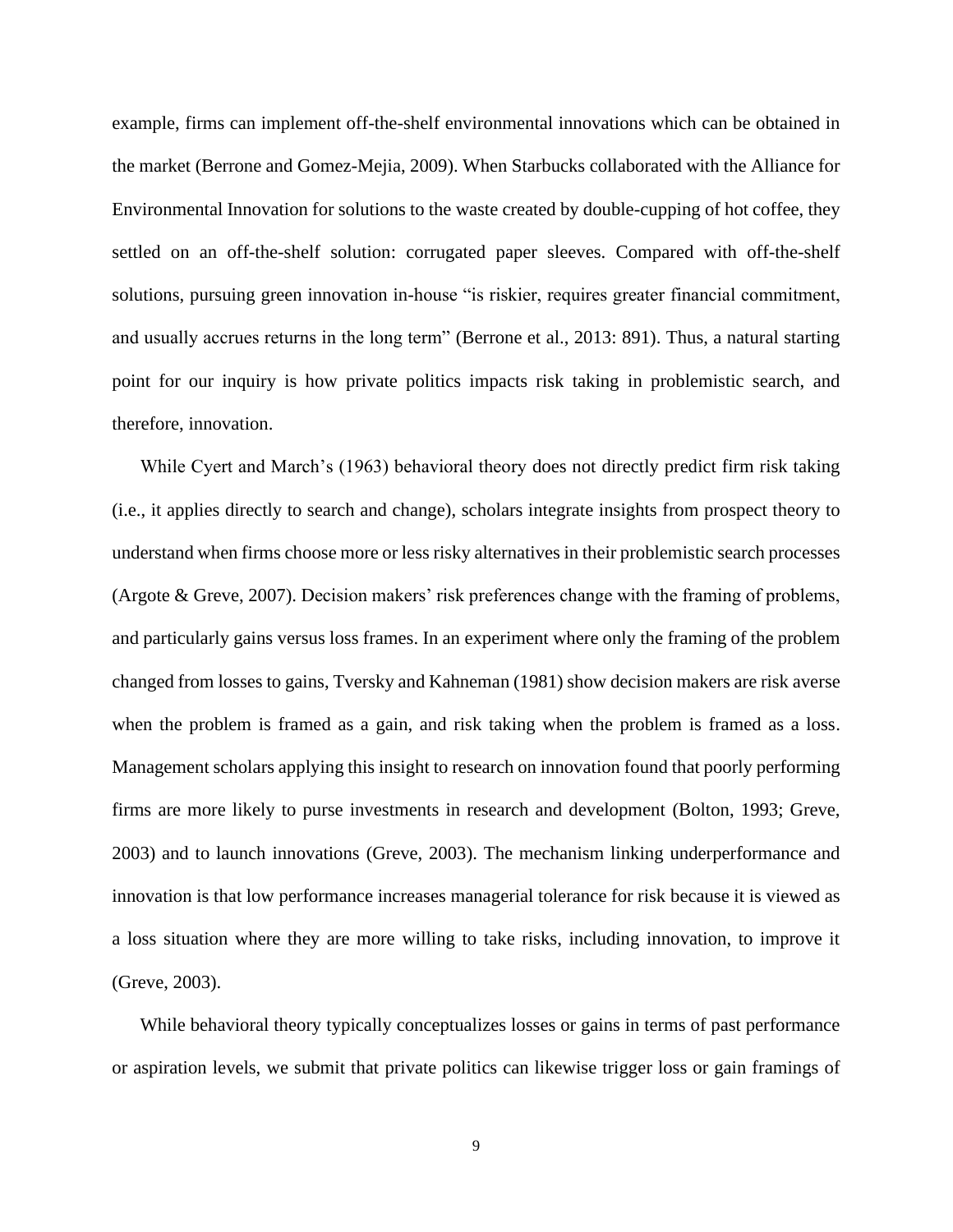example, firms can implement off-the-shelf environmental innovations which can be obtained in the market (Berrone and Gomez-Mejia, 2009). When Starbucks collaborated with the Alliance for Environmental Innovation for solutions to the waste created by double-cupping of hot coffee, they settled on an off-the-shelf solution: corrugated paper sleeves. Compared with off-the-shelf solutions, pursuing green innovation in-house "is riskier, requires greater financial commitment, and usually accrues returns in the long term" (Berrone et al., 2013: 891). Thus, a natural starting point for our inquiry is how private politics impacts risk taking in problemistic search, and therefore, innovation.

While Cyert and March's (1963) behavioral theory does not directly predict firm risk taking (i.e., it applies directly to search and change), scholars integrate insights from prospect theory to understand when firms choose more or less risky alternatives in their problemistic search processes (Argote & Greve, 2007). Decision makers' risk preferences change with the framing of problems, and particularly gains versus loss frames. In an experiment where only the framing of the problem changed from losses to gains, Tversky and Kahneman (1981) show decision makers are risk averse when the problem is framed as a gain, and risk taking when the problem is framed as a loss. Management scholars applying this insight to research on innovation found that poorly performing firms are more likely to purse investments in research and development (Bolton, 1993; Greve, 2003) and to launch innovations (Greve, 2003). The mechanism linking underperformance and innovation is that low performance increases managerial tolerance for risk because it is viewed as a loss situation where they are more willing to take risks, including innovation, to improve it (Greve, 2003).

While behavioral theory typically conceptualizes losses or gains in terms of past performance or aspiration levels, we submit that private politics can likewise trigger loss or gain framings of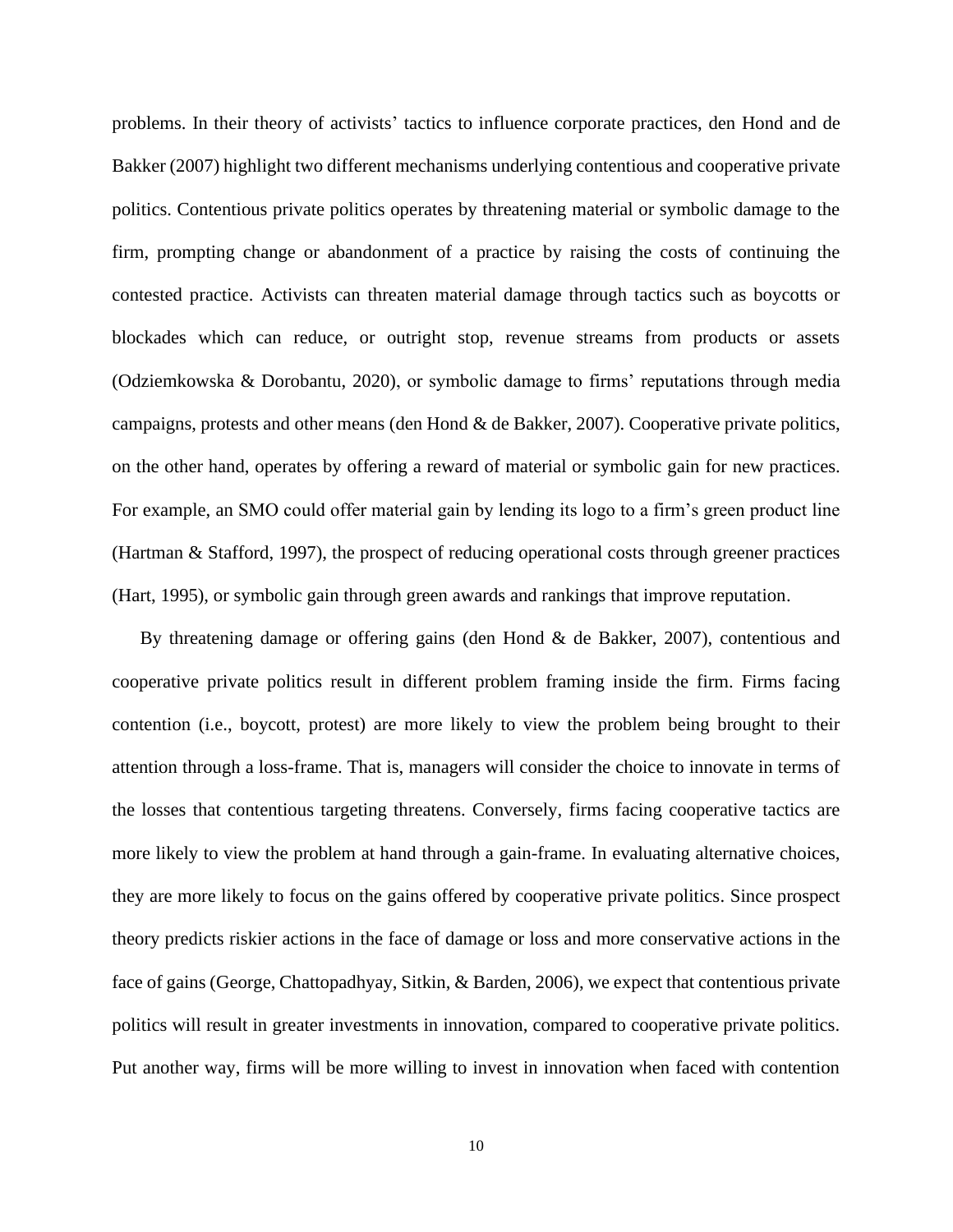problems. In their theory of activists' tactics to influence corporate practices, den Hond and de Bakker (2007) highlight two different mechanisms underlying contentious and cooperative private politics. Contentious private politics operates by threatening material or symbolic damage to the firm, prompting change or abandonment of a practice by raising the costs of continuing the contested practice. Activists can threaten material damage through tactics such as boycotts or blockades which can reduce, or outright stop, revenue streams from products or assets (Odziemkowska & Dorobantu, 2020), or symbolic damage to firms' reputations through media campaigns, protests and other means (den Hond & de Bakker, 2007). Cooperative private politics, on the other hand, operates by offering a reward of material or symbolic gain for new practices. For example, an SMO could offer material gain by lending its logo to a firm's green product line (Hartman & Stafford, 1997), the prospect of reducing operational costs through greener practices (Hart, 1995), or symbolic gain through green awards and rankings that improve reputation.

By threatening damage or offering gains (den Hond  $\&$  de Bakker, 2007), contentious and cooperative private politics result in different problem framing inside the firm. Firms facing contention (i.e., boycott, protest) are more likely to view the problem being brought to their attention through a loss-frame. That is, managers will consider the choice to innovate in terms of the losses that contentious targeting threatens. Conversely, firms facing cooperative tactics are more likely to view the problem at hand through a gain-frame. In evaluating alternative choices, they are more likely to focus on the gains offered by cooperative private politics. Since prospect theory predicts riskier actions in the face of damage or loss and more conservative actions in the face of gains (George, Chattopadhyay, Sitkin, & Barden, 2006), we expect that contentious private politics will result in greater investments in innovation, compared to cooperative private politics. Put another way, firms will be more willing to invest in innovation when faced with contention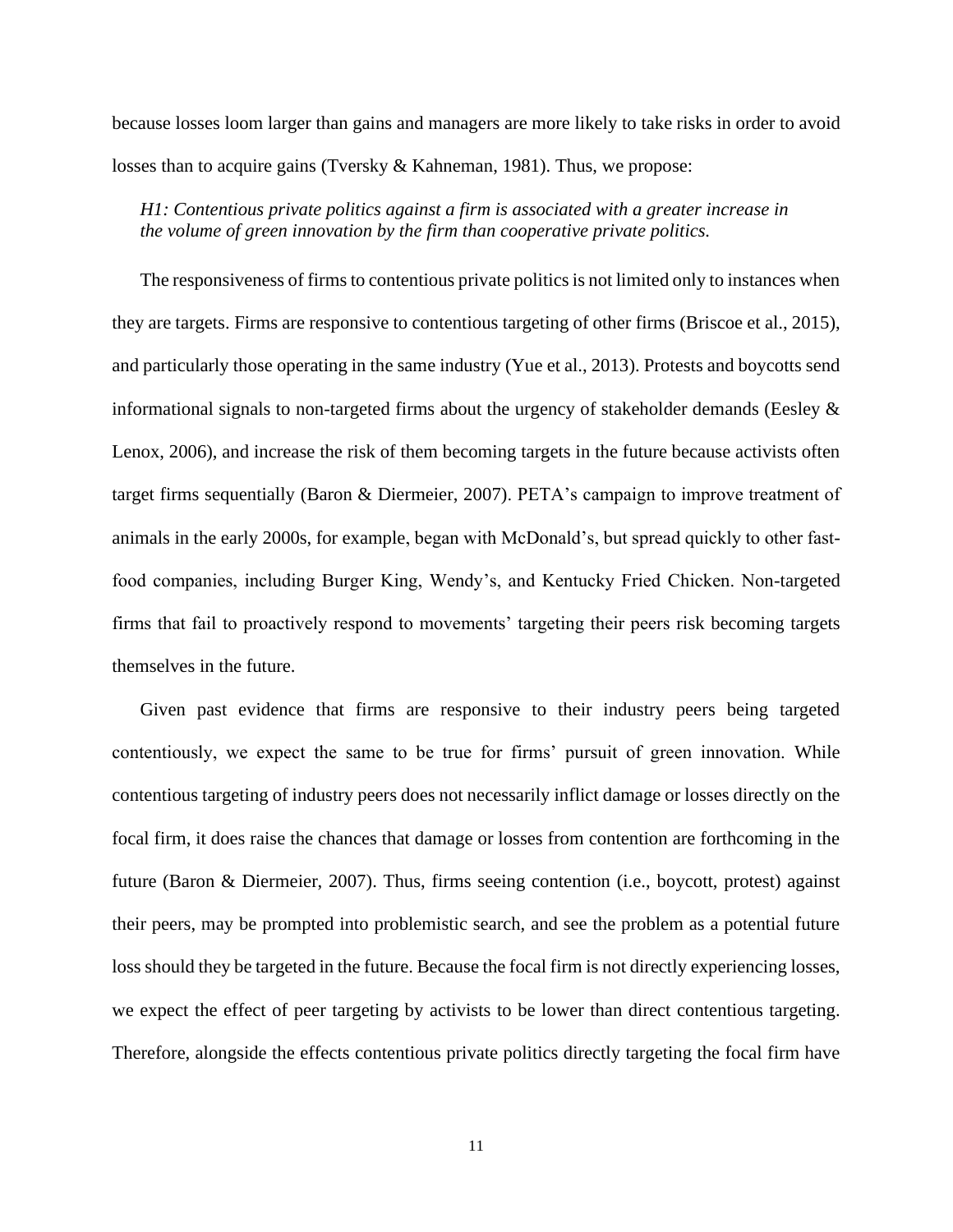because losses loom larger than gains and managers are more likely to take risks in order to avoid losses than to acquire gains (Tversky & Kahneman, 1981). Thus, we propose:

*H1: Contentious private politics against a firm is associated with a greater increase in the volume of green innovation by the firm than cooperative private politics.*

The responsiveness of firms to contentious private politics is not limited only to instances when they are targets. Firms are responsive to contentious targeting of other firms (Briscoe et al., 2015), and particularly those operating in the same industry (Yue et al., 2013). Protests and boycotts send informational signals to non-targeted firms about the urgency of stakeholder demands (Eesley & Lenox, 2006), and increase the risk of them becoming targets in the future because activists often target firms sequentially (Baron & Diermeier, 2007). PETA's campaign to improve treatment of animals in the early 2000s, for example, began with McDonald's, but spread quickly to other fastfood companies, including Burger King, Wendy's, and Kentucky Fried Chicken. Non-targeted firms that fail to proactively respond to movements' targeting their peers risk becoming targets themselves in the future.

Given past evidence that firms are responsive to their industry peers being targeted contentiously, we expect the same to be true for firms' pursuit of green innovation. While contentious targeting of industry peers does not necessarily inflict damage or losses directly on the focal firm, it does raise the chances that damage or losses from contention are forthcoming in the future (Baron & Diermeier, 2007). Thus, firms seeing contention (i.e., boycott, protest) against their peers, may be prompted into problemistic search, and see the problem as a potential future loss should they be targeted in the future. Because the focal firm is not directly experiencing losses, we expect the effect of peer targeting by activists to be lower than direct contentious targeting. Therefore, alongside the effects contentious private politics directly targeting the focal firm have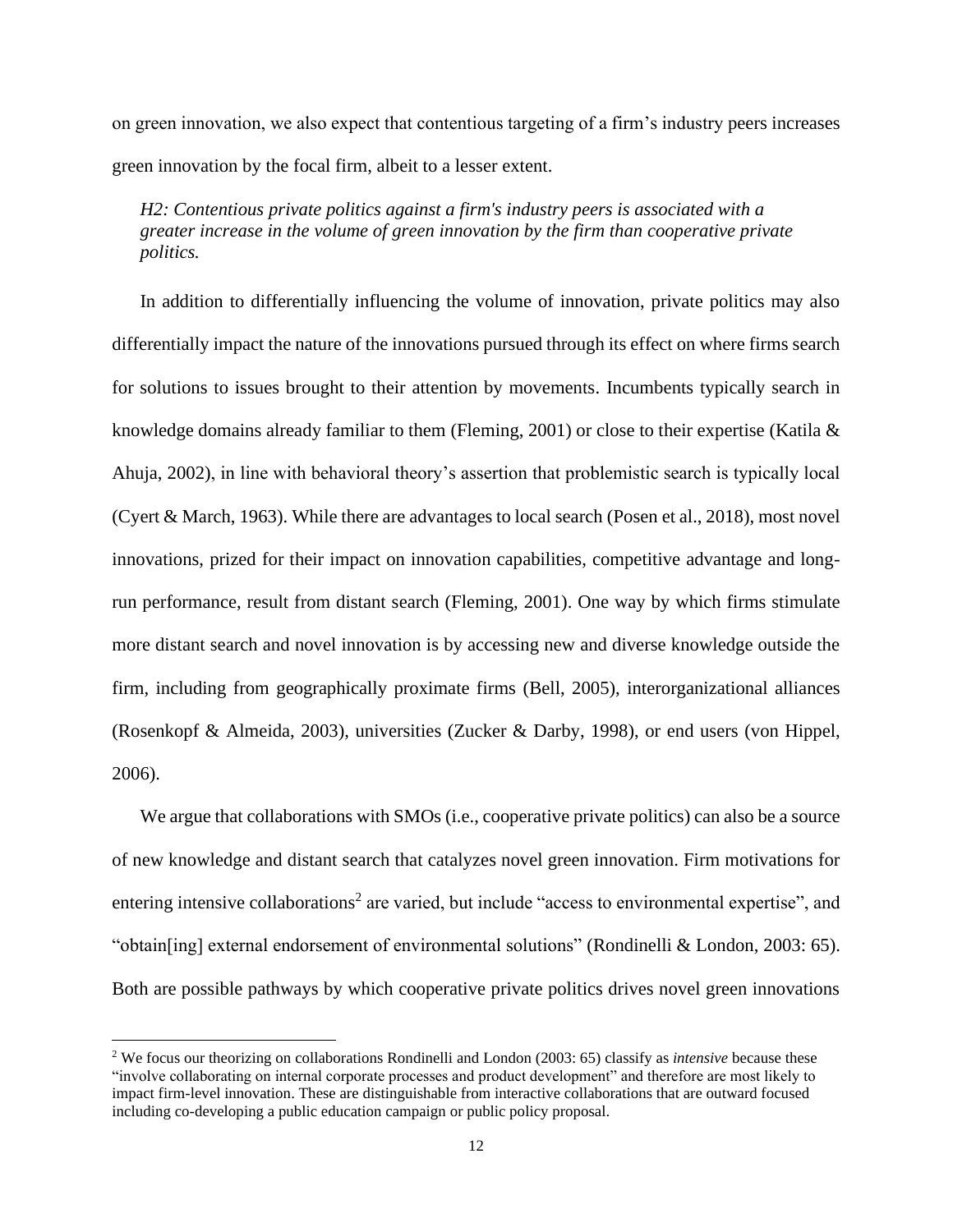on green innovation, we also expect that contentious targeting of a firm's industry peers increases green innovation by the focal firm, albeit to a lesser extent.

*H2: Contentious private politics against a firm's industry peers is associated with a greater increase in the volume of green innovation by the firm than cooperative private politics.*

In addition to differentially influencing the volume of innovation, private politics may also differentially impact the nature of the innovations pursued through its effect on where firms search for solutions to issues brought to their attention by movements. Incumbents typically search in knowledge domains already familiar to them (Fleming, 2001) or close to their expertise (Katila  $\&$ Ahuja, 2002), in line with behavioral theory's assertion that problemistic search is typically local (Cyert & March, 1963). While there are advantages to local search (Posen et al., 2018), most novel innovations, prized for their impact on innovation capabilities, competitive advantage and longrun performance, result from distant search (Fleming, 2001). One way by which firms stimulate more distant search and novel innovation is by accessing new and diverse knowledge outside the firm, including from geographically proximate firms (Bell, 2005), interorganizational alliances (Rosenkopf & Almeida, 2003), universities (Zucker & Darby, 1998), or end users (von Hippel, 2006).

We argue that collaborations with SMOs (i.e., cooperative private politics) can also be a source of new knowledge and distant search that catalyzes novel green innovation. Firm motivations for entering intensive collaborations<sup>2</sup> are varied, but include "access to environmental expertise", and "obtain[ing] external endorsement of environmental solutions" (Rondinelli & London, 2003: 65). Both are possible pathways by which cooperative private politics drives novel green innovations

<sup>2</sup> We focus our theorizing on collaborations Rondinelli and London (2003: 65) classify as *intensive* because these "involve collaborating on internal corporate processes and product development" and therefore are most likely to impact firm-level innovation. These are distinguishable from interactive collaborations that are outward focused including co-developing a public education campaign or public policy proposal.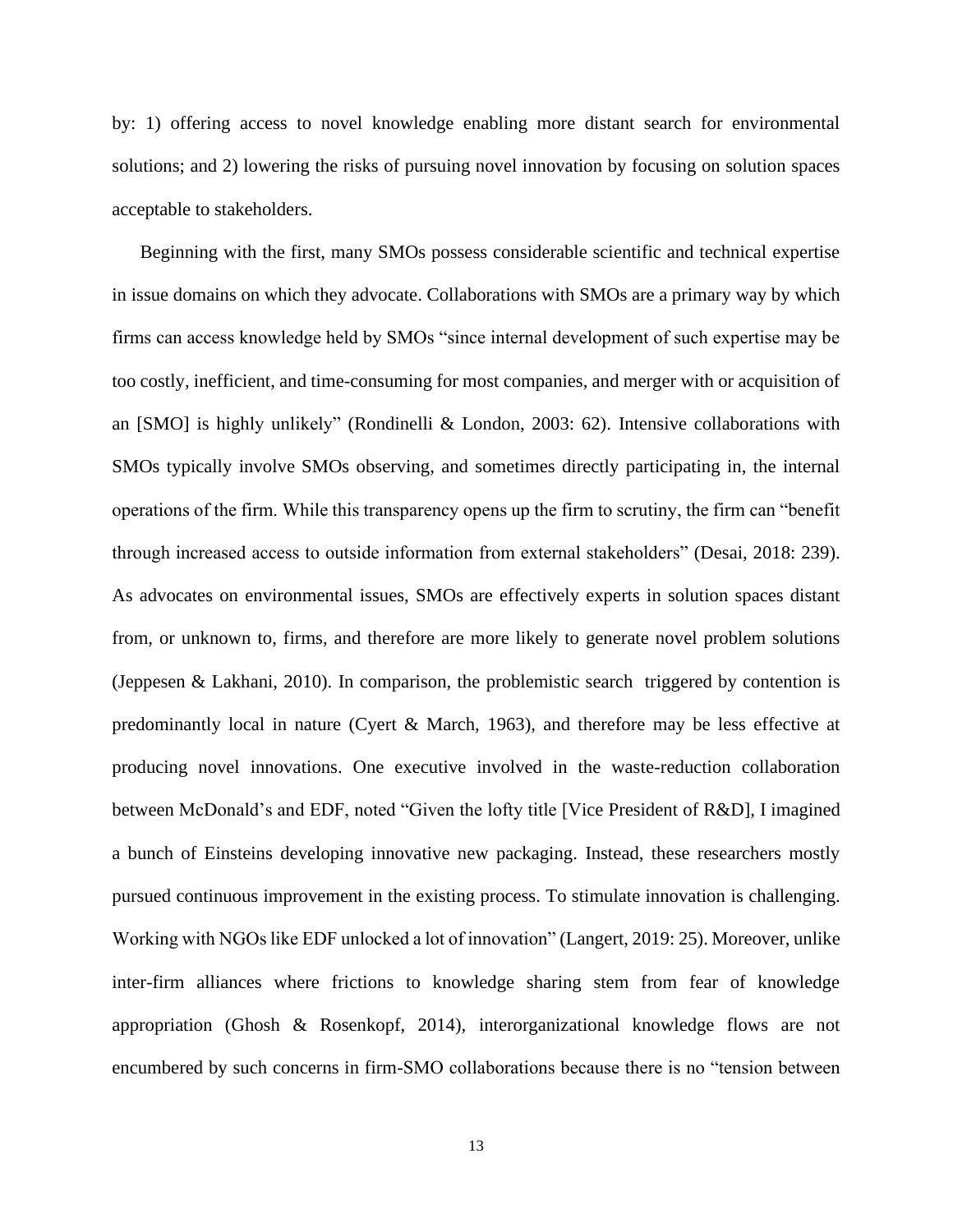by: 1) offering access to novel knowledge enabling more distant search for environmental solutions; and 2) lowering the risks of pursuing novel innovation by focusing on solution spaces acceptable to stakeholders.

Beginning with the first, many SMOs possess considerable scientific and technical expertise in issue domains on which they advocate. Collaborations with SMOs are a primary way by which firms can access knowledge held by SMOs "since internal development of such expertise may be too costly, inefficient, and time-consuming for most companies, and merger with or acquisition of an [SMO] is highly unlikely" (Rondinelli & London, 2003: 62). Intensive collaborations with SMOs typically involve SMOs observing, and sometimes directly participating in, the internal operations of the firm. While this transparency opens up the firm to scrutiny, the firm can "benefit through increased access to outside information from external stakeholders" (Desai, 2018: 239). As advocates on environmental issues, SMOs are effectively experts in solution spaces distant from, or unknown to, firms, and therefore are more likely to generate novel problem solutions (Jeppesen & Lakhani, 2010). In comparison, the problemistic search triggered by contention is predominantly local in nature (Cyert & March, 1963), and therefore may be less effective at producing novel innovations. One executive involved in the waste-reduction collaboration between McDonald's and EDF, noted "Given the lofty title [Vice President of R&D], I imagined a bunch of Einsteins developing innovative new packaging. Instead, these researchers mostly pursued continuous improvement in the existing process. To stimulate innovation is challenging. Working with NGOs like EDF unlocked a lot of innovation" (Langert, 2019: 25). Moreover, unlike inter-firm alliances where frictions to knowledge sharing stem from fear of knowledge appropriation (Ghosh & Rosenkopf, 2014), interorganizational knowledge flows are not encumbered by such concerns in firm-SMO collaborations because there is no "tension between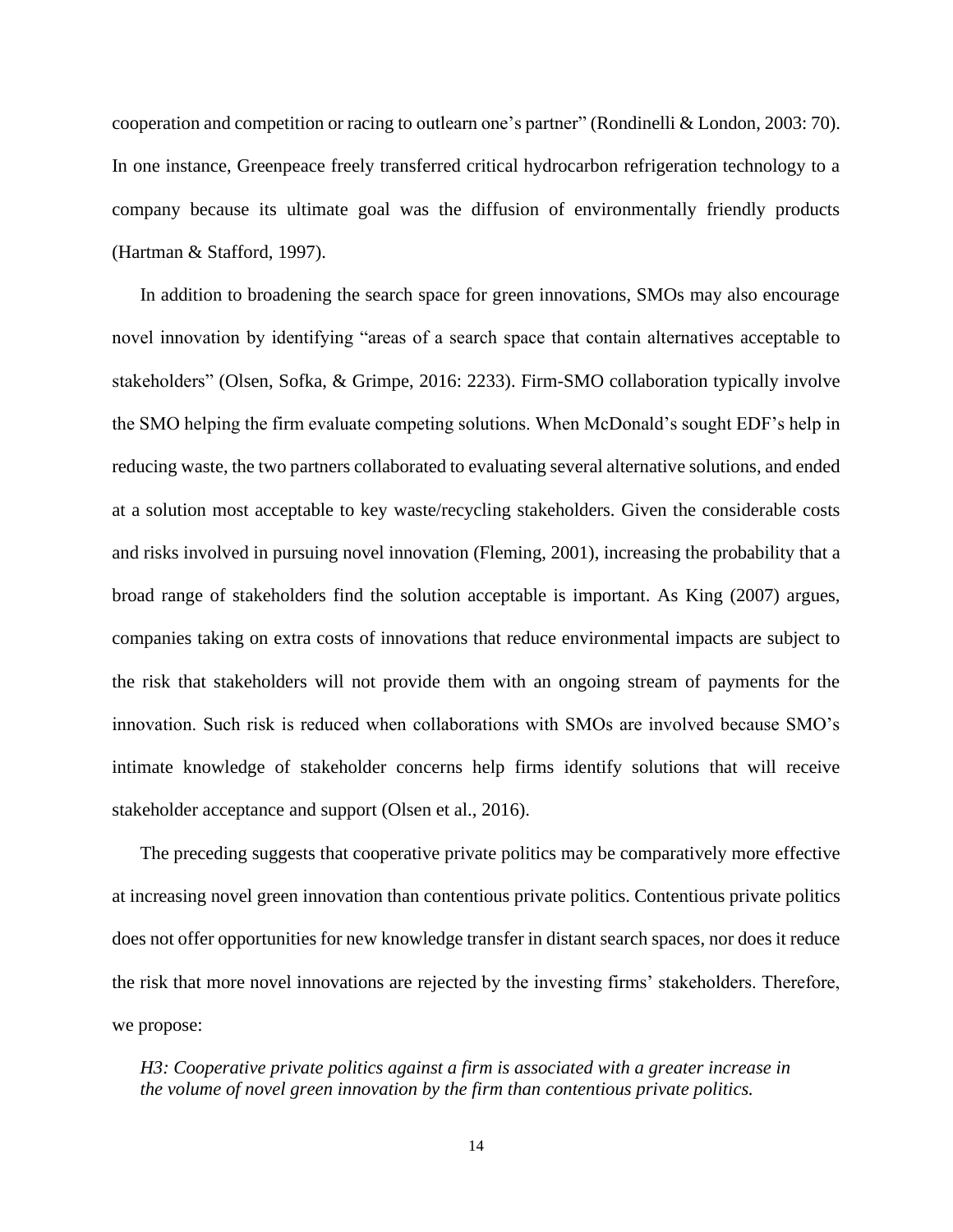cooperation and competition or racing to outlearn one's partner" (Rondinelli & London, 2003: 70). In one instance, Greenpeace freely transferred critical hydrocarbon refrigeration technology to a company because its ultimate goal was the diffusion of environmentally friendly products (Hartman & Stafford, 1997).

In addition to broadening the search space for green innovations, SMOs may also encourage novel innovation by identifying "areas of a search space that contain alternatives acceptable to stakeholders" (Olsen, Sofka, & Grimpe, 2016: 2233). Firm-SMO collaboration typically involve the SMO helping the firm evaluate competing solutions. When McDonald's sought EDF's help in reducing waste, the two partners collaborated to evaluating several alternative solutions, and ended at a solution most acceptable to key waste/recycling stakeholders. Given the considerable costs and risks involved in pursuing novel innovation (Fleming, 2001), increasing the probability that a broad range of stakeholders find the solution acceptable is important. As King (2007) argues, companies taking on extra costs of innovations that reduce environmental impacts are subject to the risk that stakeholders will not provide them with an ongoing stream of payments for the innovation. Such risk is reduced when collaborations with SMOs are involved because SMO's intimate knowledge of stakeholder concerns help firms identify solutions that will receive stakeholder acceptance and support (Olsen et al., 2016).

The preceding suggests that cooperative private politics may be comparatively more effective at increasing novel green innovation than contentious private politics. Contentious private politics does not offer opportunities for new knowledge transfer in distant search spaces, nor does it reduce the risk that more novel innovations are rejected by the investing firms' stakeholders. Therefore, we propose:

*H3: Cooperative private politics against a firm is associated with a greater increase in the volume of novel green innovation by the firm than contentious private politics.*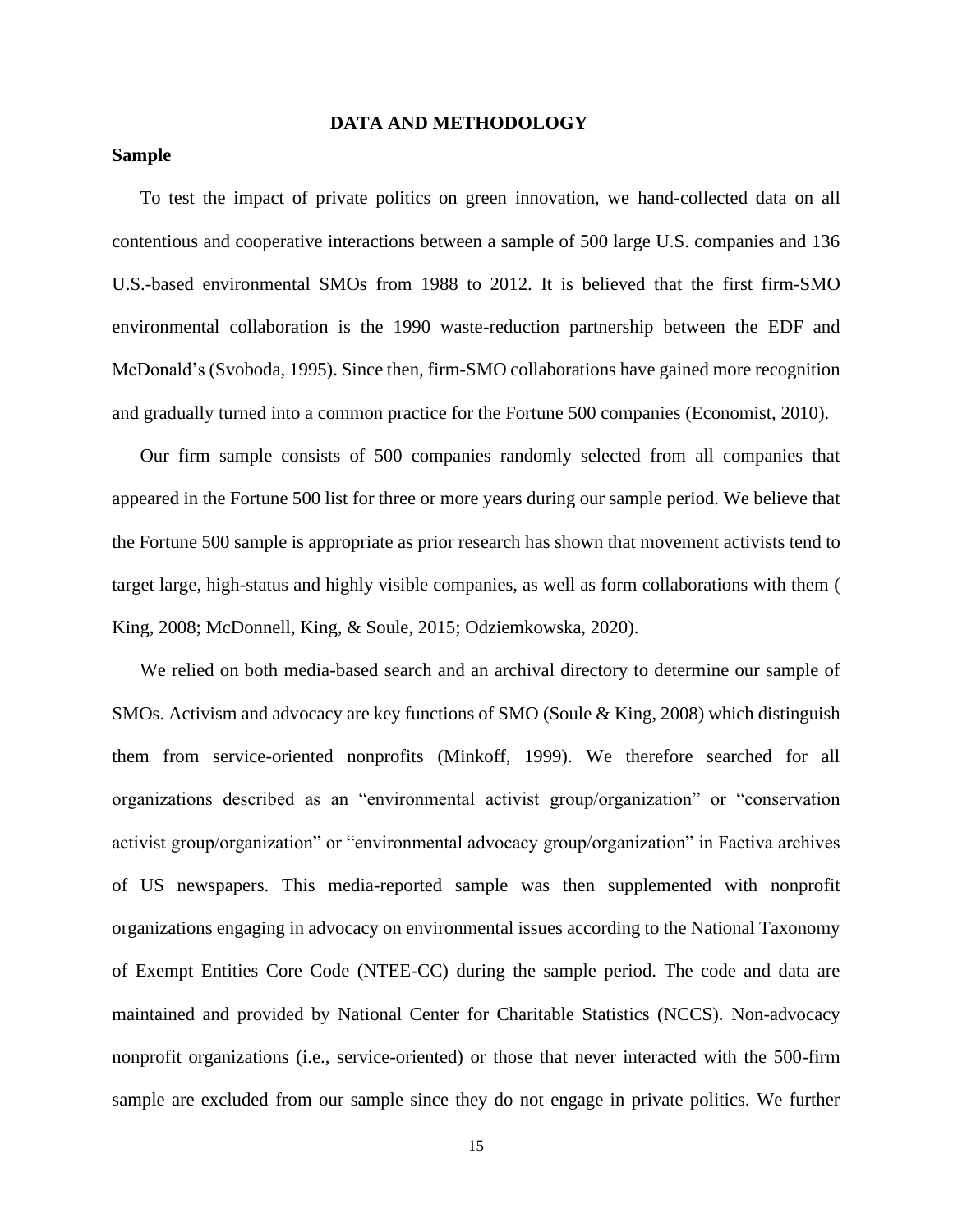### **DATA AND METHODOLOGY**

## **Sample**

To test the impact of private politics on green innovation, we hand-collected data on all contentious and cooperative interactions between a sample of 500 large U.S. companies and 136 U.S.-based environmental SMOs from 1988 to 2012. It is believed that the first firm-SMO environmental collaboration is the 1990 waste-reduction partnership between the EDF and McDonald's (Svoboda, 1995). Since then, firm-SMO collaborations have gained more recognition and gradually turned into a common practice for the Fortune 500 companies (Economist, 2010).

Our firm sample consists of 500 companies randomly selected from all companies that appeared in the Fortune 500 list for three or more years during our sample period. We believe that the Fortune 500 sample is appropriate as prior research has shown that movement activists tend to target large, high-status and highly visible companies, as well as form collaborations with them ( King, 2008; McDonnell, King, & Soule, 2015; Odziemkowska, 2020).

We relied on both media-based search and an archival directory to determine our sample of SMOs. Activism and advocacy are key functions of SMO (Soule & King, 2008) which distinguish them from service-oriented nonprofits (Minkoff, 1999). We therefore searched for all organizations described as an "environmental activist group/organization" or "conservation activist group/organization" or "environmental advocacy group/organization" in Factiva archives of US newspapers. This media-reported sample was then supplemented with nonprofit organizations engaging in advocacy on environmental issues according to the National Taxonomy of Exempt Entities Core Code (NTEE-CC) during the sample period. The code and data are maintained and provided by National Center for Charitable Statistics (NCCS). Non-advocacy nonprofit organizations (i.e., service-oriented) or those that never interacted with the 500-firm sample are excluded from our sample since they do not engage in private politics. We further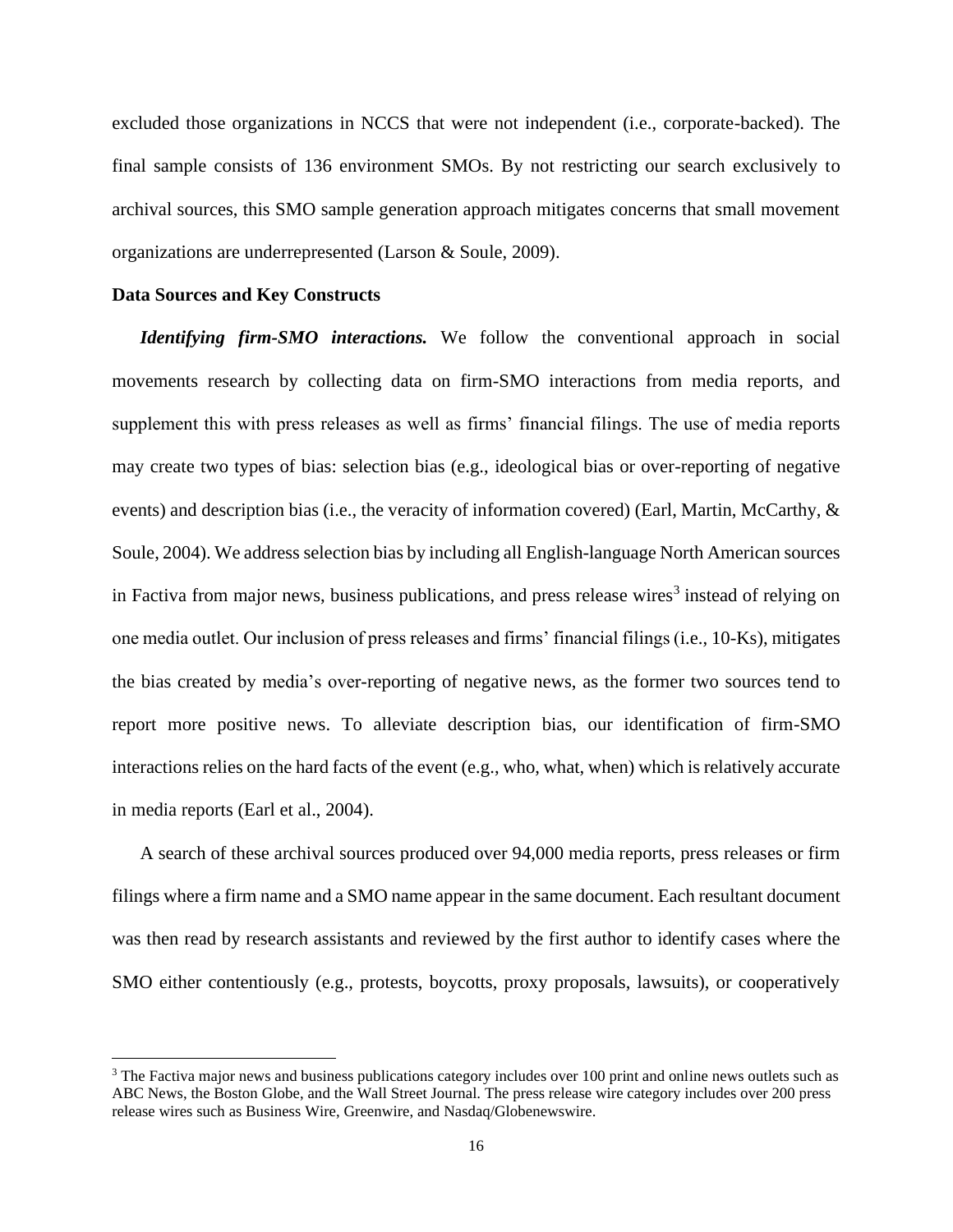excluded those organizations in NCCS that were not independent (i.e., corporate-backed). The final sample consists of 136 environment SMOs. By not restricting our search exclusively to archival sources, this SMO sample generation approach mitigates concerns that small movement organizations are underrepresented (Larson & Soule, 2009).

## **Data Sources and Key Constructs**

*Identifying firm-SMO interactions.* We follow the conventional approach in social movements research by collecting data on firm-SMO interactions from media reports, and supplement this with press releases as well as firms' financial filings. The use of media reports may create two types of bias: selection bias (e.g., ideological bias or over-reporting of negative events) and description bias (i.e., the veracity of information covered) (Earl, Martin, McCarthy, & Soule, 2004). We address selection bias by including all English-language North American sources in Factiva from major news, business publications, and press release wires<sup>3</sup> instead of relying on one media outlet. Our inclusion of press releases and firms' financial filings (i.e., 10-Ks), mitigates the bias created by media's over-reporting of negative news, as the former two sources tend to report more positive news. To alleviate description bias, our identification of firm-SMO interactions relies on the hard facts of the event (e.g., who, what, when) which is relatively accurate in media reports (Earl et al., 2004).

A search of these archival sources produced over 94,000 media reports, press releases or firm filings where a firm name and a SMO name appear in the same document. Each resultant document was then read by research assistants and reviewed by the first author to identify cases where the SMO either contentiously (e.g., protests, boycotts, proxy proposals, lawsuits), or cooperatively

<sup>&</sup>lt;sup>3</sup> The Factiva major news and business publications category includes over 100 print and online news outlets such as ABC News, the Boston Globe, and the Wall Street Journal. The press release wire category includes over 200 press release wires such as Business Wire, Greenwire, and Nasdaq/Globenewswire.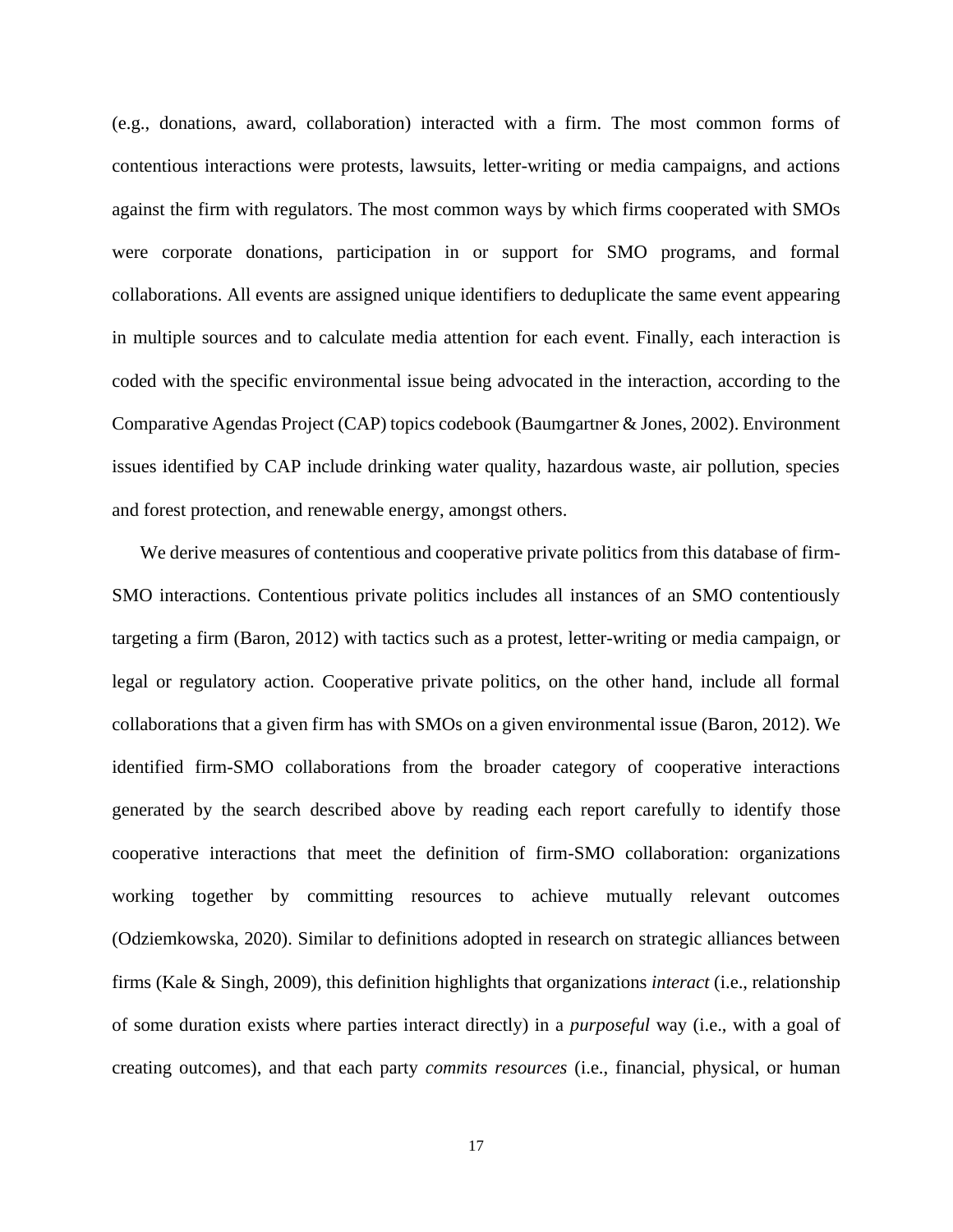(e.g., donations, award, collaboration) interacted with a firm. The most common forms of contentious interactions were protests, lawsuits, letter-writing or media campaigns, and actions against the firm with regulators. The most common ways by which firms cooperated with SMOs were corporate donations, participation in or support for SMO programs, and formal collaborations. All events are assigned unique identifiers to deduplicate the same event appearing in multiple sources and to calculate media attention for each event. Finally, each interaction is coded with the specific environmental issue being advocated in the interaction, according to the Comparative Agendas Project (CAP) topics codebook (Baumgartner & Jones, 2002). Environment issues identified by CAP include drinking water quality, hazardous waste, air pollution, species and forest protection, and renewable energy, amongst others.

We derive measures of contentious and cooperative private politics from this database of firm-SMO interactions. Contentious private politics includes all instances of an SMO contentiously targeting a firm (Baron, 2012) with tactics such as a protest, letter-writing or media campaign, or legal or regulatory action. Cooperative private politics, on the other hand, include all formal collaborations that a given firm has with SMOs on a given environmental issue (Baron, 2012). We identified firm-SMO collaborations from the broader category of cooperative interactions generated by the search described above by reading each report carefully to identify those cooperative interactions that meet the definition of firm-SMO collaboration: organizations working together by committing resources to achieve mutually relevant outcomes (Odziemkowska, 2020). Similar to definitions adopted in research on strategic alliances between firms (Kale & Singh, 2009), this definition highlights that organizations *interact* (i.e., relationship of some duration exists where parties interact directly) in a *purposeful* way (i.e., with a goal of creating outcomes), and that each party *commits resources* (i.e., financial, physical, or human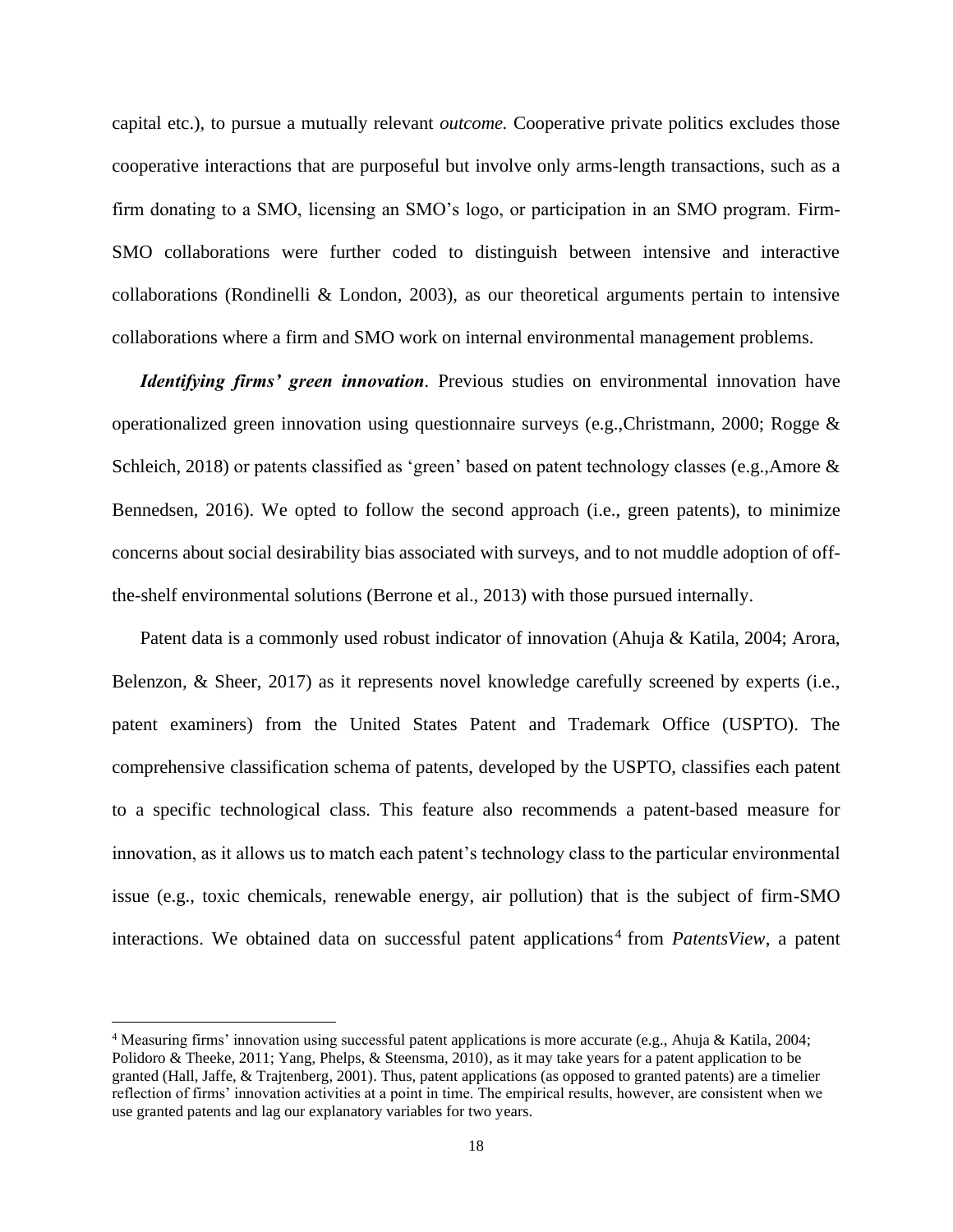capital etc.), to pursue a mutually relevant *outcome.* Cooperative private politics excludes those cooperative interactions that are purposeful but involve only arms-length transactions, such as a firm donating to a SMO, licensing an SMO's logo, or participation in an SMO program. Firm-SMO collaborations were further coded to distinguish between intensive and interactive collaborations (Rondinelli & London, 2003), as our theoretical arguments pertain to intensive collaborations where a firm and SMO work on internal environmental management problems.

*Identifying firms' green innovation.* Previous studies on environmental innovation have operationalized green innovation using questionnaire surveys (e.g.,Christmann, 2000; Rogge & Schleich, 2018) or patents classified as 'green' based on patent technology classes (e.g.,Amore & Bennedsen, 2016). We opted to follow the second approach (i.e., green patents), to minimize concerns about social desirability bias associated with surveys, and to not muddle adoption of offthe-shelf environmental solutions (Berrone et al., 2013) with those pursued internally.

Patent data is a commonly used robust indicator of innovation (Ahuja & Katila, 2004; Arora, Belenzon, & Sheer, 2017) as it represents novel knowledge carefully screened by experts (i.e., patent examiners) from the United States Patent and Trademark Office (USPTO). The comprehensive classification schema of patents, developed by the USPTO, classifies each patent to a specific technological class. This feature also recommends a patent-based measure for innovation, as it allows us to match each patent's technology class to the particular environmental issue (e.g., toxic chemicals, renewable energy, air pollution) that is the subject of firm-SMO interactions. We obtained data on successful patent applications<sup>4</sup> from *PatentsView*, a patent

<sup>4</sup> Measuring firms' innovation using successful patent applications is more accurate (e.g., Ahuja & Katila, 2004; Polidoro & Theeke, 2011; Yang, Phelps, & Steensma, 2010), as it may take years for a patent application to be granted (Hall, Jaffe, & Trajtenberg, 2001). Thus, patent applications (as opposed to granted patents) are a timelier reflection of firms' innovation activities at a point in time. The empirical results, however, are consistent when we use granted patents and lag our explanatory variables for two years.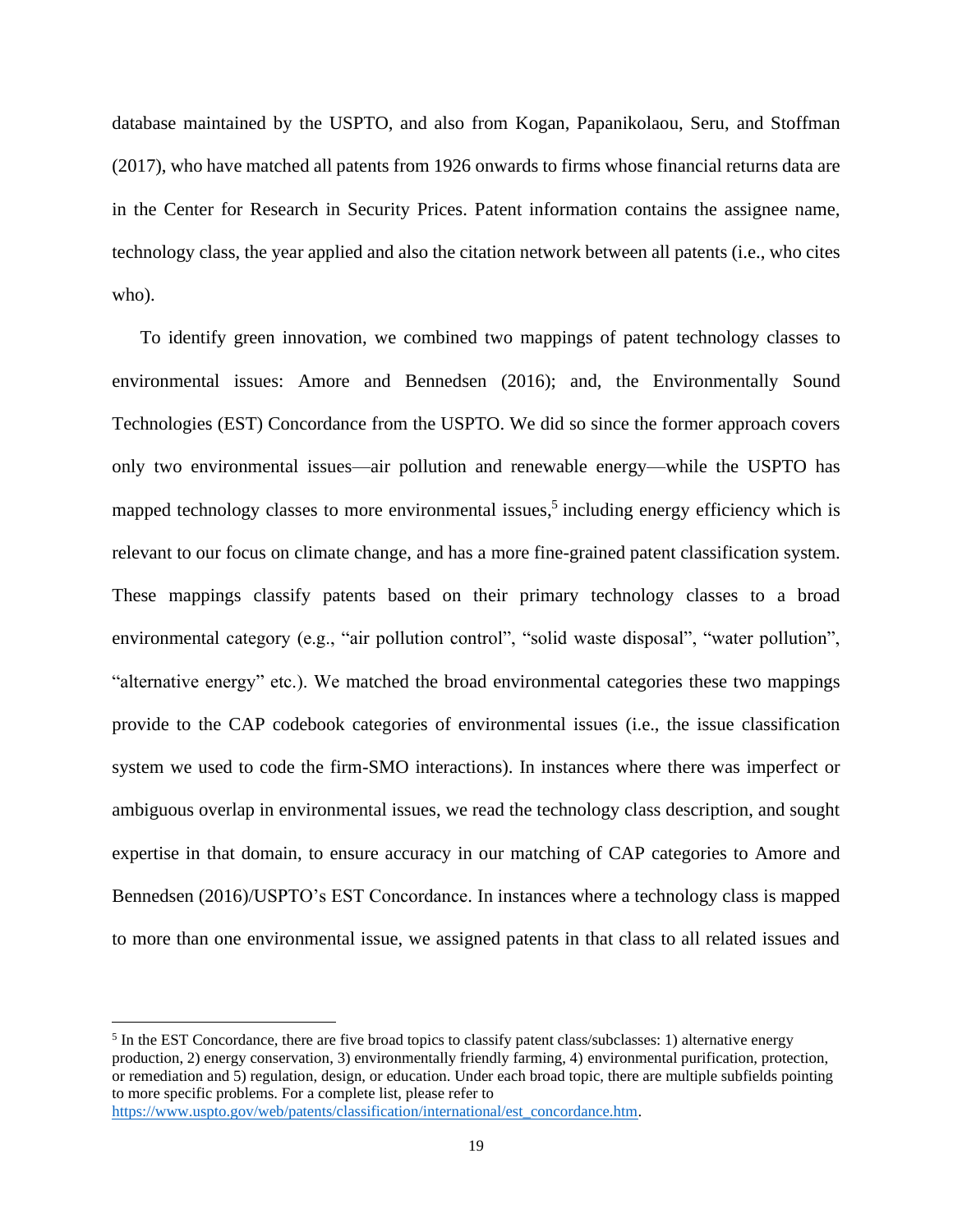database maintained by the USPTO, and also from Kogan, Papanikolaou, Seru, and Stoffman (2017), who have matched all patents from 1926 onwards to firms whose financial returns data are in the Center for Research in Security Prices. Patent information contains the assignee name, technology class, the year applied and also the citation network between all patents (i.e., who cites who).

To identify green innovation, we combined two mappings of patent technology classes to environmental issues: Amore and Bennedsen (2016); and, the Environmentally Sound Technologies (EST) Concordance from the USPTO. We did so since the former approach covers only two environmental issues—air pollution and renewable energy—while the USPTO has mapped technology classes to more environmental issues,<sup>5</sup> including energy efficiency which is relevant to our focus on climate change, and has a more fine-grained patent classification system. These mappings classify patents based on their primary technology classes to a broad environmental category (e.g., "air pollution control", "solid waste disposal", "water pollution", "alternative energy" etc.). We matched the broad environmental categories these two mappings provide to the CAP codebook categories of environmental issues (i.e., the issue classification system we used to code the firm-SMO interactions). In instances where there was imperfect or ambiguous overlap in environmental issues, we read the technology class description, and sought expertise in that domain, to ensure accuracy in our matching of CAP categories to Amore and Bennedsen (2016)/USPTO's EST Concordance. In instances where a technology class is mapped to more than one environmental issue, we assigned patents in that class to all related issues and

 $<sup>5</sup>$  In the EST Concordance, there are five broad topics to classify patent class/subclasses: 1) alternative energy</sup> production, 2) energy conservation, 3) environmentally friendly farming, 4) environmental purification, protection, or remediation and 5) regulation, design, or education. Under each broad topic, there are multiple subfields pointing to more specific problems. For a complete list, please refer to [https://www.uspto.gov/web/patents/classification/international/est\\_concordance.htm.](https://www.uspto.gov/web/patents/classification/international/est_concordance.htm)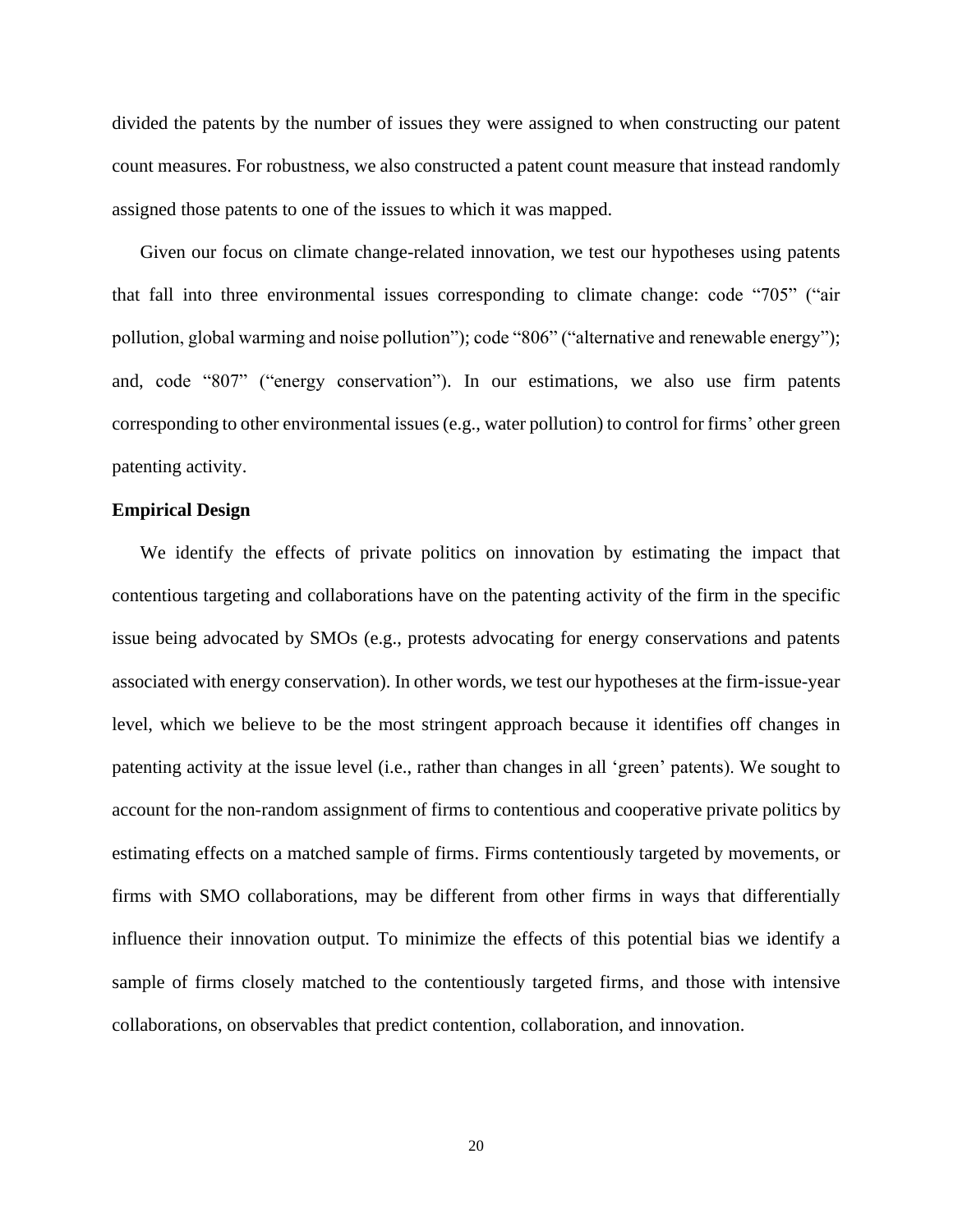divided the patents by the number of issues they were assigned to when constructing our patent count measures. For robustness, we also constructed a patent count measure that instead randomly assigned those patents to one of the issues to which it was mapped.

Given our focus on climate change-related innovation, we test our hypotheses using patents that fall into three environmental issues corresponding to climate change: code "705" ("air pollution, global warming and noise pollution"); code "806" ("alternative and renewable energy"); and, code "807" ("energy conservation"). In our estimations, we also use firm patents corresponding to other environmental issues (e.g., water pollution) to control for firms' other green patenting activity.

# **Empirical Design**

We identify the effects of private politics on innovation by estimating the impact that contentious targeting and collaborations have on the patenting activity of the firm in the specific issue being advocated by SMOs (e.g., protests advocating for energy conservations and patents associated with energy conservation). In other words, we test our hypotheses at the firm-issue-year level, which we believe to be the most stringent approach because it identifies off changes in patenting activity at the issue level (i.e., rather than changes in all 'green' patents). We sought to account for the non-random assignment of firms to contentious and cooperative private politics by estimating effects on a matched sample of firms. Firms contentiously targeted by movements, or firms with SMO collaborations, may be different from other firms in ways that differentially influence their innovation output. To minimize the effects of this potential bias we identify a sample of firms closely matched to the contentiously targeted firms, and those with intensive collaborations, on observables that predict contention, collaboration, and innovation.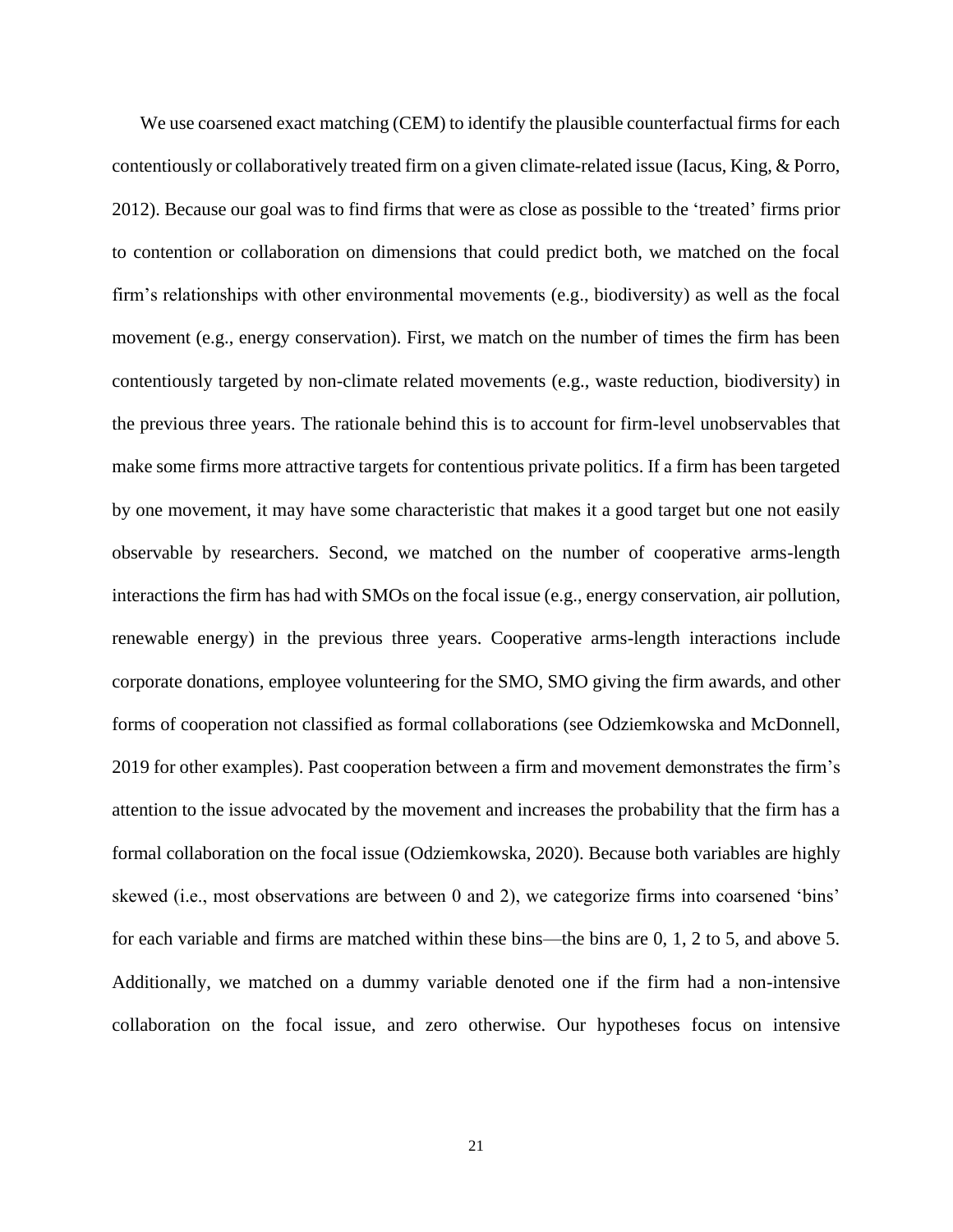We use coarsened exact matching (CEM) to identify the plausible counterfactual firms for each contentiously or collaboratively treated firm on a given climate-related issue (Iacus, King, & Porro, 2012). Because our goal was to find firms that were as close as possible to the 'treated' firms prior to contention or collaboration on dimensions that could predict both, we matched on the focal firm's relationships with other environmental movements (e.g., biodiversity) as well as the focal movement (e.g., energy conservation). First, we match on the number of times the firm has been contentiously targeted by non-climate related movements (e.g., waste reduction, biodiversity) in the previous three years. The rationale behind this is to account for firm-level unobservables that make some firms more attractive targets for contentious private politics. If a firm has been targeted by one movement, it may have some characteristic that makes it a good target but one not easily observable by researchers. Second, we matched on the number of cooperative arms-length interactions the firm has had with SMOs on the focal issue (e.g., energy conservation, air pollution, renewable energy) in the previous three years. Cooperative arms-length interactions include corporate donations, employee volunteering for the SMO, SMO giving the firm awards, and other forms of cooperation not classified as formal collaborations (see Odziemkowska and McDonnell, 2019 for other examples). Past cooperation between a firm and movement demonstrates the firm's attention to the issue advocated by the movement and increases the probability that the firm has a formal collaboration on the focal issue (Odziemkowska, 2020). Because both variables are highly skewed (i.e., most observations are between 0 and 2), we categorize firms into coarsened 'bins' for each variable and firms are matched within these bins—the bins are 0, 1, 2 to 5, and above 5. Additionally, we matched on a dummy variable denoted one if the firm had a non-intensive collaboration on the focal issue, and zero otherwise. Our hypotheses focus on intensive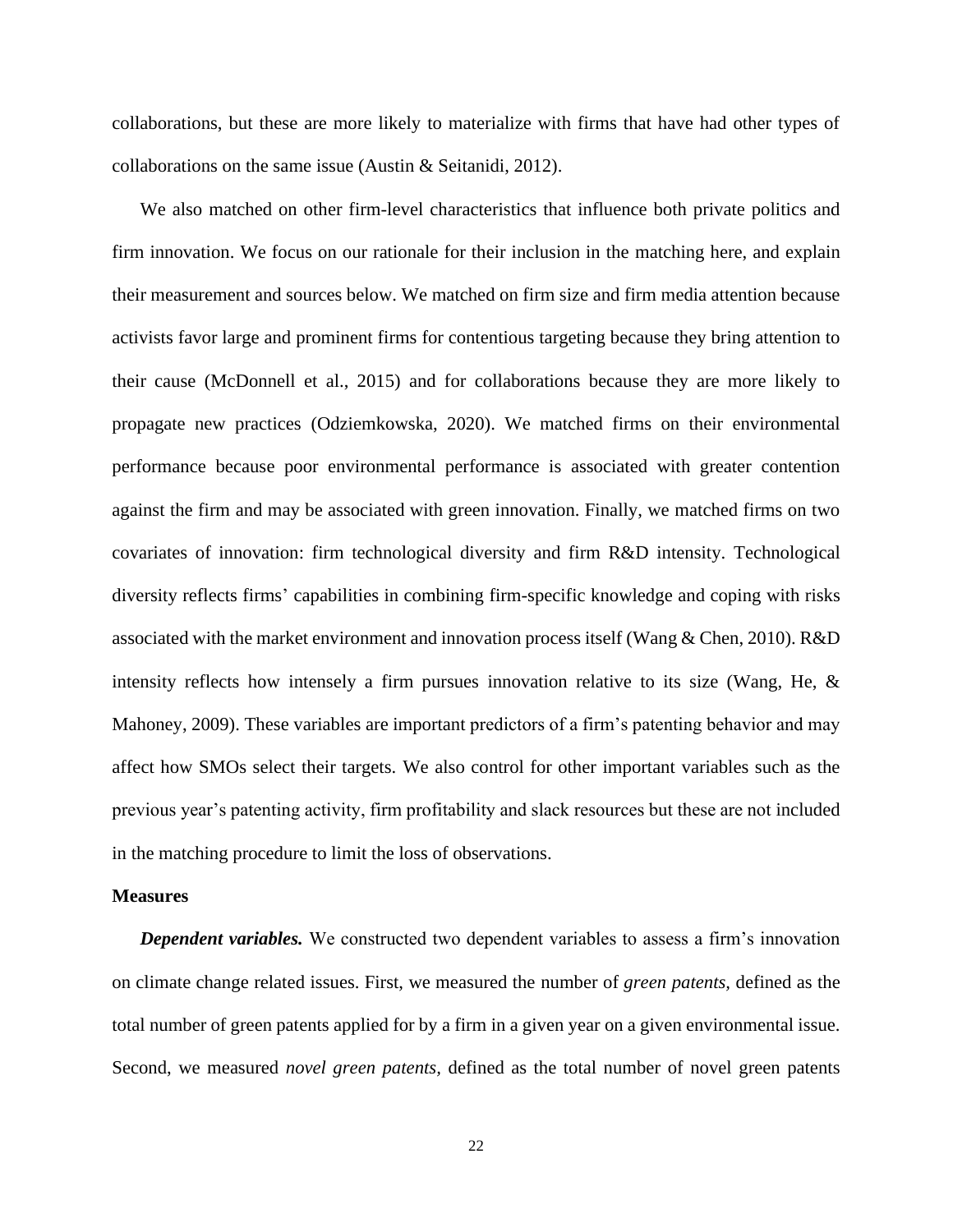collaborations, but these are more likely to materialize with firms that have had other types of collaborations on the same issue (Austin & Seitanidi, 2012).

We also matched on other firm-level characteristics that influence both private politics and firm innovation. We focus on our rationale for their inclusion in the matching here, and explain their measurement and sources below. We matched on firm size and firm media attention because activists favor large and prominent firms for contentious targeting because they bring attention to their cause (McDonnell et al., 2015) and for collaborations because they are more likely to propagate new practices (Odziemkowska, 2020). We matched firms on their environmental performance because poor environmental performance is associated with greater contention against the firm and may be associated with green innovation. Finally, we matched firms on two covariates of innovation: firm technological diversity and firm R&D intensity. Technological diversity reflects firms' capabilities in combining firm-specific knowledge and coping with risks associated with the market environment and innovation process itself (Wang & Chen, 2010). R&D intensity reflects how intensely a firm pursues innovation relative to its size (Wang, He,  $\&$ Mahoney, 2009). These variables are important predictors of a firm's patenting behavior and may affect how SMOs select their targets. We also control for other important variables such as the previous year's patenting activity, firm profitability and slack resources but these are not included in the matching procedure to limit the loss of observations.

#### **Measures**

*Dependent variables.* We constructed two dependent variables to assess a firm's innovation on climate change related issues. First, we measured the number of *green patents,* defined as the total number of green patents applied for by a firm in a given year on a given environmental issue. Second, we measured *novel green patents,* defined as the total number of novel green patents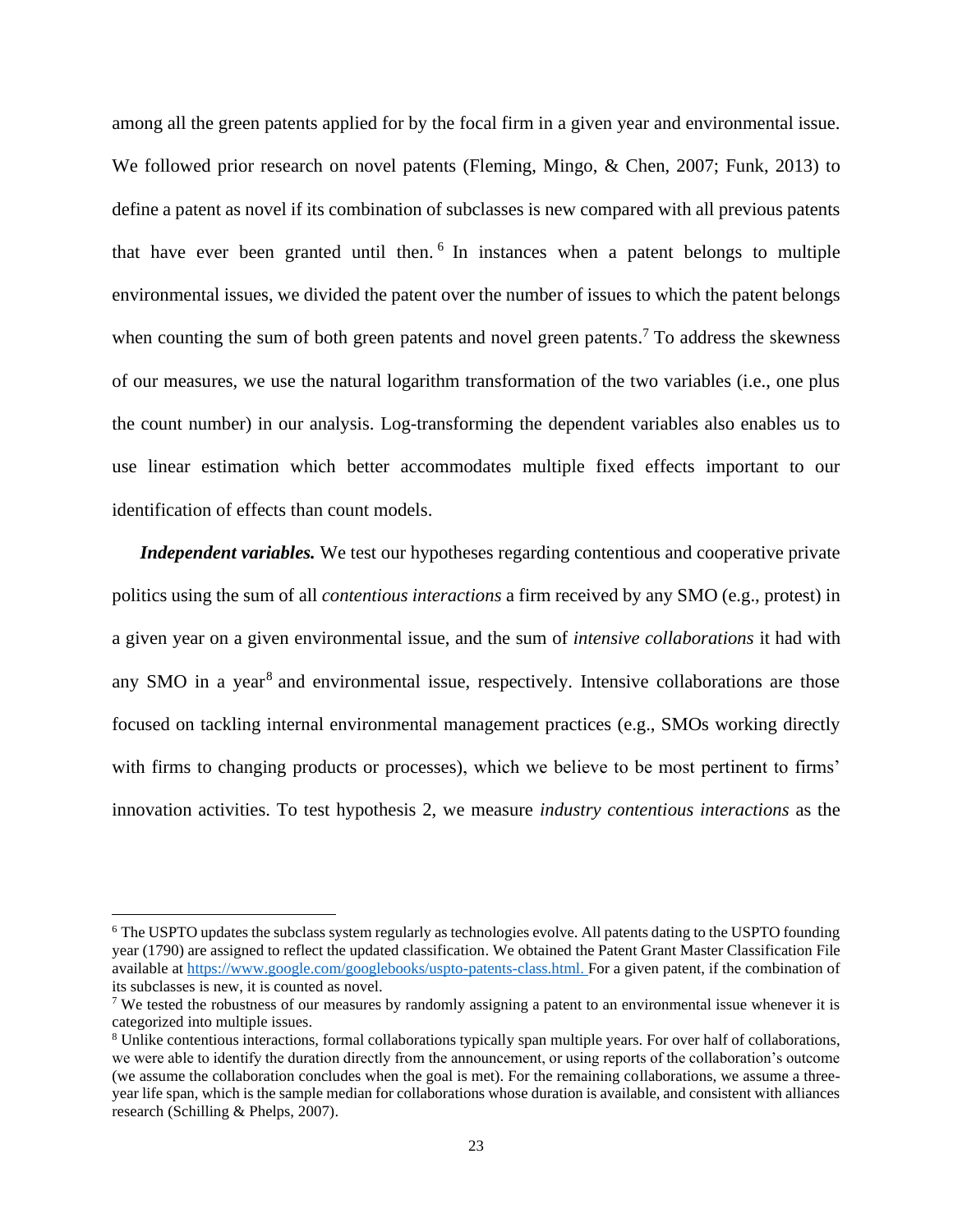among all the green patents applied for by the focal firm in a given year and environmental issue. We followed prior research on novel patents (Fleming, Mingo, & Chen, 2007; Funk, 2013) to define a patent as novel if its combination of subclasses is new compared with all previous patents that have ever been granted until then. 6 In instances when a patent belongs to multiple environmental issues, we divided the patent over the number of issues to which the patent belongs when counting the sum of both green patents and novel green patents.<sup>7</sup> To address the skewness of our measures, we use the natural logarithm transformation of the two variables (i.e., one plus the count number) in our analysis. Log-transforming the dependent variables also enables us to use linear estimation which better accommodates multiple fixed effects important to our identification of effects than count models.

*Independent variables*. We test our hypotheses regarding contentious and cooperative private politics using the sum of all *contentious interactions* a firm received by any SMO (e.g., protest) in a given year on a given environmental issue, and the sum of *intensive collaborations* it had with any SMO in a year<sup>8</sup> and environmental issue, respectively. Intensive collaborations are those focused on tackling internal environmental management practices (e.g., SMOs working directly with firms to changing products or processes), which we believe to be most pertinent to firms' innovation activities. To test hypothesis 2, we measure *industry contentious interactions* as the

<sup>6</sup> The USPTO updates the subclass system regularly as technologies evolve. All patents dating to the USPTO founding year (1790) are assigned to reflect the updated classification. We obtained the Patent Grant Master Classification File available at [https://www.google.com/googlebooks/uspto-patents-class.html.](https://www.google.com/googlebooks/uspto-patents-class.html) For a given patent, if the combination of its subclasses is new, it is counted as novel.

<sup>&</sup>lt;sup>7</sup> We tested the robustness of our measures by randomly assigning a patent to an environmental issue whenever it is categorized into multiple issues.

<sup>8</sup> Unlike contentious interactions, formal collaborations typically span multiple years. For over half of collaborations, we were able to identify the duration directly from the announcement, or using reports of the collaboration's outcome (we assume the collaboration concludes when the goal is met). For the remaining collaborations, we assume a threeyear life span, which is the sample median for collaborations whose duration is available, and consistent with alliances research (Schilling & Phelps, 2007).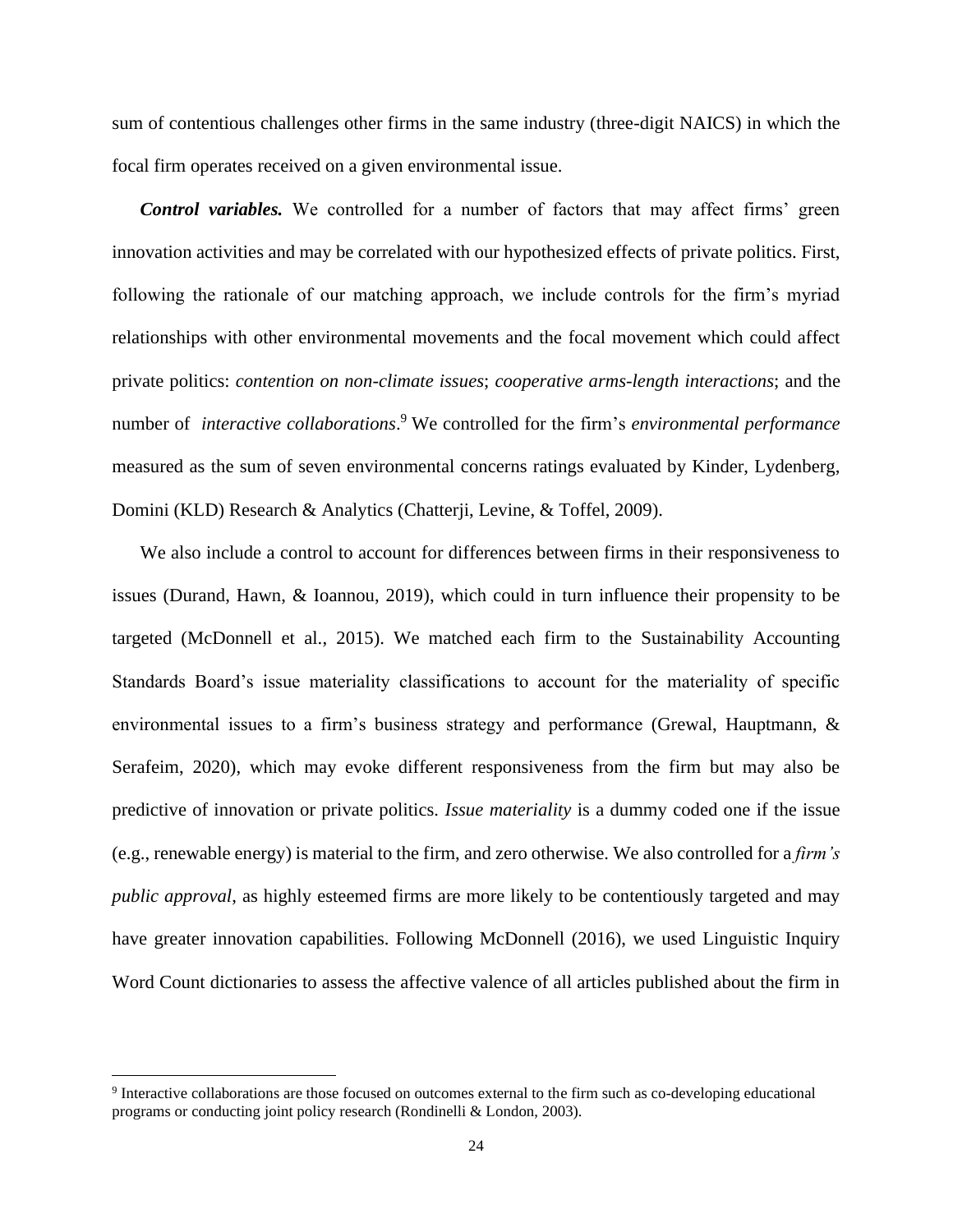sum of contentious challenges other firms in the same industry (three-digit NAICS) in which the focal firm operates received on a given environmental issue.

*Control variables.* We controlled for a number of factors that may affect firms' green innovation activities and may be correlated with our hypothesized effects of private politics. First, following the rationale of our matching approach, we include controls for the firm's myriad relationships with other environmental movements and the focal movement which could affect private politics: *contention on non-climate issues*; *cooperative arms-length interactions*; and the number of *interactive collaborations*. <sup>9</sup> We controlled for the firm's *environmental performance* measured as the sum of seven environmental concerns ratings evaluated by Kinder, Lydenberg, Domini (KLD) Research & Analytics (Chatterji, Levine, & Toffel, 2009).

We also include a control to account for differences between firms in their responsiveness to issues (Durand, Hawn, & Ioannou, 2019), which could in turn influence their propensity to be targeted (McDonnell et al., 2015). We matched each firm to the Sustainability Accounting Standards Board's issue materiality classifications to account for the materiality of specific environmental issues to a firm's business strategy and performance (Grewal, Hauptmann, & Serafeim, 2020), which may evoke different responsiveness from the firm but may also be predictive of innovation or private politics. *Issue materiality* is a dummy coded one if the issue (e.g., renewable energy) is material to the firm, and zero otherwise. We also controlled for a *firm's public approval*, as highly esteemed firms are more likely to be contentiously targeted and may have greater innovation capabilities. Following McDonnell (2016), we used Linguistic Inquiry Word Count dictionaries to assess the affective valence of all articles published about the firm in

<sup>9</sup> Interactive collaborations are those focused on outcomes external to the firm such as co-developing educational programs or conducting joint policy research (Rondinelli & London, 2003).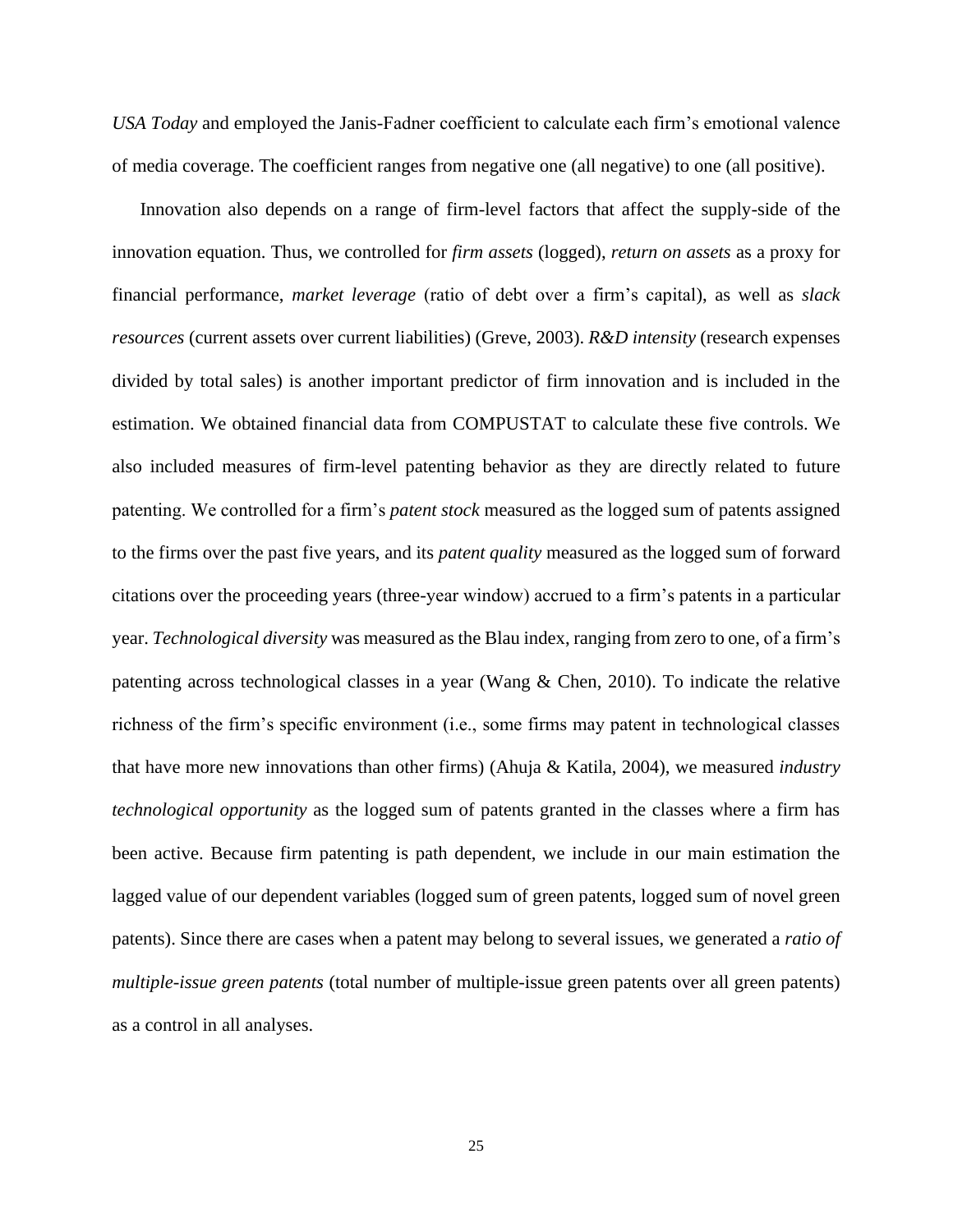*USA Today* and employed the Janis-Fadner coefficient to calculate each firm's emotional valence of media coverage. The coefficient ranges from negative one (all negative) to one (all positive).

Innovation also depends on a range of firm-level factors that affect the supply-side of the innovation equation. Thus, we controlled for *firm assets* (logged), *return on assets* as a proxy for financial performance, *market leverage* (ratio of debt over a firm's capital), as well as *slack resources* (current assets over current liabilities) (Greve, 2003). *R&D intensity* (research expenses divided by total sales) is another important predictor of firm innovation and is included in the estimation. We obtained financial data from COMPUSTAT to calculate these five controls. We also included measures of firm-level patenting behavior as they are directly related to future patenting. We controlled for a firm's *patent stock* measured as the logged sum of patents assigned to the firms over the past five years, and its *patent quality* measured as the logged sum of forward citations over the proceeding years (three-year window) accrued to a firm's patents in a particular year. *Technological diversity* was measured as the Blau index, ranging from zero to one, of a firm's patenting across technological classes in a year (Wang & Chen, 2010). To indicate the relative richness of the firm's specific environment (i.e., some firms may patent in technological classes that have more new innovations than other firms) (Ahuja & Katila, 2004), we measured *industry technological opportunity* as the logged sum of patents granted in the classes where a firm has been active. Because firm patenting is path dependent, we include in our main estimation the lagged value of our dependent variables (logged sum of green patents, logged sum of novel green patents). Since there are cases when a patent may belong to several issues, we generated a *ratio of multiple-issue green patents* (total number of multiple-issue green patents over all green patents) as a control in all analyses.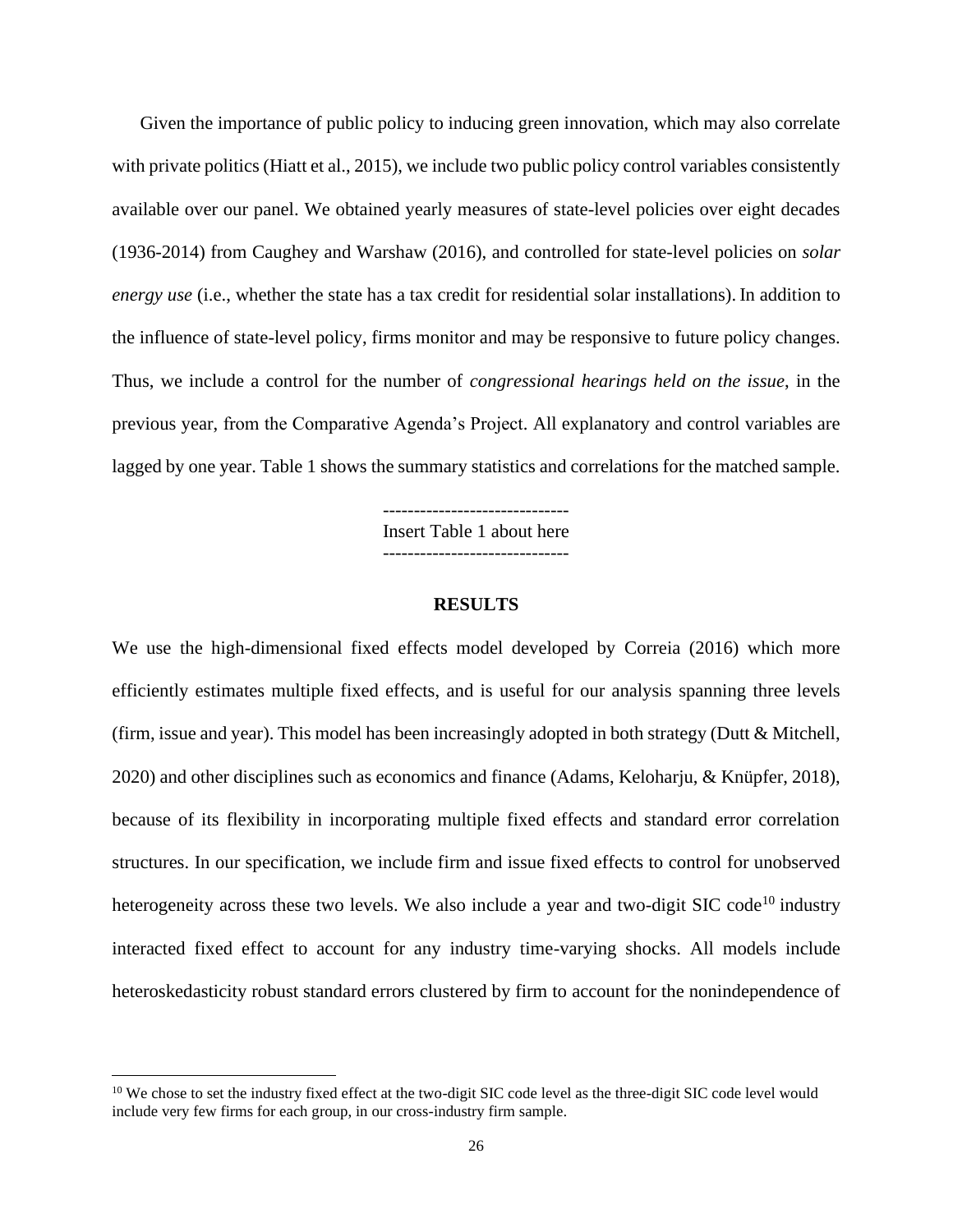Given the importance of public policy to inducing green innovation, which may also correlate with private politics (Hiatt et al., 2015), we include two public policy control variables consistently available over our panel. We obtained yearly measures of state-level policies over eight decades (1936-2014) from Caughey and Warshaw (2016), and controlled for state-level policies on *solar energy use* (i.e., whether the state has a tax credit for residential solar installations). In addition to the influence of state-level policy, firms monitor and may be responsive to future policy changes. Thus, we include a control for the number of *congressional hearings held on the issue*, in the previous year, from the Comparative Agenda's Project. All explanatory and control variables are lagged by one year. Table 1 shows the summary statistics and correlations for the matched sample.

> ------------------------------ Insert Table 1 about here ------------------------------

#### **RESULTS**

We use the high-dimensional fixed effects model developed by Correia (2016) which more efficiently estimates multiple fixed effects, and is useful for our analysis spanning three levels (firm, issue and year). This model has been increasingly adopted in both strategy (Dutt & Mitchell, 2020) and other disciplines such as economics and finance (Adams, Keloharju, & Knüpfer, 2018), because of its flexibility in incorporating multiple fixed effects and standard error correlation structures. In our specification, we include firm and issue fixed effects to control for unobserved heterogeneity across these two levels. We also include a year and two-digit SIC code<sup>10</sup> industry interacted fixed effect to account for any industry time-varying shocks. All models include heteroskedasticity robust standard errors clustered by firm to account for the nonindependence of

<sup>&</sup>lt;sup>10</sup> We chose to set the industry fixed effect at the two-digit SIC code level as the three-digit SIC code level would include very few firms for each group, in our cross-industry firm sample.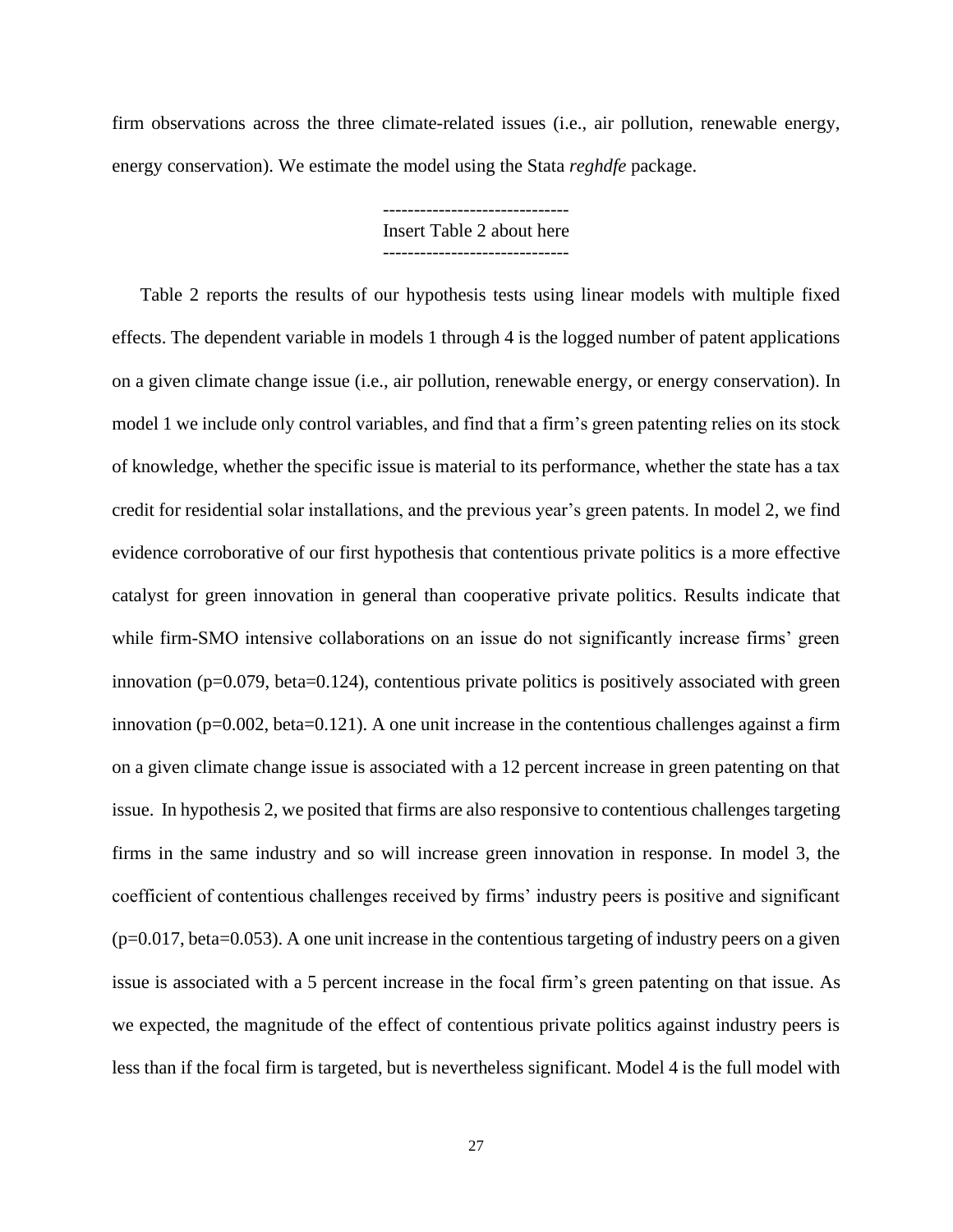firm observations across the three climate-related issues (i.e., air pollution, renewable energy, energy conservation). We estimate the model using the Stata *reghdfe* package.

> Insert Table 2 about here ------------------------------

Table 2 reports the results of our hypothesis tests using linear models with multiple fixed effects. The dependent variable in models 1 through 4 is the logged number of patent applications on a given climate change issue (i.e., air pollution, renewable energy, or energy conservation). In model 1 we include only control variables, and find that a firm's green patenting relies on its stock of knowledge, whether the specific issue is material to its performance, whether the state has a tax credit for residential solar installations, and the previous year's green patents. In model 2, we find evidence corroborative of our first hypothesis that contentious private politics is a more effective catalyst for green innovation in general than cooperative private politics. Results indicate that while firm-SMO intensive collaborations on an issue do not significantly increase firms' green innovation ( $p=0.079$ , beta=0.124), contentious private politics is positively associated with green innovation ( $p=0.002$ , beta=0.121). A one unit increase in the contentious challenges against a firm on a given climate change issue is associated with a 12 percent increase in green patenting on that issue. In hypothesis 2, we posited that firms are also responsive to contentious challenges targeting firms in the same industry and so will increase green innovation in response. In model 3, the coefficient of contentious challenges received by firms' industry peers is positive and significant  $(p=0.017, \text{beta}=0.053)$ . A one unit increase in the contentious targeting of industry peers on a given issue is associated with a 5 percent increase in the focal firm's green patenting on that issue. As we expected, the magnitude of the effect of contentious private politics against industry peers is less than if the focal firm is targeted, but is nevertheless significant. Model 4 is the full model with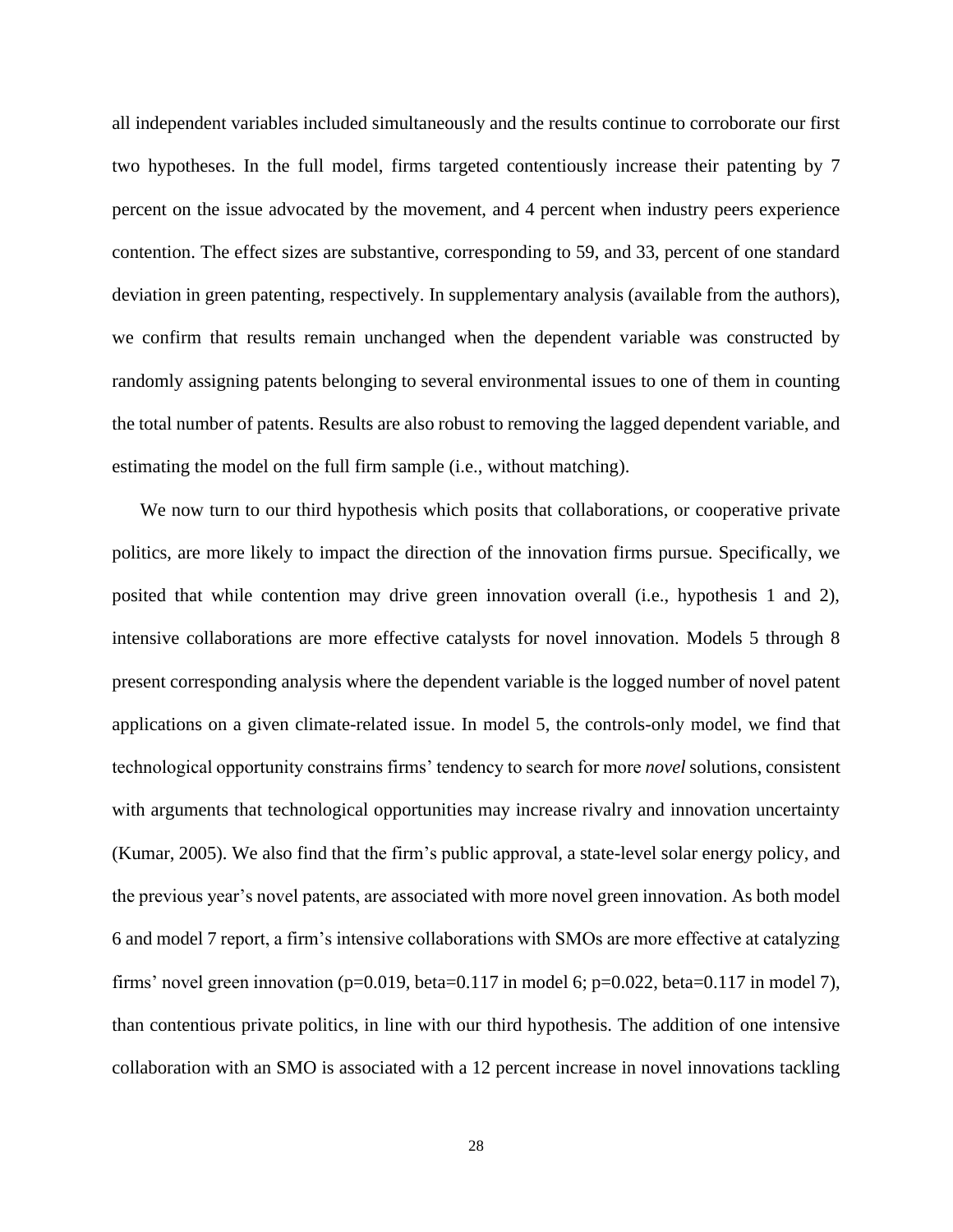all independent variables included simultaneously and the results continue to corroborate our first two hypotheses. In the full model, firms targeted contentiously increase their patenting by 7 percent on the issue advocated by the movement, and 4 percent when industry peers experience contention. The effect sizes are substantive, corresponding to 59, and 33, percent of one standard deviation in green patenting, respectively. In supplementary analysis (available from the authors), we confirm that results remain unchanged when the dependent variable was constructed by randomly assigning patents belonging to several environmental issues to one of them in counting the total number of patents. Results are also robust to removing the lagged dependent variable, and estimating the model on the full firm sample (i.e., without matching).

We now turn to our third hypothesis which posits that collaborations, or cooperative private politics, are more likely to impact the direction of the innovation firms pursue. Specifically, we posited that while contention may drive green innovation overall (i.e., hypothesis 1 and 2), intensive collaborations are more effective catalysts for novel innovation. Models 5 through 8 present corresponding analysis where the dependent variable is the logged number of novel patent applications on a given climate-related issue. In model 5, the controls-only model, we find that technological opportunity constrains firms' tendency to search for more *novel* solutions, consistent with arguments that technological opportunities may increase rivalry and innovation uncertainty (Kumar, 2005). We also find that the firm's public approval, a state-level solar energy policy, and the previous year's novel patents, are associated with more novel green innovation. As both model 6 and model 7 report, a firm's intensive collaborations with SMOs are more effective at catalyzing firms' novel green innovation ( $p=0.019$ , beta=0.117 in model 6;  $p=0.022$ , beta=0.117 in model 7), than contentious private politics, in line with our third hypothesis. The addition of one intensive collaboration with an SMO is associated with a 12 percent increase in novel innovations tackling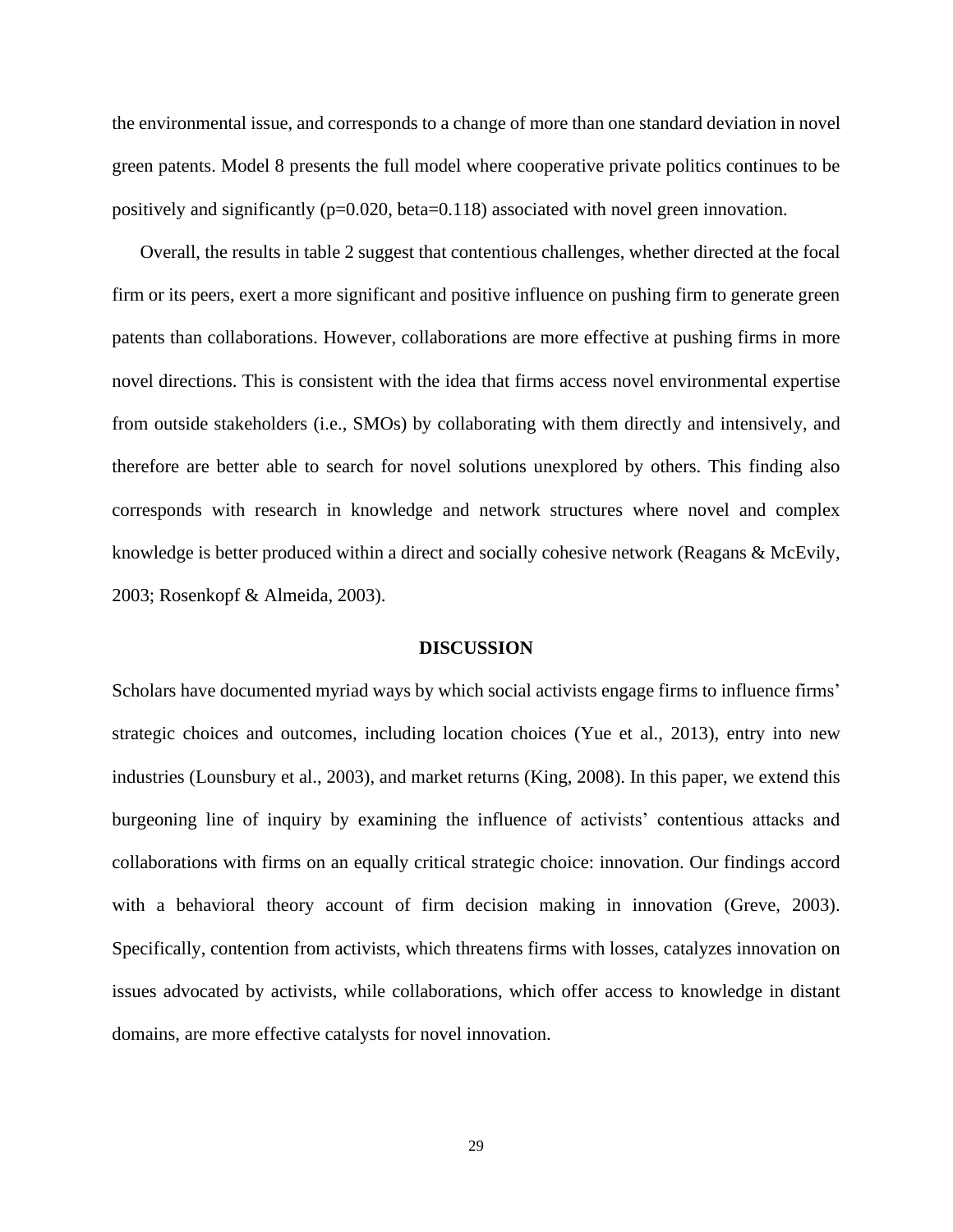the environmental issue, and corresponds to a change of more than one standard deviation in novel green patents. Model 8 presents the full model where cooperative private politics continues to be positively and significantly  $(p=0.020, \text{beta}=0.118)$  associated with novel green innovation.

Overall, the results in table 2 suggest that contentious challenges, whether directed at the focal firm or its peers, exert a more significant and positive influence on pushing firm to generate green patents than collaborations. However, collaborations are more effective at pushing firms in more novel directions. This is consistent with the idea that firms access novel environmental expertise from outside stakeholders (i.e., SMOs) by collaborating with them directly and intensively, and therefore are better able to search for novel solutions unexplored by others. This finding also corresponds with research in knowledge and network structures where novel and complex knowledge is better produced within a direct and socially cohesive network (Reagans & McEvily, 2003; Rosenkopf & Almeida, 2003).

#### **DISCUSSION**

Scholars have documented myriad ways by which social activists engage firms to influence firms' strategic choices and outcomes, including location choices (Yue et al., 2013), entry into new industries (Lounsbury et al., 2003), and market returns (King, 2008). In this paper, we extend this burgeoning line of inquiry by examining the influence of activists' contentious attacks and collaborations with firms on an equally critical strategic choice: innovation. Our findings accord with a behavioral theory account of firm decision making in innovation (Greve, 2003). Specifically, contention from activists, which threatens firms with losses, catalyzes innovation on issues advocated by activists, while collaborations, which offer access to knowledge in distant domains, are more effective catalysts for novel innovation.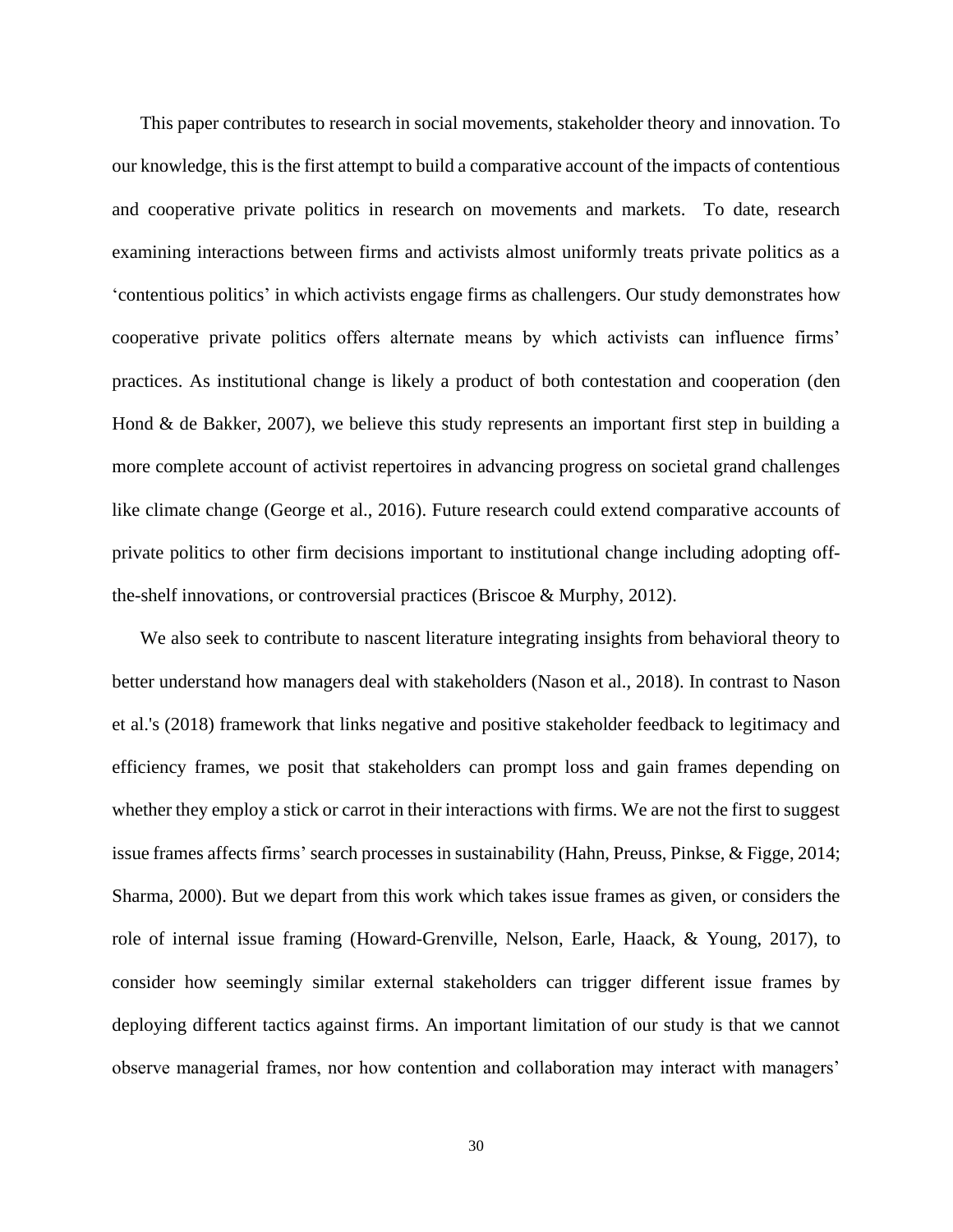This paper contributes to research in social movements, stakeholder theory and innovation. To our knowledge, this is the first attempt to build a comparative account of the impacts of contentious and cooperative private politics in research on movements and markets. To date, research examining interactions between firms and activists almost uniformly treats private politics as a 'contentious politics' in which activists engage firms as challengers. Our study demonstrates how cooperative private politics offers alternate means by which activists can influence firms' practices. As institutional change is likely a product of both contestation and cooperation (den Hond & de Bakker, 2007), we believe this study represents an important first step in building a more complete account of activist repertoires in advancing progress on societal grand challenges like climate change (George et al., 2016). Future research could extend comparative accounts of private politics to other firm decisions important to institutional change including adopting offthe-shelf innovations, or controversial practices (Briscoe & Murphy, 2012).

We also seek to contribute to nascent literature integrating insights from behavioral theory to better understand how managers deal with stakeholders (Nason et al., 2018). In contrast to Nason et al.'s (2018) framework that links negative and positive stakeholder feedback to legitimacy and efficiency frames, we posit that stakeholders can prompt loss and gain frames depending on whether they employ a stick or carrot in their interactions with firms. We are not the first to suggest issue frames affects firms' search processes in sustainability (Hahn, Preuss, Pinkse, & Figge, 2014; Sharma, 2000). But we depart from this work which takes issue frames as given, or considers the role of internal issue framing (Howard-Grenville, Nelson, Earle, Haack, & Young, 2017), to consider how seemingly similar external stakeholders can trigger different issue frames by deploying different tactics against firms. An important limitation of our study is that we cannot observe managerial frames, nor how contention and collaboration may interact with managers'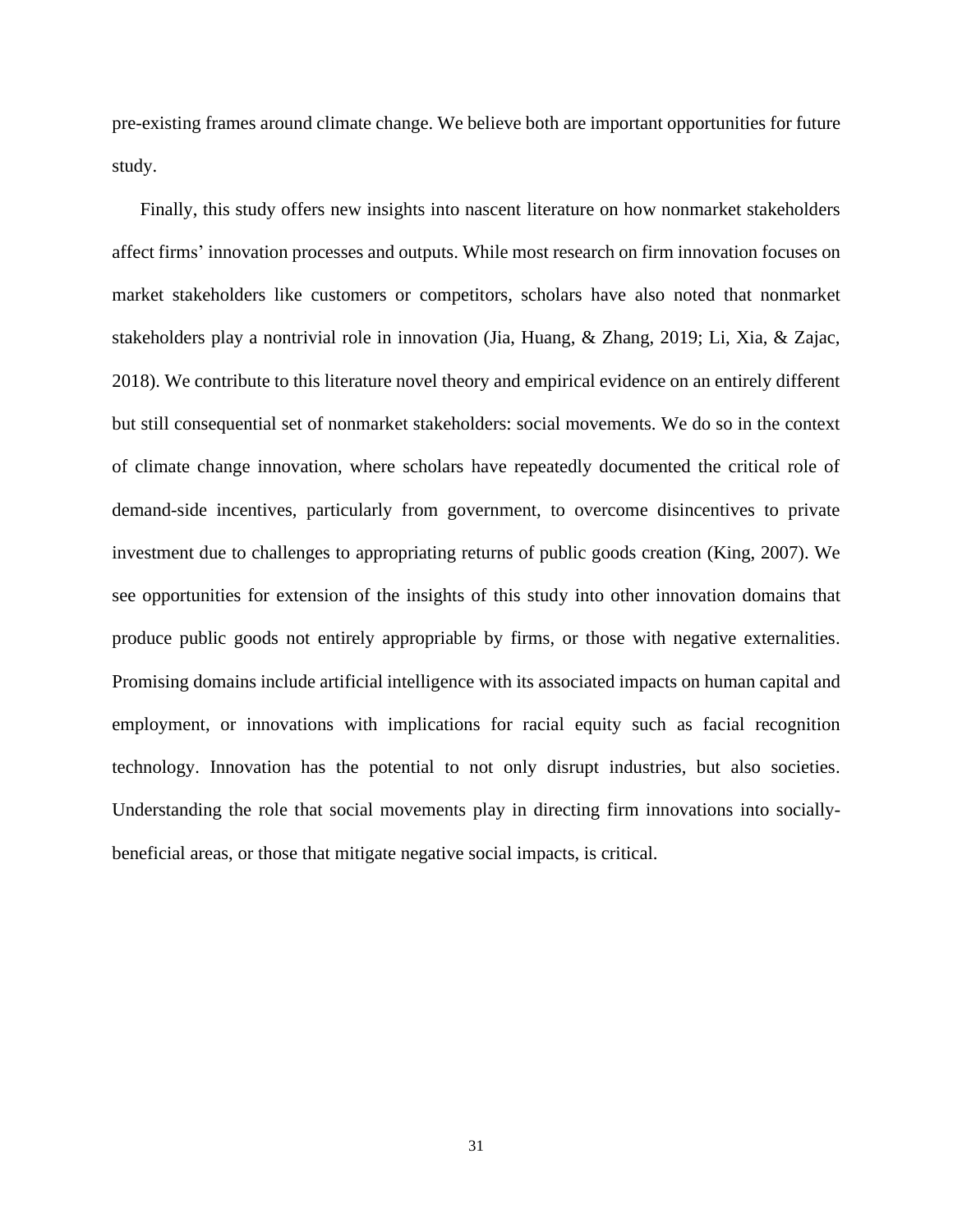pre-existing frames around climate change. We believe both are important opportunities for future study.

Finally, this study offers new insights into nascent literature on how nonmarket stakeholders affect firms' innovation processes and outputs. While most research on firm innovation focuses on market stakeholders like customers or competitors, scholars have also noted that nonmarket stakeholders play a nontrivial role in innovation (Jia, Huang, & Zhang, 2019; Li, Xia, & Zajac, 2018). We contribute to this literature novel theory and empirical evidence on an entirely different but still consequential set of nonmarket stakeholders: social movements. We do so in the context of climate change innovation, where scholars have repeatedly documented the critical role of demand-side incentives, particularly from government, to overcome disincentives to private investment due to challenges to appropriating returns of public goods creation (King, 2007). We see opportunities for extension of the insights of this study into other innovation domains that produce public goods not entirely appropriable by firms, or those with negative externalities. Promising domains include artificial intelligence with its associated impacts on human capital and employment, or innovations with implications for racial equity such as facial recognition technology. Innovation has the potential to not only disrupt industries, but also societies. Understanding the role that social movements play in directing firm innovations into sociallybeneficial areas, or those that mitigate negative social impacts, is critical.

31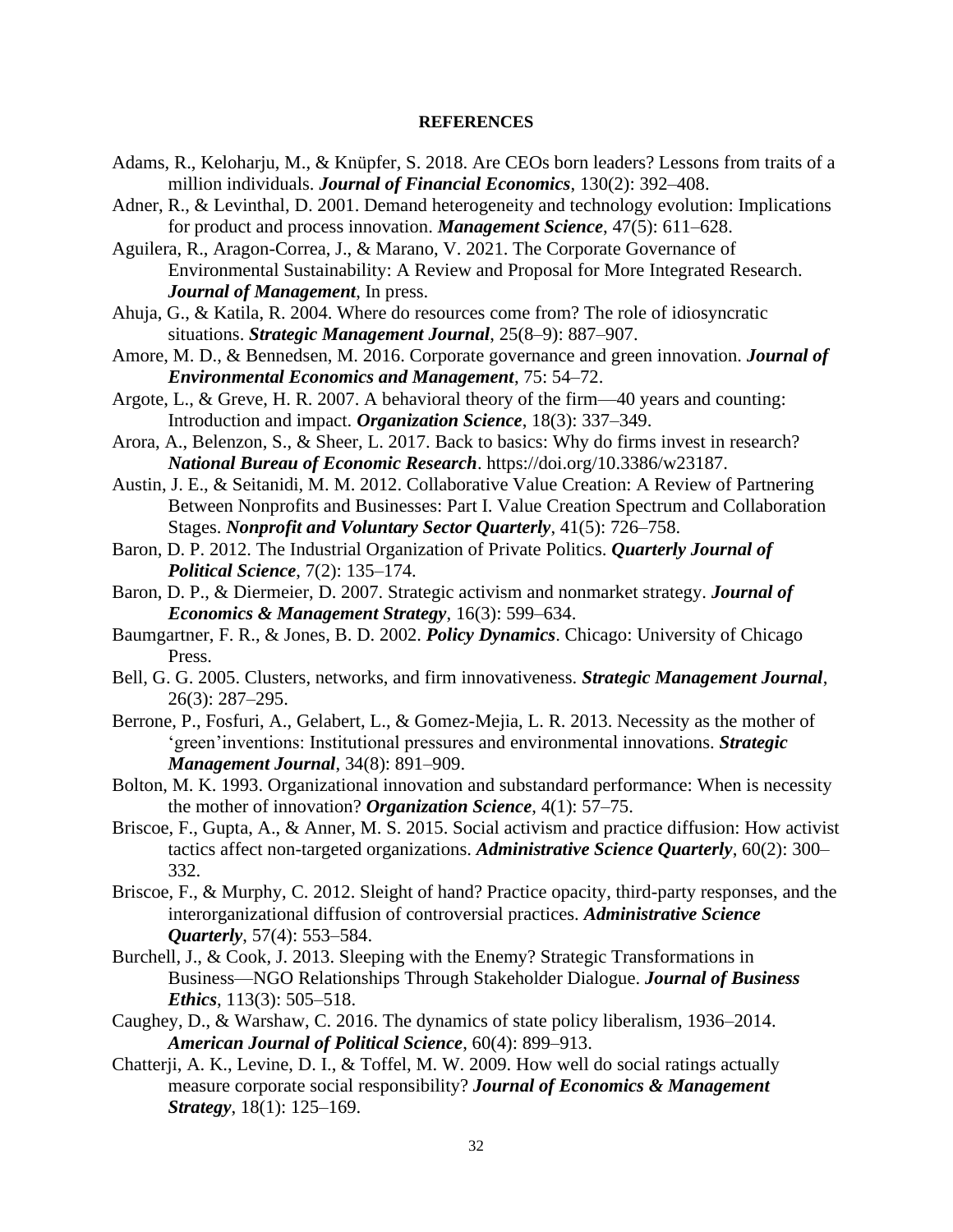### **REFERENCES**

- Adams, R., Keloharju, M., & Knüpfer, S. 2018. Are CEOs born leaders? Lessons from traits of a million individuals. *Journal of Financial Economics*, 130(2): 392–408.
- Adner, R., & Levinthal, D. 2001. Demand heterogeneity and technology evolution: Implications for product and process innovation. *Management Science*, 47(5): 611–628.
- Aguilera, R., Aragon-Correa, J., & Marano, V. 2021. The Corporate Governance of Environmental Sustainability: A Review and Proposal for More Integrated Research. *Journal of Management*, In press.
- Ahuja, G., & Katila, R. 2004. Where do resources come from? The role of idiosyncratic situations. *Strategic Management Journal*, 25(8–9): 887–907.
- Amore, M. D., & Bennedsen, M. 2016. Corporate governance and green innovation. *Journal of Environmental Economics and Management*, 75: 54–72.
- Argote, L., & Greve, H. R. 2007. A behavioral theory of the firm—40 years and counting: Introduction and impact. *Organization Science*, 18(3): 337–349.
- Arora, A., Belenzon, S., & Sheer, L. 2017. Back to basics: Why do firms invest in research? *National Bureau of Economic Research*. https://doi.org/10.3386/w23187.
- Austin, J. E., & Seitanidi, M. M. 2012. Collaborative Value Creation: A Review of Partnering Between Nonprofits and Businesses: Part I. Value Creation Spectrum and Collaboration Stages. *Nonprofit and Voluntary Sector Quarterly*, 41(5): 726–758.
- Baron, D. P. 2012. The Industrial Organization of Private Politics. *Quarterly Journal of Political Science*, 7(2): 135–174.
- Baron, D. P., & Diermeier, D. 2007. Strategic activism and nonmarket strategy. *Journal of Economics & Management Strategy*, 16(3): 599–634.
- Baumgartner, F. R., & Jones, B. D. 2002. *Policy Dynamics*. Chicago: University of Chicago Press.
- Bell, G. G. 2005. Clusters, networks, and firm innovativeness. *Strategic Management Journal*, 26(3): 287–295.
- Berrone, P., Fosfuri, A., Gelabert, L., & Gomez-Mejia, L. R. 2013. Necessity as the mother of 'green'inventions: Institutional pressures and environmental innovations. *Strategic Management Journal*, 34(8): 891–909.
- Bolton, M. K. 1993. Organizational innovation and substandard performance: When is necessity the mother of innovation? *Organization Science*, 4(1): 57–75.
- Briscoe, F., Gupta, A., & Anner, M. S. 2015. Social activism and practice diffusion: How activist tactics affect non-targeted organizations. *Administrative Science Quarterly*, 60(2): 300– 332.
- Briscoe, F., & Murphy, C. 2012. Sleight of hand? Practice opacity, third-party responses, and the interorganizational diffusion of controversial practices. *Administrative Science Quarterly*, 57(4): 553–584.
- Burchell, J., & Cook, J. 2013. Sleeping with the Enemy? Strategic Transformations in Business—NGO Relationships Through Stakeholder Dialogue. *Journal of Business Ethics*, 113(3): 505–518.
- Caughey, D., & Warshaw, C. 2016. The dynamics of state policy liberalism, 1936–2014. *American Journal of Political Science*, 60(4): 899–913.
- Chatterji, A. K., Levine, D. I., & Toffel, M. W. 2009. How well do social ratings actually measure corporate social responsibility? *Journal of Economics & Management Strategy*, 18(1): 125–169.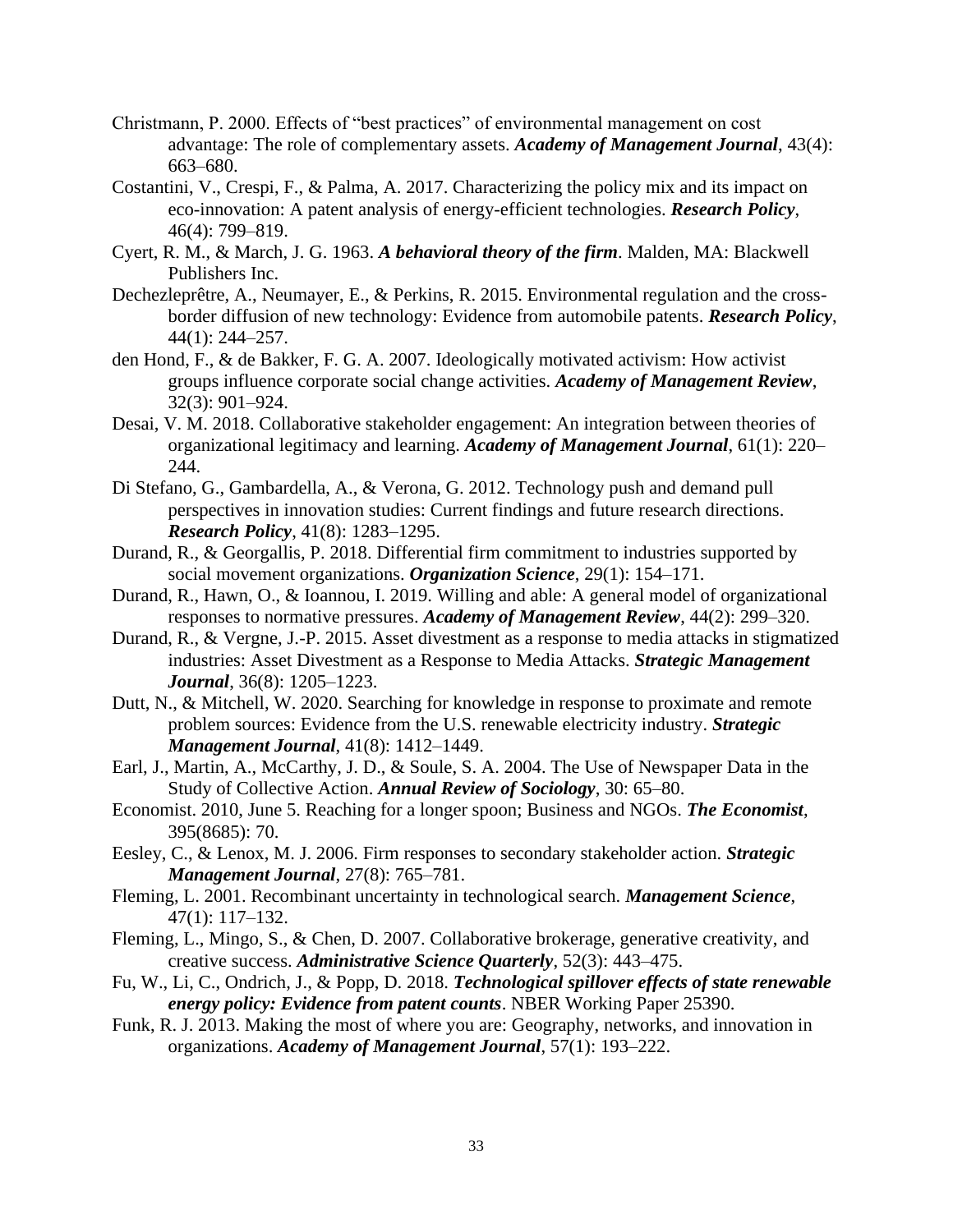- Christmann, P. 2000. Effects of "best practices" of environmental management on cost advantage: The role of complementary assets. *Academy of Management Journal*, 43(4): 663–680.
- Costantini, V., Crespi, F., & Palma, A. 2017. Characterizing the policy mix and its impact on eco-innovation: A patent analysis of energy-efficient technologies. *Research Policy*, 46(4): 799–819.
- Cyert, R. M., & March, J. G. 1963. *A behavioral theory of the firm*. Malden, MA: Blackwell Publishers Inc.
- Dechezleprêtre, A., Neumayer, E., & Perkins, R. 2015. Environmental regulation and the crossborder diffusion of new technology: Evidence from automobile patents. *Research Policy*, 44(1): 244–257.
- den Hond, F., & de Bakker, F. G. A. 2007. Ideologically motivated activism: How activist groups influence corporate social change activities. *Academy of Management Review*, 32(3): 901–924.
- Desai, V. M. 2018. Collaborative stakeholder engagement: An integration between theories of organizational legitimacy and learning. *Academy of Management Journal*, 61(1): 220– 244.
- Di Stefano, G., Gambardella, A., & Verona, G. 2012. Technology push and demand pull perspectives in innovation studies: Current findings and future research directions. *Research Policy*, 41(8): 1283–1295.
- Durand, R., & Georgallis, P. 2018. Differential firm commitment to industries supported by social movement organizations. *Organization Science*, 29(1): 154–171.
- Durand, R., Hawn, O., & Ioannou, I. 2019. Willing and able: A general model of organizational responses to normative pressures. *Academy of Management Review*, 44(2): 299–320.
- Durand, R., & Vergne, J.-P. 2015. Asset divestment as a response to media attacks in stigmatized industries: Asset Divestment as a Response to Media Attacks. *Strategic Management Journal*, 36(8): 1205–1223.
- Dutt, N., & Mitchell, W. 2020. Searching for knowledge in response to proximate and remote problem sources: Evidence from the U.S. renewable electricity industry. *Strategic Management Journal*, 41(8): 1412–1449.
- Earl, J., Martin, A., McCarthy, J. D., & Soule, S. A. 2004. The Use of Newspaper Data in the Study of Collective Action. *Annual Review of Sociology*, 30: 65–80.
- Economist. 2010, June 5. Reaching for a longer spoon; Business and NGOs. *The Economist*, 395(8685): 70.
- Eesley, C., & Lenox, M. J. 2006. Firm responses to secondary stakeholder action. *Strategic Management Journal*, 27(8): 765–781.
- Fleming, L. 2001. Recombinant uncertainty in technological search. *Management Science*, 47(1): 117–132.
- Fleming, L., Mingo, S., & Chen, D. 2007. Collaborative brokerage, generative creativity, and creative success. *Administrative Science Quarterly*, 52(3): 443–475.
- Fu, W., Li, C., Ondrich, J., & Popp, D. 2018. *Technological spillover effects of state renewable energy policy: Evidence from patent counts*. NBER Working Paper 25390.
- Funk, R. J. 2013. Making the most of where you are: Geography, networks, and innovation in organizations. *Academy of Management Journal*, 57(1): 193–222.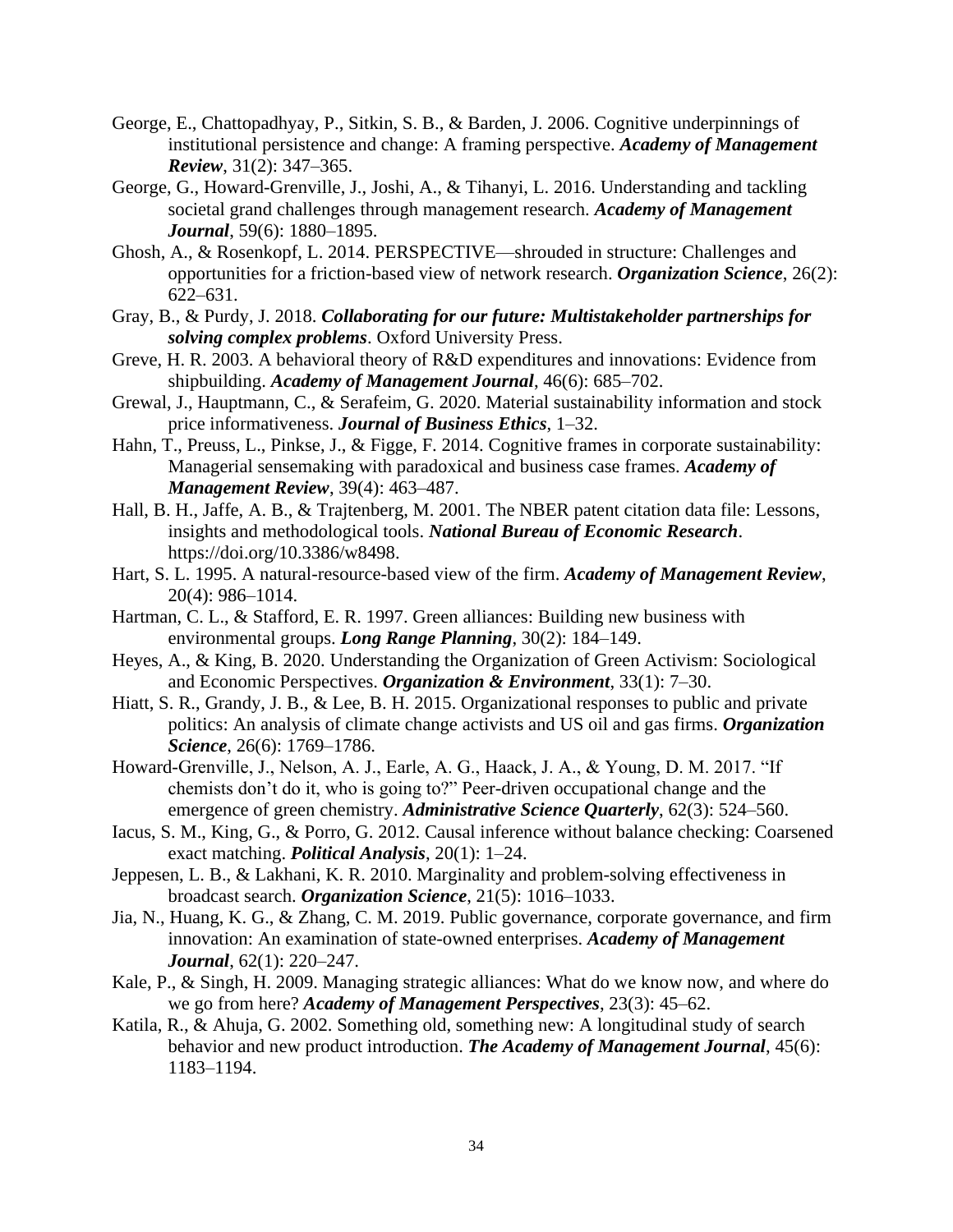- George, E., Chattopadhyay, P., Sitkin, S. B., & Barden, J. 2006. Cognitive underpinnings of institutional persistence and change: A framing perspective. *Academy of Management Review*, 31(2): 347–365.
- George, G., Howard-Grenville, J., Joshi, A., & Tihanyi, L. 2016. Understanding and tackling societal grand challenges through management research. *Academy of Management Journal*, 59(6): 1880–1895.
- Ghosh, A., & Rosenkopf, L. 2014. PERSPECTIVE—shrouded in structure: Challenges and opportunities for a friction-based view of network research. *Organization Science*, 26(2): 622–631.
- Gray, B., & Purdy, J. 2018. *Collaborating for our future: Multistakeholder partnerships for solving complex problems*. Oxford University Press.
- Greve, H. R. 2003. A behavioral theory of R&D expenditures and innovations: Evidence from shipbuilding. *Academy of Management Journal*, 46(6): 685–702.
- Grewal, J., Hauptmann, C., & Serafeim, G. 2020. Material sustainability information and stock price informativeness. *Journal of Business Ethics*, 1–32.
- Hahn, T., Preuss, L., Pinkse, J., & Figge, F. 2014. Cognitive frames in corporate sustainability: Managerial sensemaking with paradoxical and business case frames. *Academy of Management Review*, 39(4): 463–487.
- Hall, B. H., Jaffe, A. B., & Trajtenberg, M. 2001. The NBER patent citation data file: Lessons, insights and methodological tools. *National Bureau of Economic Research*. https://doi.org/10.3386/w8498.
- Hart, S. L. 1995. A natural-resource-based view of the firm. *Academy of Management Review*, 20(4): 986–1014.
- Hartman, C. L., & Stafford, E. R. 1997. Green alliances: Building new business with environmental groups. *Long Range Planning*, 30(2): 184–149.
- Heyes, A., & King, B. 2020. Understanding the Organization of Green Activism: Sociological and Economic Perspectives. *Organization & Environment*, 33(1): 7–30.
- Hiatt, S. R., Grandy, J. B., & Lee, B. H. 2015. Organizational responses to public and private politics: An analysis of climate change activists and US oil and gas firms. *Organization Science*, 26(6): 1769–1786.
- Howard-Grenville, J., Nelson, A. J., Earle, A. G., Haack, J. A., & Young, D. M. 2017. "If chemists don't do it, who is going to?" Peer-driven occupational change and the emergence of green chemistry. *Administrative Science Quarterly*, 62(3): 524–560.
- Iacus, S. M., King, G., & Porro, G. 2012. Causal inference without balance checking: Coarsened exact matching. *Political Analysis*, 20(1): 1–24.
- Jeppesen, L. B., & Lakhani, K. R. 2010. Marginality and problem-solving effectiveness in broadcast search. *Organization Science*, 21(5): 1016–1033.
- Jia, N., Huang, K. G., & Zhang, C. M. 2019. Public governance, corporate governance, and firm innovation: An examination of state-owned enterprises. *Academy of Management Journal*, 62(1): 220–247.
- Kale, P., & Singh, H. 2009. Managing strategic alliances: What do we know now, and where do we go from here? *Academy of Management Perspectives*, 23(3): 45–62.
- Katila, R., & Ahuja, G. 2002. Something old, something new: A longitudinal study of search behavior and new product introduction. *The Academy of Management Journal*, 45(6): 1183–1194.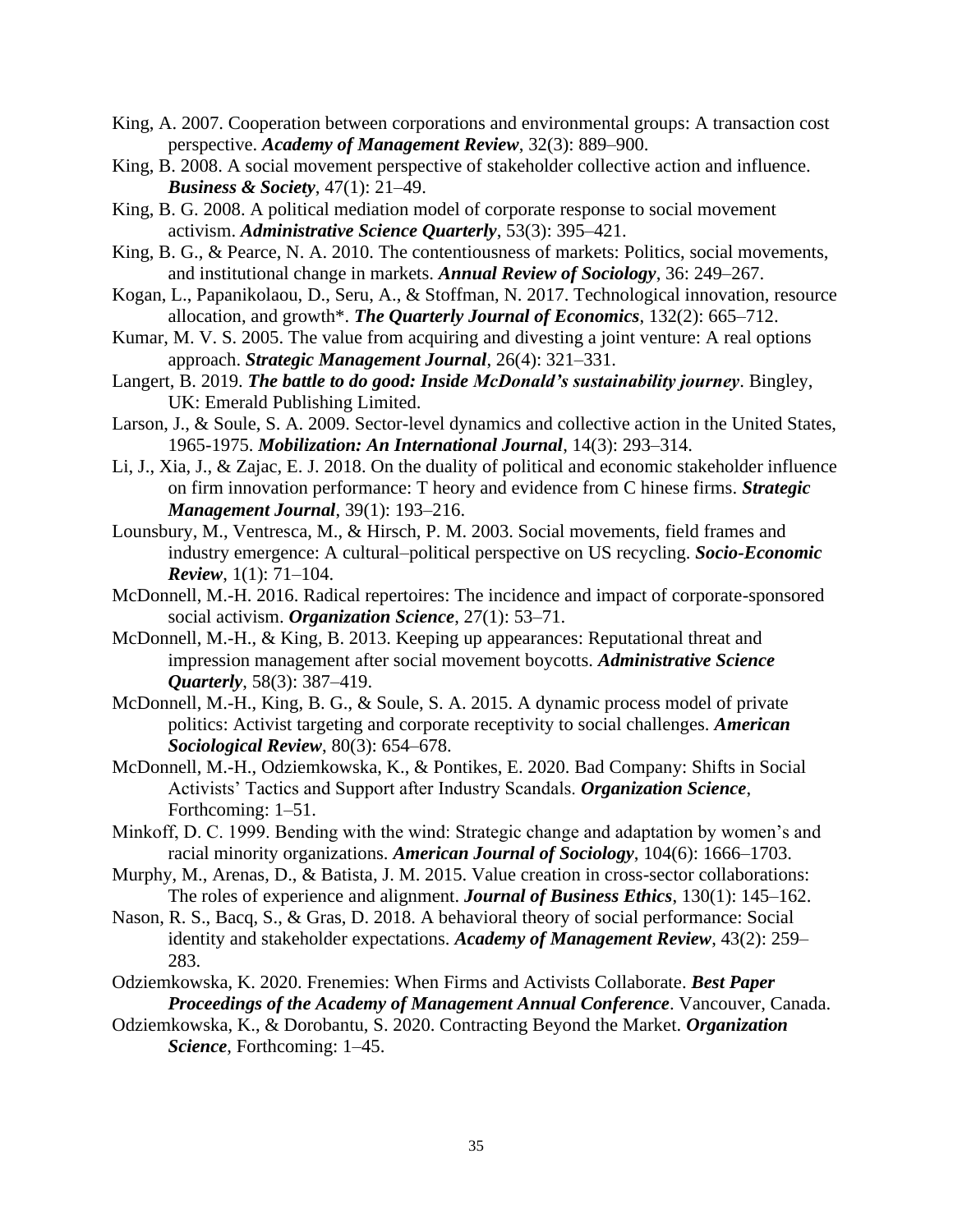- King, A. 2007. Cooperation between corporations and environmental groups: A transaction cost perspective. *Academy of Management Review*, 32(3): 889–900.
- King, B. 2008. A social movement perspective of stakeholder collective action and influence. *Business & Society*, 47(1): 21–49.
- King, B. G. 2008. A political mediation model of corporate response to social movement activism. *Administrative Science Quarterly*, 53(3): 395–421.
- King, B. G., & Pearce, N. A. 2010. The contentiousness of markets: Politics, social movements, and institutional change in markets. *Annual Review of Sociology*, 36: 249–267.
- Kogan, L., Papanikolaou, D., Seru, A., & Stoffman, N. 2017. Technological innovation, resource allocation, and growth\*. *The Quarterly Journal of Economics*, 132(2): 665–712.
- Kumar, M. V. S. 2005. The value from acquiring and divesting a joint venture: A real options approach. *Strategic Management Journal*, 26(4): 321–331.
- Langert, B. 2019. *The battle to do good: Inside McDonald's sustainability journey*. Bingley, UK: Emerald Publishing Limited.
- Larson, J., & Soule, S. A. 2009. Sector-level dynamics and collective action in the United States, 1965-1975. *Mobilization: An International Journal*, 14(3): 293–314.
- Li, J., Xia, J., & Zajac, E. J. 2018. On the duality of political and economic stakeholder influence on firm innovation performance: T heory and evidence from C hinese firms. *Strategic Management Journal*, 39(1): 193–216.
- Lounsbury, M., Ventresca, M., & Hirsch, P. M. 2003. Social movements, field frames and industry emergence: A cultural–political perspective on US recycling. *Socio-Economic Review*, 1(1): 71–104.
- McDonnell, M.-H. 2016. Radical repertoires: The incidence and impact of corporate-sponsored social activism. *Organization Science*, 27(1): 53–71.
- McDonnell, M.-H., & King, B. 2013. Keeping up appearances: Reputational threat and impression management after social movement boycotts. *Administrative Science Quarterly*, 58(3): 387–419.
- McDonnell, M.-H., King, B. G., & Soule, S. A. 2015. A dynamic process model of private politics: Activist targeting and corporate receptivity to social challenges. *American Sociological Review*, 80(3): 654–678.
- McDonnell, M.-H., Odziemkowska, K., & Pontikes, E. 2020. Bad Company: Shifts in Social Activists' Tactics and Support after Industry Scandals. *Organization Science*, Forthcoming: 1–51.
- Minkoff, D. C. 1999. Bending with the wind: Strategic change and adaptation by women's and racial minority organizations. *American Journal of Sociology*, 104(6): 1666–1703.
- Murphy, M., Arenas, D., & Batista, J. M. 2015. Value creation in cross-sector collaborations: The roles of experience and alignment. *Journal of Business Ethics*, 130(1): 145–162.
- Nason, R. S., Bacq, S., & Gras, D. 2018. A behavioral theory of social performance: Social identity and stakeholder expectations. *Academy of Management Review*, 43(2): 259– 283.
- Odziemkowska, K. 2020. Frenemies: When Firms and Activists Collaborate. *Best Paper Proceedings of the Academy of Management Annual Conference*. Vancouver, Canada.
- Odziemkowska, K., & Dorobantu, S. 2020. Contracting Beyond the Market. *Organization Science*, Forthcoming: 1–45.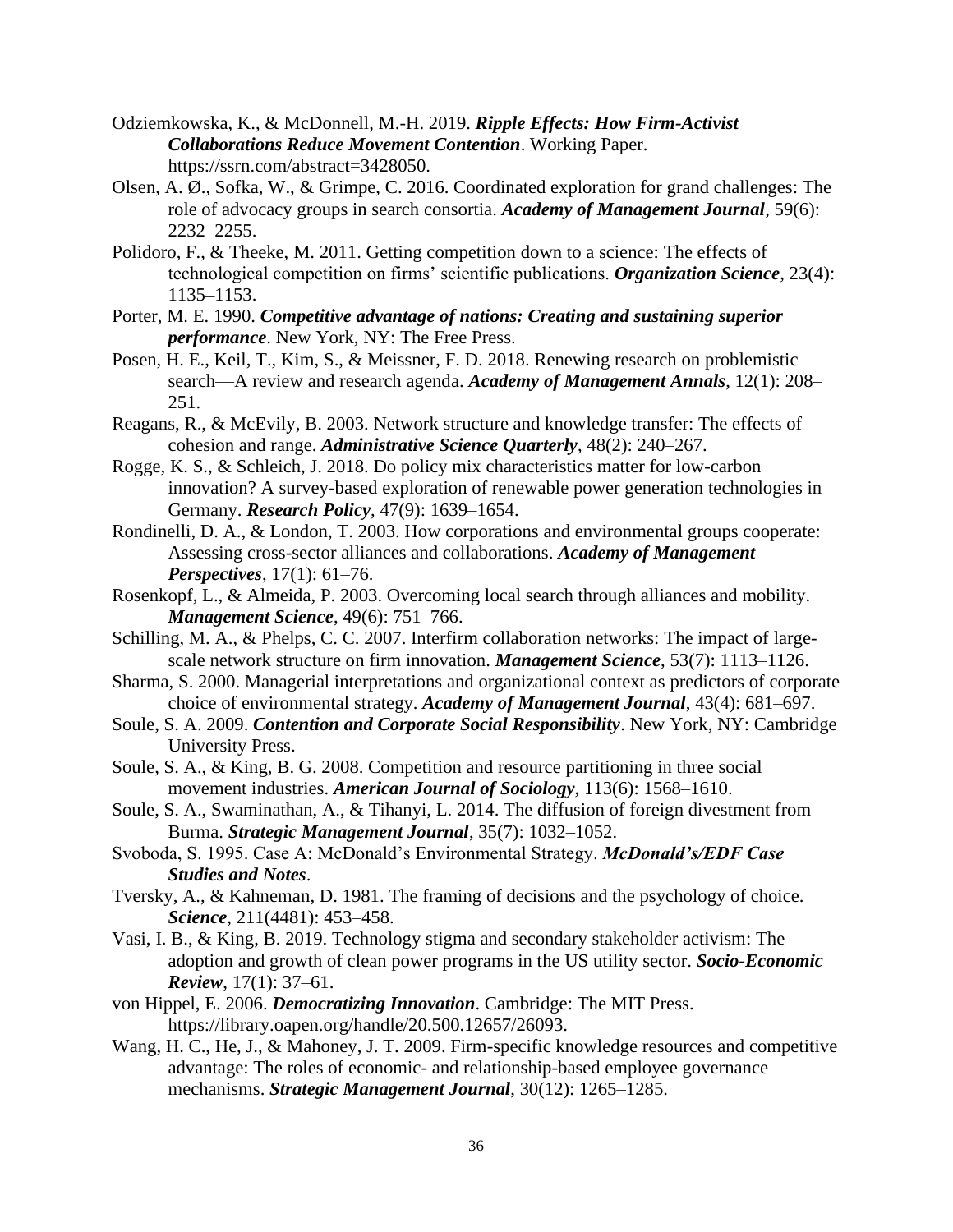- Odziemkowska, K., & McDonnell, M.-H. 2019. *Ripple Effects: How Firm-Activist Collaborations Reduce Movement Contention*. Working Paper. https://ssrn.com/abstract=3428050.
- Olsen, A. Ø., Sofka, W., & Grimpe, C. 2016. Coordinated exploration for grand challenges: The role of advocacy groups in search consortia. *Academy of Management Journal*, 59(6): 2232–2255.
- Polidoro, F., & Theeke, M. 2011. Getting competition down to a science: The effects of technological competition on firms' scientific publications. *Organization Science*, 23(4): 1135–1153.
- Porter, M. E. 1990. *Competitive advantage of nations: Creating and sustaining superior performance*. New York, NY: The Free Press.
- Posen, H. E., Keil, T., Kim, S., & Meissner, F. D. 2018. Renewing research on problemistic search—A review and research agenda. *Academy of Management Annals*, 12(1): 208– 251.
- Reagans, R., & McEvily, B. 2003. Network structure and knowledge transfer: The effects of cohesion and range. *Administrative Science Quarterly*, 48(2): 240–267.
- Rogge, K. S., & Schleich, J. 2018. Do policy mix characteristics matter for low-carbon innovation? A survey-based exploration of renewable power generation technologies in Germany. *Research Policy*, 47(9): 1639–1654.
- Rondinelli, D. A., & London, T. 2003. How corporations and environmental groups cooperate: Assessing cross-sector alliances and collaborations. *Academy of Management Perspectives*, 17(1): 61–76.
- Rosenkopf, L., & Almeida, P. 2003. Overcoming local search through alliances and mobility. *Management Science*, 49(6): 751–766.
- Schilling, M. A., & Phelps, C. C. 2007. Interfirm collaboration networks: The impact of largescale network structure on firm innovation. *Management Science*, 53(7): 1113–1126.
- Sharma, S. 2000. Managerial interpretations and organizational context as predictors of corporate choice of environmental strategy. *Academy of Management Journal*, 43(4): 681–697.
- Soule, S. A. 2009. *Contention and Corporate Social Responsibility*. New York, NY: Cambridge University Press.
- Soule, S. A., & King, B. G. 2008. Competition and resource partitioning in three social movement industries. *American Journal of Sociology*, 113(6): 1568–1610.
- Soule, S. A., Swaminathan, A., & Tihanyi, L. 2014. The diffusion of foreign divestment from Burma. *Strategic Management Journal*, 35(7): 1032–1052.
- Svoboda, S. 1995. Case A: McDonald's Environmental Strategy. *McDonald's/EDF Case Studies and Notes*.
- Tversky, A., & Kahneman, D. 1981. The framing of decisions and the psychology of choice. *Science*, 211(4481): 453–458.
- Vasi, I. B., & King, B. 2019. Technology stigma and secondary stakeholder activism: The adoption and growth of clean power programs in the US utility sector. *Socio-Economic Review*, 17(1): 37–61.
- von Hippel, E. 2006. *Democratizing Innovation*. Cambridge: The MIT Press. https://library.oapen.org/handle/20.500.12657/26093.
- Wang, H. C., He, J., & Mahoney, J. T. 2009. Firm-specific knowledge resources and competitive advantage: The roles of economic- and relationship-based employee governance mechanisms. *Strategic Management Journal*, 30(12): 1265–1285.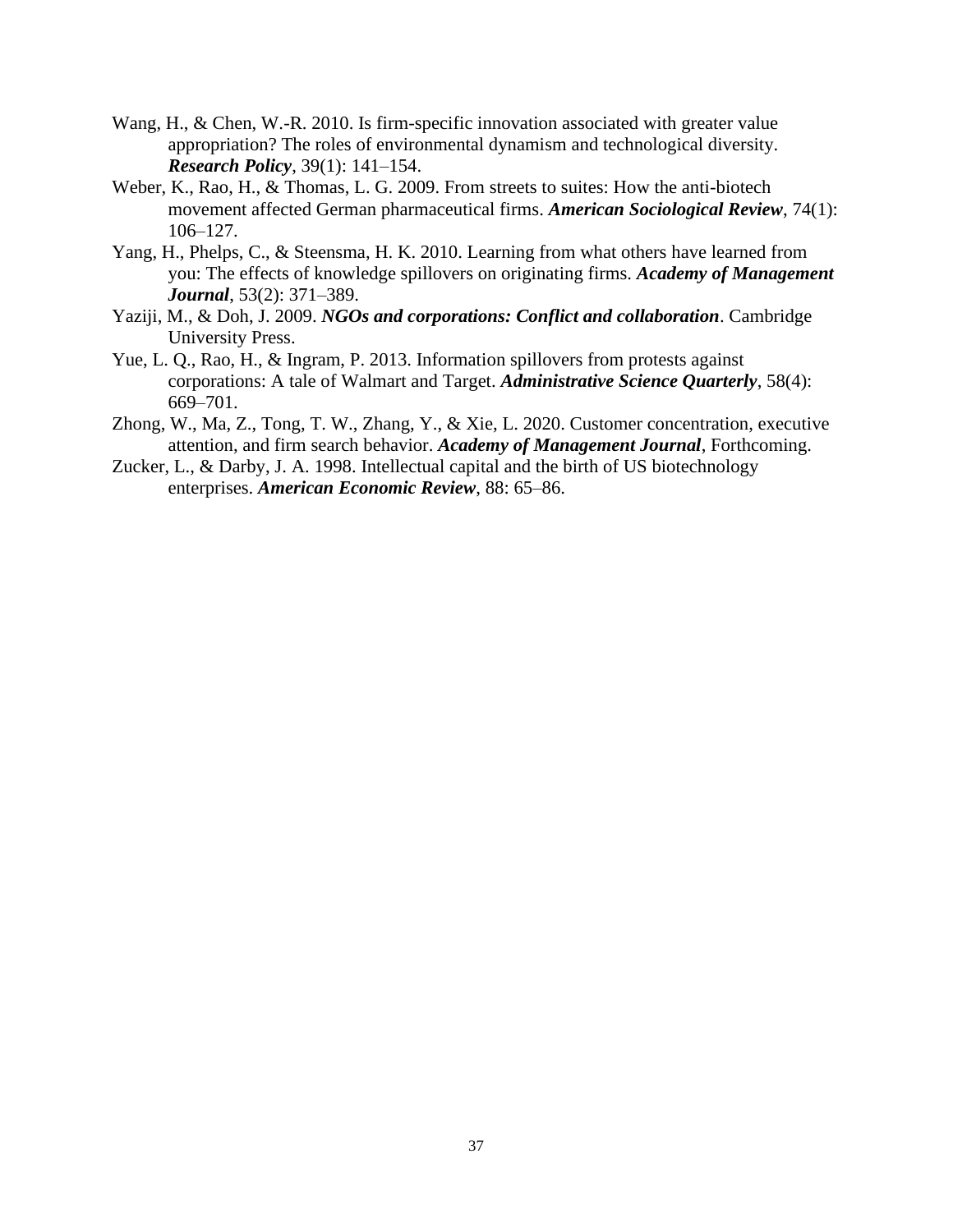- Wang, H., & Chen, W.-R. 2010. Is firm-specific innovation associated with greater value appropriation? The roles of environmental dynamism and technological diversity. *Research Policy*, 39(1): 141–154.
- Weber, K., Rao, H., & Thomas, L. G. 2009. From streets to suites: How the anti-biotech movement affected German pharmaceutical firms. *American Sociological Review*, 74(1): 106–127.
- Yang, H., Phelps, C., & Steensma, H. K. 2010. Learning from what others have learned from you: The effects of knowledge spillovers on originating firms. *Academy of Management Journal*, 53(2): 371–389.
- Yaziji, M., & Doh, J. 2009. *NGOs and corporations: Conflict and collaboration*. Cambridge University Press.
- Yue, L. Q., Rao, H., & Ingram, P. 2013. Information spillovers from protests against corporations: A tale of Walmart and Target. *Administrative Science Quarterly*, 58(4): 669–701.
- Zhong, W., Ma, Z., Tong, T. W., Zhang, Y., & Xie, L. 2020. Customer concentration, executive attention, and firm search behavior. *Academy of Management Journal*, Forthcoming.
- Zucker, L., & Darby, J. A. 1998. Intellectual capital and the birth of US biotechnology enterprises. *American Economic Review*, 88: 65–86.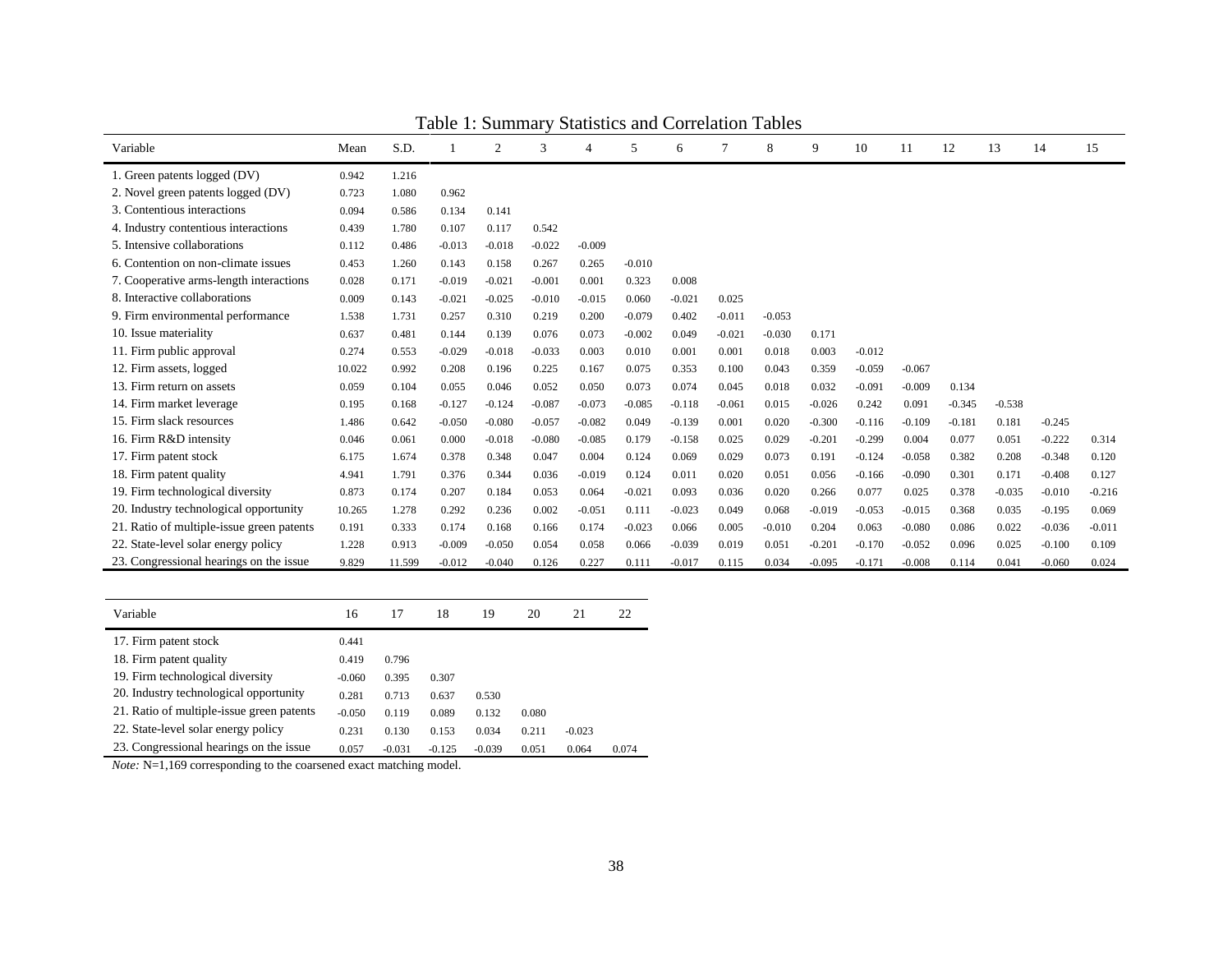| Variable                                  | Mean   | S.D.   |          | $\overline{2}$ | 3        | 4        | 5        | 6        |          | 8        | 9        | 10       | 11       | 12       | 13       | 14       | 15       |
|-------------------------------------------|--------|--------|----------|----------------|----------|----------|----------|----------|----------|----------|----------|----------|----------|----------|----------|----------|----------|
| 1. Green patents logged (DV)              | 0.942  | 1.216  |          |                |          |          |          |          |          |          |          |          |          |          |          |          |          |
| 2. Novel green patents logged (DV)        | 0.723  | 1.080  | 0.962    |                |          |          |          |          |          |          |          |          |          |          |          |          |          |
| 3. Contentious interactions               | 0.094  | 0.586  | 0.134    | 0.141          |          |          |          |          |          |          |          |          |          |          |          |          |          |
| 4. Industry contentious interactions      | 0.439  | 1.780  | 0.107    | 0.117          | 0.542    |          |          |          |          |          |          |          |          |          |          |          |          |
| 5. Intensive collaborations               | 0.112  | 0.486  | $-0.013$ | $-0.018$       | $-0.022$ | $-0.009$ |          |          |          |          |          |          |          |          |          |          |          |
| 6. Contention on non-climate issues       | 0.453  | 1.260  | 0.143    | 0.158          | 0.267    | 0.265    | $-0.010$ |          |          |          |          |          |          |          |          |          |          |
| 7. Cooperative arms-length interactions   | 0.028  | 0.171  | $-0.019$ | $-0.021$       | $-0.001$ | 0.001    | 0.323    | 0.008    |          |          |          |          |          |          |          |          |          |
| 8. Interactive collaborations             | 0.009  | 0.143  | $-0.021$ | $-0.025$       | $-0.010$ | $-0.015$ | 0.060    | $-0.021$ | 0.025    |          |          |          |          |          |          |          |          |
| 9. Firm environmental performance         | 1.538  | 1.731  | 0.257    | 0.310          | 0.219    | 0.200    | $-0.079$ | 0.402    | $-0.011$ | $-0.053$ |          |          |          |          |          |          |          |
| 10. Issue materiality                     | 0.637  | 0.481  | 0.144    | 0.139          | 0.076    | 0.073    | $-0.002$ | 0.049    | $-0.021$ | $-0.030$ | 0.171    |          |          |          |          |          |          |
| 11. Firm public approval                  | 0.274  | 0.553  | $-0.029$ | $-0.018$       | $-0.033$ | 0.003    | 0.010    | 0.001    | 0.001    | 0.018    | 0.003    | $-0.012$ |          |          |          |          |          |
| 12. Firm assets, logged                   | 10.022 | 0.992  | 0.208    | 0.196          | 0.225    | 0.167    | 0.075    | 0.353    | 0.100    | 0.043    | 0.359    | $-0.059$ | $-0.067$ |          |          |          |          |
| 13. Firm return on assets                 | 0.059  | 0.104  | 0.055    | 0.046          | 0.052    | 0.050    | 0.073    | 0.074    | 0.045    | 0.018    | 0.032    | $-0.091$ | $-0.009$ | 0.134    |          |          |          |
| 14. Firm market leverage                  | 0.195  | 0.168  | $-0.127$ | $-0.124$       | $-0.087$ | $-0.073$ | $-0.085$ | $-0.118$ | $-0.061$ | 0.015    | $-0.026$ | 0.242    | 0.091    | $-0.345$ | $-0.538$ |          |          |
| 15. Firm slack resources                  | 1.486  | 0.642  | $-0.050$ | $-0.080$       | $-0.057$ | $-0.082$ | 0.049    | $-0.139$ | 0.001    | 0.020    | $-0.300$ | $-0.116$ | $-0.109$ | $-0.181$ | 0.181    | $-0.245$ |          |
| 16. Firm R&D intensity                    | 0.046  | 0.061  | 0.000    | $-0.018$       | $-0.080$ | $-0.085$ | 0.179    | $-0.158$ | 0.025    | 0.029    | $-0.201$ | $-0.299$ | 0.004    | 0.077    | 0.051    | $-0.222$ | 0.314    |
| 17. Firm patent stock                     | 6.175  | 1.674  | 0.378    | 0.348          | 0.047    | 0.004    | 0.124    | 0.069    | 0.029    | 0.073    | 0.191    | $-0.124$ | $-0.058$ | 0.382    | 0.208    | $-0.348$ | 0.120    |
| 18. Firm patent quality                   | 4.941  | 1.791  | 0.376    | 0.344          | 0.036    | $-0.019$ | 0.124    | 0.011    | 0.020    | 0.051    | 0.056    | $-0.166$ | $-0.090$ | 0.301    | 0.171    | $-0.408$ | 0.127    |
| 19. Firm technological diversity          | 0.873  | 0.174  | 0.207    | 0.184          | 0.053    | 0.064    | $-0.021$ | 0.093    | 0.036    | 0.020    | 0.266    | 0.077    | 0.025    | 0.378    | $-0.035$ | $-0.010$ | $-0.216$ |
| 20. Industry technological opportunity    | 10.265 | 1.278  | 0.292    | 0.236          | 0.002    | $-0.051$ | 0.111    | $-0.023$ | 0.049    | 0.068    | $-0.019$ | $-0.053$ | $-0.015$ | 0.368    | 0.035    | $-0.195$ | 0.069    |
| 21. Ratio of multiple-issue green patents | 0.191  | 0.333  | 0.174    | 0.168          | 0.166    | 0.174    | $-0.023$ | 0.066    | 0.005    | $-0.010$ | 0.204    | 0.063    | $-0.080$ | 0.086    | 0.022    | $-0.036$ | $-0.011$ |
| 22. State-level solar energy policy       | 1.228  | 0.913  | $-0.009$ | $-0.050$       | 0.054    | 0.058    | 0.066    | $-0.039$ | 0.019    | 0.051    | $-0.201$ | $-0.170$ | $-0.052$ | 0.096    | 0.025    | $-0.100$ | 0.109    |
| 23. Congressional hearings on the issue   | 9.829  | 11.599 | $-0.012$ | $-0.040$       | 0.126    | 0.227    | 0.111    | $-0.017$ | 0.115    | 0.034    | $-0.095$ | $-0.171$ | $-0.008$ | 0.114    | 0.041    | $-0.060$ | 0.024    |

Table 1: Summary Statistics and Correlation Tables

| Variable                                  | 16       | 17       | 18       | 19       | 20    | 21       | 22    |
|-------------------------------------------|----------|----------|----------|----------|-------|----------|-------|
| 17. Firm patent stock                     | 0.441    |          |          |          |       |          |       |
| 18. Firm patent quality                   | 0.419    | 0.796    |          |          |       |          |       |
| 19. Firm technological diversity          | $-0.060$ | 0.395    | 0.307    |          |       |          |       |
| 20. Industry technological opportunity    | 0.281    | 0.713    | 0.637    | 0.530    |       |          |       |
| 21. Ratio of multiple-issue green patents | $-0.050$ | 0.119    | 0.089    | 0.132    | 0.080 |          |       |
| 22. State-level solar energy policy       | 0.231    | 0.130    | 0.153    | 0.034    | 0.211 | $-0.023$ |       |
| 23. Congressional hearings on the issue   | 0.057    | $-0.031$ | $-0.125$ | $-0.039$ | 0.051 | 0.064    | 0.074 |

*Note:* N=1,169 corresponding to the coarsened exact matching model.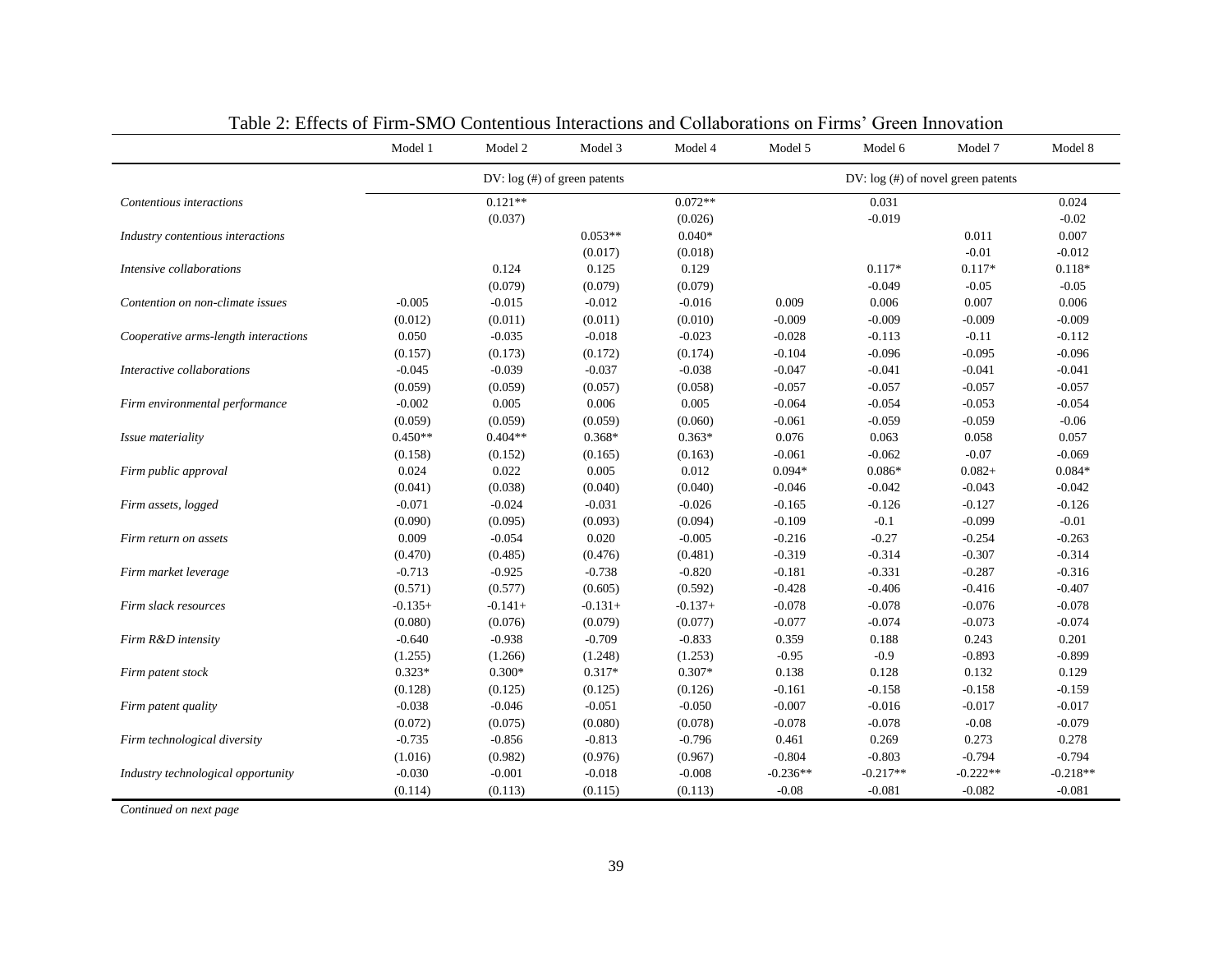|                                      | Model 1   | Model 2                        | Model 3   | Model 4   | Model 5                             | Model 6    | Model 7    | Model 8    |  |  |
|--------------------------------------|-----------|--------------------------------|-----------|-----------|-------------------------------------|------------|------------|------------|--|--|
|                                      |           | DV: $log (#)$ of green patents |           |           | DV: $log(H)$ of novel green patents |            |            |            |  |  |
| Contentious interactions             |           | $0.121**$                      |           | $0.072**$ |                                     | 0.031      |            | 0.024      |  |  |
|                                      |           | (0.037)                        |           | (0.026)   |                                     | $-0.019$   |            | $-0.02$    |  |  |
| Industry contentious interactions    |           |                                | $0.053**$ | $0.040*$  |                                     |            | 0.011      | 0.007      |  |  |
|                                      |           |                                | (0.017)   | (0.018)   |                                     |            | $-0.01$    | $-0.012$   |  |  |
| Intensive collaborations             |           | 0.124                          | 0.125     | 0.129     |                                     | $0.117*$   | $0.117*$   | $0.118*$   |  |  |
|                                      |           | (0.079)                        | (0.079)   | (0.079)   |                                     | $-0.049$   | $-0.05$    | $-0.05$    |  |  |
| Contention on non-climate issues     | $-0.005$  | $-0.015$                       | $-0.012$  | $-0.016$  | 0.009                               | 0.006      | 0.007      | 0.006      |  |  |
|                                      | (0.012)   | (0.011)                        | (0.011)   | (0.010)   | $-0.009$                            | $-0.009$   | $-0.009$   | $-0.009$   |  |  |
| Cooperative arms-length interactions | 0.050     | $-0.035$                       | $-0.018$  | $-0.023$  | $-0.028$                            | $-0.113$   | $-0.11$    | $-0.112$   |  |  |
|                                      | (0.157)   | (0.173)                        | (0.172)   | (0.174)   | $-0.104$                            | $-0.096$   | $-0.095$   | $-0.096$   |  |  |
| Interactive collaborations           | $-0.045$  | $-0.039$                       | $-0.037$  | $-0.038$  | $-0.047$                            | $-0.041$   | $-0.041$   | $-0.041$   |  |  |
|                                      | (0.059)   | (0.059)                        | (0.057)   | (0.058)   | $-0.057$                            | $-0.057$   | $-0.057$   | $-0.057$   |  |  |
| Firm environmental performance       | $-0.002$  | 0.005                          | 0.006     | 0.005     | $-0.064$                            | $-0.054$   | $-0.053$   | $-0.054$   |  |  |
|                                      | (0.059)   | (0.059)                        | (0.059)   | (0.060)   | $-0.061$                            | $-0.059$   | $-0.059$   | $-0.06$    |  |  |
| Issue materiality                    | $0.450**$ | $0.404**$                      | $0.368*$  | $0.363*$  | 0.076                               | 0.063      | 0.058      | 0.057      |  |  |
|                                      | (0.158)   | (0.152)                        | (0.165)   | (0.163)   | $-0.061$                            | $-0.062$   | $-0.07$    | $-0.069$   |  |  |
| Firm public approval                 | 0.024     | 0.022                          | 0.005     | 0.012     | $0.094*$                            | $0.086*$   | $0.082+$   | $0.084*$   |  |  |
|                                      | (0.041)   | (0.038)                        | (0.040)   | (0.040)   | $-0.046$                            | $-0.042$   | $-0.043$   | $-0.042$   |  |  |
| Firm assets, logged                  | $-0.071$  | $-0.024$                       | $-0.031$  | $-0.026$  | $-0.165$                            | $-0.126$   | $-0.127$   | $-0.126$   |  |  |
|                                      | (0.090)   | (0.095)                        | (0.093)   | (0.094)   | $-0.109$                            | $-0.1$     | $-0.099$   | $-0.01$    |  |  |
| Firm return on assets                | 0.009     | $-0.054$                       | 0.020     | $-0.005$  | $-0.216$                            | $-0.27$    | $-0.254$   | $-0.263$   |  |  |
|                                      | (0.470)   | (0.485)                        | (0.476)   | (0.481)   | $-0.319$                            | $-0.314$   | $-0.307$   | $-0.314$   |  |  |
| Firm market leverage                 | $-0.713$  | $-0.925$                       | $-0.738$  | $-0.820$  | $-0.181$                            | $-0.331$   | $-0.287$   | $-0.316$   |  |  |
|                                      | (0.571)   | (0.577)                        | (0.605)   | (0.592)   | $-0.428$                            | $-0.406$   | $-0.416$   | $-0.407$   |  |  |
| Firm slack resources                 | $-0.135+$ | $-0.141+$                      | $-0.131+$ | $-0.137+$ | $-0.078$                            | $-0.078$   | $-0.076$   | $-0.078$   |  |  |
|                                      | (0.080)   | (0.076)                        | (0.079)   | (0.077)   | $-0.077$                            | $-0.074$   | $-0.073$   | $-0.074$   |  |  |
| Firm R&D intensity                   | $-0.640$  | $-0.938$                       | $-0.709$  | $-0.833$  | 0.359                               | 0.188      | 0.243      | 0.201      |  |  |
|                                      | (1.255)   | (1.266)                        | (1.248)   | (1.253)   | $-0.95$                             | $-0.9$     | $-0.893$   | $-0.899$   |  |  |
| Firm patent stock                    | $0.323*$  | $0.300*$                       | $0.317*$  | $0.307*$  | 0.138                               | 0.128      | 0.132      | 0.129      |  |  |
|                                      | (0.128)   | (0.125)                        | (0.125)   | (0.126)   | $-0.161$                            | $-0.158$   | $-0.158$   | $-0.159$   |  |  |
| Firm patent quality                  | $-0.038$  | $-0.046$                       | $-0.051$  | $-0.050$  | $-0.007$                            | $-0.016$   | $-0.017$   | $-0.017$   |  |  |
|                                      | (0.072)   | (0.075)                        | (0.080)   | (0.078)   | $-0.078$                            | $-0.078$   | $-0.08$    | $-0.079$   |  |  |
| Firm technological diversity         | $-0.735$  | $-0.856$                       | $-0.813$  | $-0.796$  | 0.461                               | 0.269      | 0.273      | 0.278      |  |  |
|                                      | (1.016)   | (0.982)                        | (0.976)   | (0.967)   | $-0.804$                            | $-0.803$   | $-0.794$   | $-0.794$   |  |  |
| Industry technological opportunity   | $-0.030$  | $-0.001$                       | $-0.018$  | $-0.008$  | $-0.236**$                          | $-0.217**$ | $-0.222**$ | $-0.218**$ |  |  |
|                                      | (0.114)   | (0.113)                        | (0.115)   | (0.113)   | $-0.08$                             | $-0.081$   | $-0.082$   | $-0.081$   |  |  |

Table 2: Effects of Firm-SMO Contentious Interactions and Collaborations on Firms' Green Innovation

*Continued on next page*